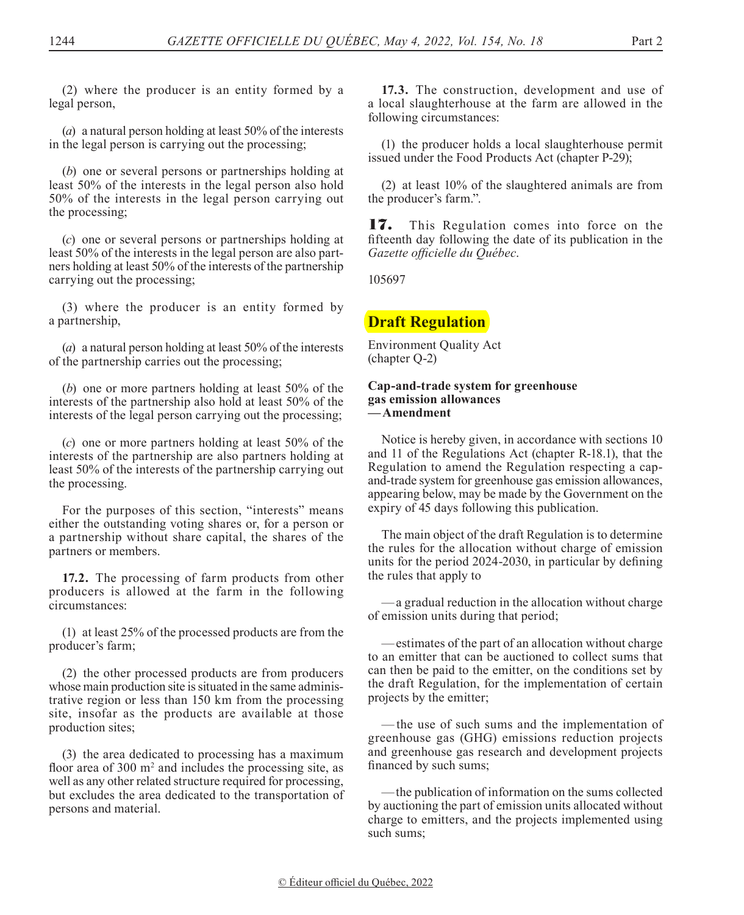(2) where the producer is an entity formed by a legal person,

(*a*) a natural person holding at least 50% of the interests in the legal person is carrying out the processing;

(*b*) one or several persons or partnerships holding at least 50% of the interests in the legal person also hold 50% of the interests in the legal person carrying out the processing;

(*c*) one or several persons or partnerships holding at least 50% of the interests in the legal person are also partners holding at least 50% of the interests of the partnership carrying out the processing;

(3) where the producer is an entity formed by a partnership,

(*a*) a natural person holding at least 50% of the interests of the partnership carries out the processing;

(*b*) one or more partners holding at least 50% of the interests of the partnership also hold at least 50% of the interests of the legal person carrying out the processing;

(*c*) one or more partners holding at least 50% of the interests of the partnership are also partners holding at least 50% of the interests of the partnership carrying out the processing.

For the purposes of this section, "interests" means either the outstanding voting shares or, for a person or a partnership without share capital, the shares of the partners or members.

**17.2.** The processing of farm products from other producers is allowed at the farm in the following circumstances:

(1) at least 25% of the processed products are from the producer's farm;

(2) the other processed products are from producers whose main production site is situated in the same administrative region or less than 150 km from the processing site, insofar as the products are available at those production sites;

(3) the area dedicated to processing has a maximum floor area of  $300 \text{ m}^2$  and includes the processing site, as well as any other related structure required for processing, but excludes the area dedicated to the transportation of persons and material.

**17.3.** The construction, development and use of a local slaughterhouse at the farm are allowed in the following circumstances:

(1) the producer holds a local slaughterhouse permit issued under the Food Products Act (chapter P-29);

(2) at least 10% of the slaughtered animals are from the producer's farm.".

17. This Regulation comes into force on the fifteenth day following the date of its publication in the *Gazette officielle du Québec*.

105697

# **Draft Regulation**

Environment Quality Act (chapter Q-2)

#### **Cap-and-trade system for greenhouse gas emission allowances —Amendment**

Notice is hereby given, in accordance with sections 10 and 11 of the Regulations Act (chapter R-18.1), that the Regulation to amend the Regulation respecting a capand-trade system for greenhouse gas emission allowances, appearing below, may be made by the Government on the expiry of 45 days following this publication.

The main object of the draft Regulation is to determine the rules for the allocation without charge of emission units for the period 2024-2030, in particular by defining the rules that apply to

—a gradual reduction in the allocation without charge of emission units during that period;

—estimates of the part of an allocation without charge to an emitter that can be auctioned to collect sums that can then be paid to the emitter, on the conditions set by the draft Regulation, for the implementation of certain projects by the emitter;

—the use of such sums and the implementation of greenhouse gas (GHG) emissions reduction projects and greenhouse gas research and development projects financed by such sums;

—the publication of information on the sums collected by auctioning the part of emission units allocated without charge to emitters, and the projects implemented using such sums;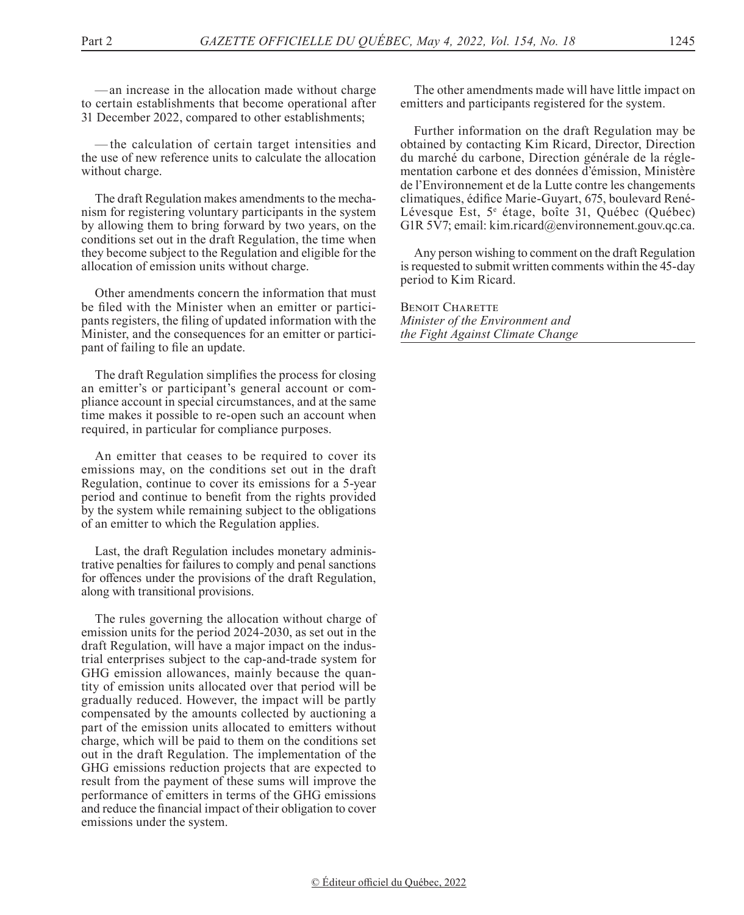—an increase in the allocation made without charge to certain establishments that become operational after 31 December 2022, compared to other establishments;

— the calculation of certain target intensities and the use of new reference units to calculate the allocation without charge.

The draft Regulation makes amendments to the mechanism for registering voluntary participants in the system by allowing them to bring forward by two years, on the conditions set out in the draft Regulation, the time when they become subject to the Regulation and eligible for the allocation of emission units without charge.

Other amendments concern the information that must be filed with the Minister when an emitter or participants registers, the filing of updated information with the Minister, and the consequences for an emitter or participant of failing to file an update.

The draft Regulation simplifies the process for closing an emitter's or participant's general account or compliance account in special circumstances, and at the same time makes it possible to re-open such an account when required, in particular for compliance purposes.

An emitter that ceases to be required to cover its emissions may, on the conditions set out in the draft Regulation, continue to cover its emissions for a 5-year period and continue to benefit from the rights provided by the system while remaining subject to the obligations of an emitter to which the Regulation applies.

Last, the draft Regulation includes monetary administrative penalties for failures to comply and penal sanctions for offences under the provisions of the draft Regulation, along with transitional provisions.

The rules governing the allocation without charge of emission units for the period 2024-2030, as set out in the draft Regulation, will have a major impact on the industrial enterprises subject to the cap-and-trade system for GHG emission allowances, mainly because the quantity of emission units allocated over that period will be gradually reduced. However, the impact will be partly compensated by the amounts collected by auctioning a part of the emission units allocated to emitters without charge, which will be paid to them on the conditions set out in the draft Regulation. The implementation of the GHG emissions reduction projects that are expected to result from the payment of these sums will improve the performance of emitters in terms of the GHG emissions and reduce the financial impact of their obligation to cover emissions under the system.

The other amendments made will have little impact on emitters and participants registered for the system.

Further information on the draft Regulation may be obtained by contacting Kim Ricard, Director, Direction du marché du carbone, Direction générale de la réglementation carbone et des données d'émission, Ministère de l'Environnement et de la Lutte contre les changements climatiques, édifice Marie-Guyart, 675, boulevard René-Lévesque Est, 5<sup>e</sup> étage, boîte 31, Québec (Québec) G1R 5V7; email: kim.ricard@environnement.gouv.qc.ca.

Any person wishing to comment on the draft Regulation is requested to submit written comments within the 45-day period to Kim Ricard.

**BENOIT CHARETTE** *Minister of the Environment and the Fight Against Climate Change*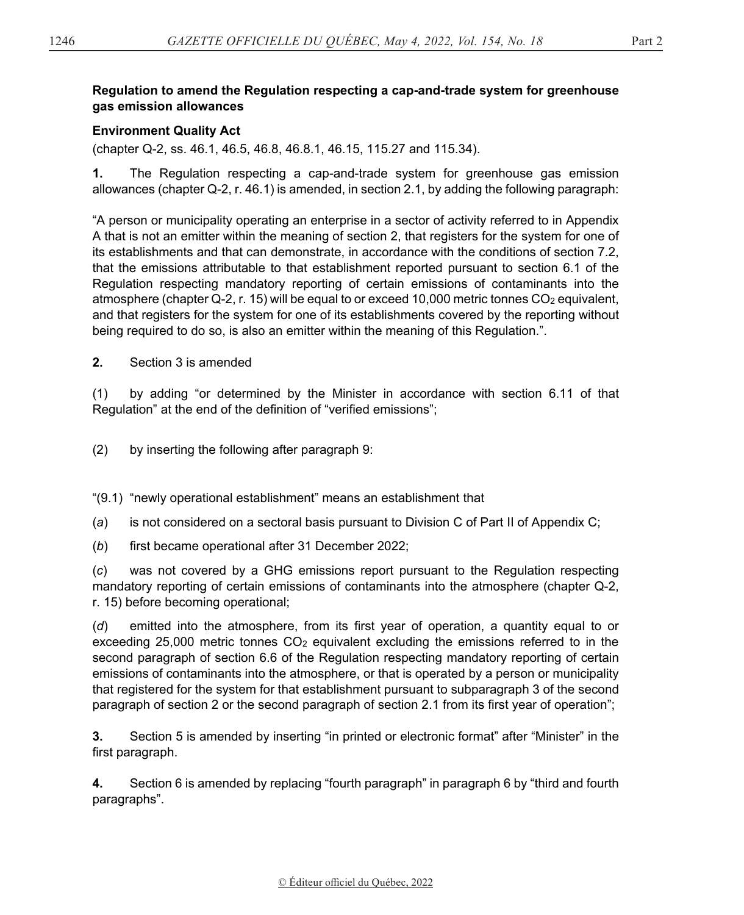#### **Regulation to amend the Regulation respecting a cap-and-trade system for greenhouse gas emission allowances**

### **Environment Quality Act**

(chapter Q-2, ss. 46.1, 46.5, 46.8, 46.8.1, 46.15, 115.27 and 115.34).

**1.** The Regulation respecting a cap-and-trade system for greenhouse gas emission allowances (chapter Q-2, r. 46.1) is amended, in section 2.1, by adding the following paragraph:

"A person or municipality operating an enterprise in a sector of activity referred to in Appendix A that is not an emitter within the meaning of section 2, that registers for the system for one of its establishments and that can demonstrate, in accordance with the conditions of section 7.2, that the emissions attributable to that establishment reported pursuant to section 6.1 of the Regulation respecting mandatory reporting of certain emissions of contaminants into the atmosphere (chapter Q-2, r. 15) will be equal to or exceed 10,000 metric tonnes CO<sub>2</sub> equivalent, and that registers for the system for one of its establishments covered by the reporting without being required to do so, is also an emitter within the meaning of this Regulation.".

**2.** Section 3 is amended

(1) by adding "or determined by the Minister in accordance with section 6.11 of that Regulation" at the end of the definition of "verified emissions";

(2) by inserting the following after paragraph 9:

"(9.1) "newly operational establishment" means an establishment that

(*a*) is not considered on a sectoral basis pursuant to Division C of Part II of Appendix C;

(*b*) first became operational after 31 December 2022;

(*c*) was not covered by a GHG emissions report pursuant to the Regulation respecting mandatory reporting of certain emissions of contaminants into the atmosphere (chapter Q-2, r. 15) before becoming operational;

(*d*) emitted into the atmosphere, from its first year of operation, a quantity equal to or exceeding 25,000 metric tonnes  $CO<sub>2</sub>$  equivalent excluding the emissions referred to in the second paragraph of section 6.6 of the Regulation respecting mandatory reporting of certain emissions of contaminants into the atmosphere, or that is operated by a person or municipality that registered for the system for that establishment pursuant to subparagraph 3 of the second paragraph of section 2 or the second paragraph of section 2.1 from its first year of operation";

**3.** Section 5 is amended by inserting "in printed or electronic format" after "Minister" in the first paragraph.

**4.** Section 6 is amended by replacing "fourth paragraph" in paragraph 6 by "third and fourth paragraphs".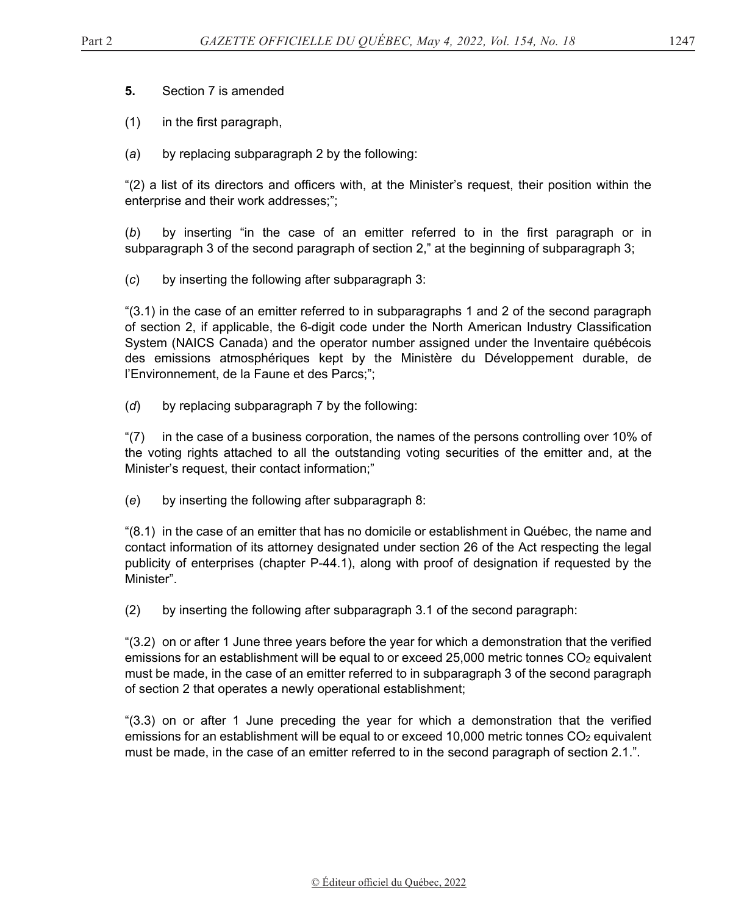- (1) in the first paragraph,
- (*a*) by replacing subparagraph 2 by the following:

"(2) a list of its directors and officers with, at the Minister's request, their position within the enterprise and their work addresses;";

(*b*) by inserting "in the case of an emitter referred to in the first paragraph or in subparagraph 3 of the second paragraph of section 2," at the beginning of subparagraph 3;

(*c*) by inserting the following after subparagraph 3:

"(3.1) in the case of an emitter referred to in subparagraphs 1 and 2 of the second paragraph of section 2, if applicable, the 6-digit code under the North American Industry Classification System (NAICS Canada) and the operator number assigned under the Inventaire québécois des emissions atmosphériques kept by the Ministère du Développement durable, de l'Environnement, de la Faune et des Parcs;";

(*d*) by replacing subparagraph 7 by the following:

"(7) in the case of a business corporation, the names of the persons controlling over 10% of the voting rights attached to all the outstanding voting securities of the emitter and, at the Minister's request, their contact information;"

(*e*) by inserting the following after subparagraph 8:

"(8.1) in the case of an emitter that has no domicile or establishment in Québec, the name and contact information of its attorney designated under section 26 of the Act respecting the legal publicity of enterprises (chapter P-44.1), along with proof of designation if requested by the Minister".

(2) by inserting the following after subparagraph 3.1 of the second paragraph:

"(3.2) on or after 1 June three years before the year for which a demonstration that the verified emissions for an establishment will be equal to or exceed 25,000 metric tonnes  $CO<sub>2</sub>$  equivalent must be made, in the case of an emitter referred to in subparagraph 3 of the second paragraph of section 2 that operates a newly operational establishment;

"(3.3) on or after 1 June preceding the year for which a demonstration that the verified emissions for an establishment will be equal to or exceed 10,000 metric tonnes CO<sub>2</sub> equivalent must be made, in the case of an emitter referred to in the second paragraph of section 2.1.".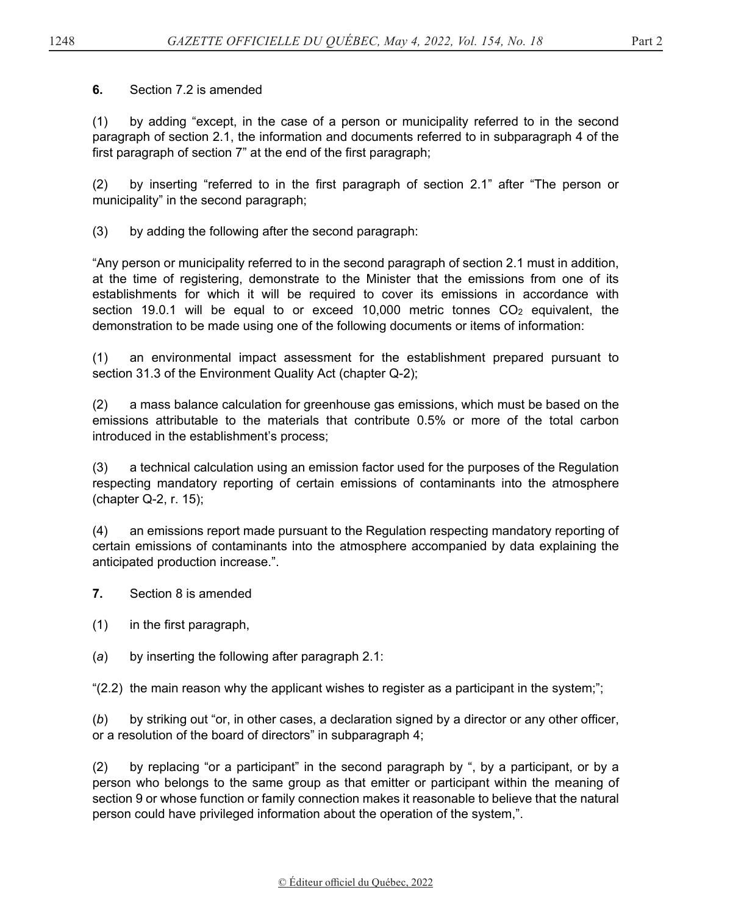### **6.** Section 7.2 is amended

(1) by adding "except, in the case of a person or municipality referred to in the second paragraph of section 2.1, the information and documents referred to in subparagraph 4 of the first paragraph of section 7" at the end of the first paragraph;

(2) by inserting "referred to in the first paragraph of section 2.1" after "The person or municipality" in the second paragraph;

(3) by adding the following after the second paragraph:

"Any person or municipality referred to in the second paragraph of section 2.1 must in addition, at the time of registering, demonstrate to the Minister that the emissions from one of its establishments for which it will be required to cover its emissions in accordance with section 19.0.1 will be equal to or exceed 10,000 metric tonnes  $CO<sub>2</sub>$  equivalent, the demonstration to be made using one of the following documents or items of information:

(1) an environmental impact assessment for the establishment prepared pursuant to section 31.3 of the Environment Quality Act (chapter Q-2);

(2) a mass balance calculation for greenhouse gas emissions, which must be based on the emissions attributable to the materials that contribute 0.5% or more of the total carbon introduced in the establishment's process;

(3) a technical calculation using an emission factor used for the purposes of the Regulation respecting mandatory reporting of certain emissions of contaminants into the atmosphere (chapter Q-2, r. 15);

(4) an emissions report made pursuant to the Regulation respecting mandatory reporting of certain emissions of contaminants into the atmosphere accompanied by data explaining the anticipated production increase.".

- **7.** Section 8 is amended
- (1) in the first paragraph,
- (*a*) by inserting the following after paragraph 2.1:

" $(2.2)$  the main reason why the applicant wishes to register as a participant in the system;";

(*b*) by striking out "or, in other cases, a declaration signed by a director or any other officer, or a resolution of the board of directors" in subparagraph 4;

(2) by replacing "or a participant" in the second paragraph by ", by a participant, or by a person who belongs to the same group as that emitter or participant within the meaning of section 9 or whose function or family connection makes it reasonable to believe that the natural person could have privileged information about the operation of the system,".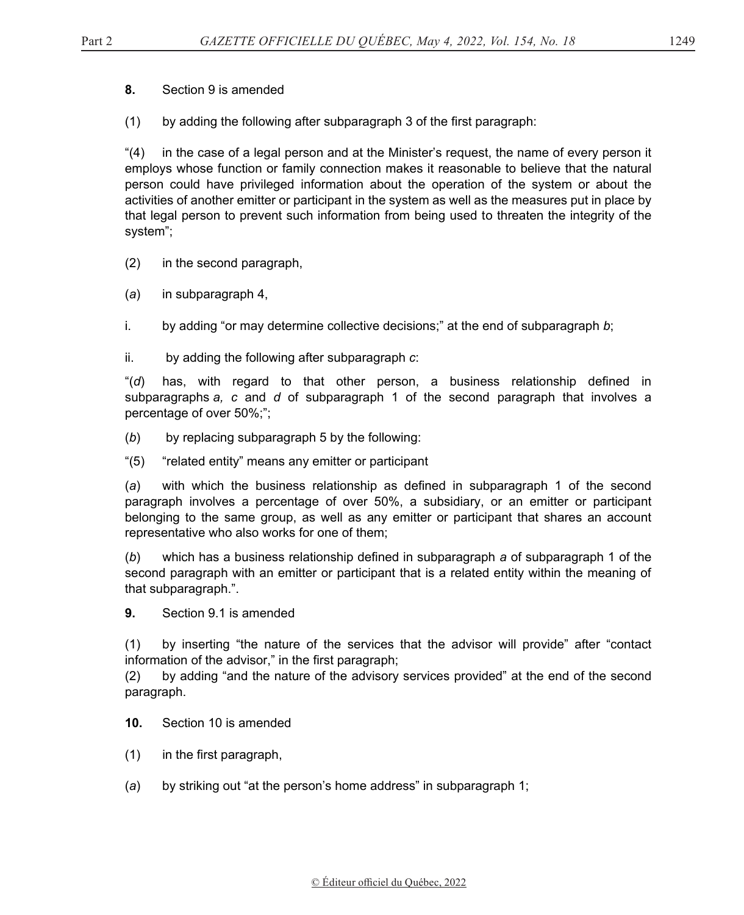**8.** Section 9 is amended

(1) by adding the following after subparagraph 3 of the first paragraph:

"(4) in the case of a legal person and at the Minister's request, the name of every person it employs whose function or family connection makes it reasonable to believe that the natural person could have privileged information about the operation of the system or about the activities of another emitter or participant in the system as well as the measures put in place by that legal person to prevent such information from being used to threaten the integrity of the system";

(2) in the second paragraph,

(*a*) in subparagraph 4,

i. by adding "or may determine collective decisions;" at the end of subparagraph *b*;

ii. by adding the following after subparagraph *c*:

"(*d*) has, with regard to that other person, a business relationship defined in subparagraphs *a, c* and *d* of subparagraph 1 of the second paragraph that involves a percentage of over 50%;";

- (*b*) by replacing subparagraph 5 by the following:
- "(5) "related entity" means any emitter or participant

(*a*) with which the business relationship as defined in subparagraph 1 of the second paragraph involves a percentage of over 50%, a subsidiary, or an emitter or participant belonging to the same group, as well as any emitter or participant that shares an account representative who also works for one of them;

(*b*) which has a business relationship defined in subparagraph *a* of subparagraph 1 of the second paragraph with an emitter or participant that is a related entity within the meaning of that subparagraph.".

**9.** Section 9.1 is amended

(1) by inserting "the nature of the services that the advisor will provide" after "contact information of the advisor," in the first paragraph;

(2) by adding "and the nature of the advisory services provided" at the end of the second paragraph.

- **10.** Section 10 is amended
- (1) in the first paragraph,
- (*a*) by striking out "at the person's home address" in subparagraph 1;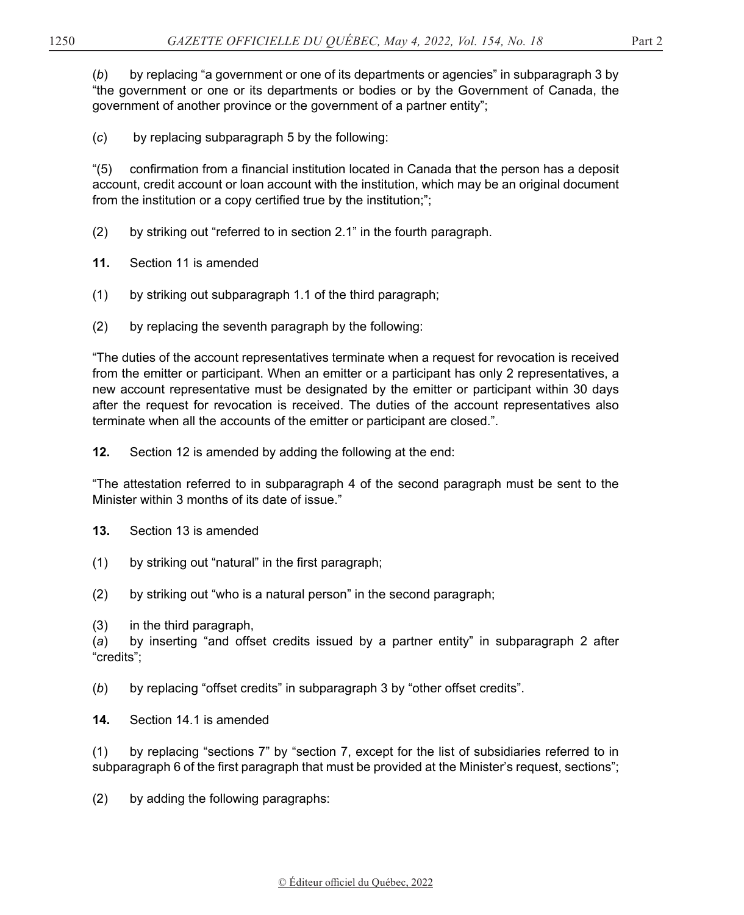(*b*) by replacing "a government or one of its departments or agencies" in subparagraph 3 by "the government or one or its departments or bodies or by the Government of Canada, the government of another province or the government of a partner entity";

(*c*) by replacing subparagraph 5 by the following:

"(5) confirmation from a financial institution located in Canada that the person has a deposit account, credit account or loan account with the institution, which may be an original document from the institution or a copy certified true by the institution;";

- (2) by striking out "referred to in section 2.1" in the fourth paragraph.
- **11.** Section 11 is amended
- (1) by striking out subparagraph 1.1 of the third paragraph;
- (2) by replacing the seventh paragraph by the following:

"The duties of the account representatives terminate when a request for revocation is received from the emitter or participant. When an emitter or a participant has only 2 representatives, a new account representative must be designated by the emitter or participant within 30 days after the request for revocation is received. The duties of the account representatives also terminate when all the accounts of the emitter or participant are closed.".

**12.** Section 12 is amended by adding the following at the end:

"The attestation referred to in subparagraph 4 of the second paragraph must be sent to the Minister within 3 months of its date of issue."

- **13.** Section 13 is amended
- (1) by striking out "natural" in the first paragraph;
- (2) by striking out "who is a natural person" in the second paragraph;
- (3) in the third paragraph,

(*a*) by inserting "and offset credits issued by a partner entity" in subparagraph 2 after "credits";

(*b*) by replacing "offset credits" in subparagraph 3 by "other offset credits".

**14.** Section 14.1 is amended

(1) by replacing "sections 7" by "section 7, except for the list of subsidiaries referred to in subparagraph 6 of the first paragraph that must be provided at the Minister's request, sections";

(2) by adding the following paragraphs: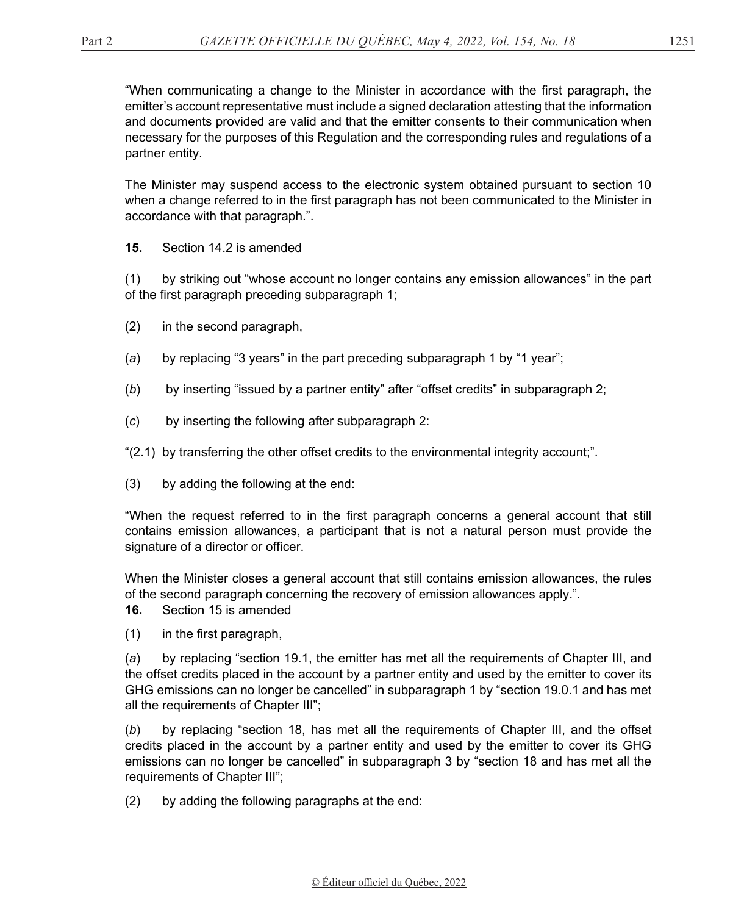"When communicating a change to the Minister in accordance with the first paragraph, the emitter's account representative must include a signed declaration attesting that the information and documents provided are valid and that the emitter consents to their communication when necessary for the purposes of this Regulation and the corresponding rules and regulations of a partner entity.

The Minister may suspend access to the electronic system obtained pursuant to section 10 when a change referred to in the first paragraph has not been communicated to the Minister in accordance with that paragraph.".

**15.** Section 14.2 is amended

(1) by striking out "whose account no longer contains any emission allowances" in the part of the first paragraph preceding subparagraph 1;

- (2) in the second paragraph,
- (*a*) by replacing "3 years" in the part preceding subparagraph 1 by "1 year";
- (*b*) by inserting "issued by a partner entity" after "offset credits" in subparagraph 2;
- (*c*) by inserting the following after subparagraph 2:
- "(2.1) by transferring the other offset credits to the environmental integrity account;".
- (3) by adding the following at the end:

"When the request referred to in the first paragraph concerns a general account that still contains emission allowances, a participant that is not a natural person must provide the signature of a director or officer.

When the Minister closes a general account that still contains emission allowances, the rules of the second paragraph concerning the recovery of emission allowances apply.".

**16.** Section 15 is amended

(1) in the first paragraph,

(*a*) by replacing "section 19.1, the emitter has met all the requirements of Chapter III, and the offset credits placed in the account by a partner entity and used by the emitter to cover its GHG emissions can no longer be cancelled" in subparagraph 1 by "section 19.0.1 and has met all the requirements of Chapter III";

(*b*) by replacing "section 18, has met all the requirements of Chapter III, and the offset credits placed in the account by a partner entity and used by the emitter to cover its GHG emissions can no longer be cancelled" in subparagraph 3 by "section 18 and has met all the requirements of Chapter III";

(2) by adding the following paragraphs at the end: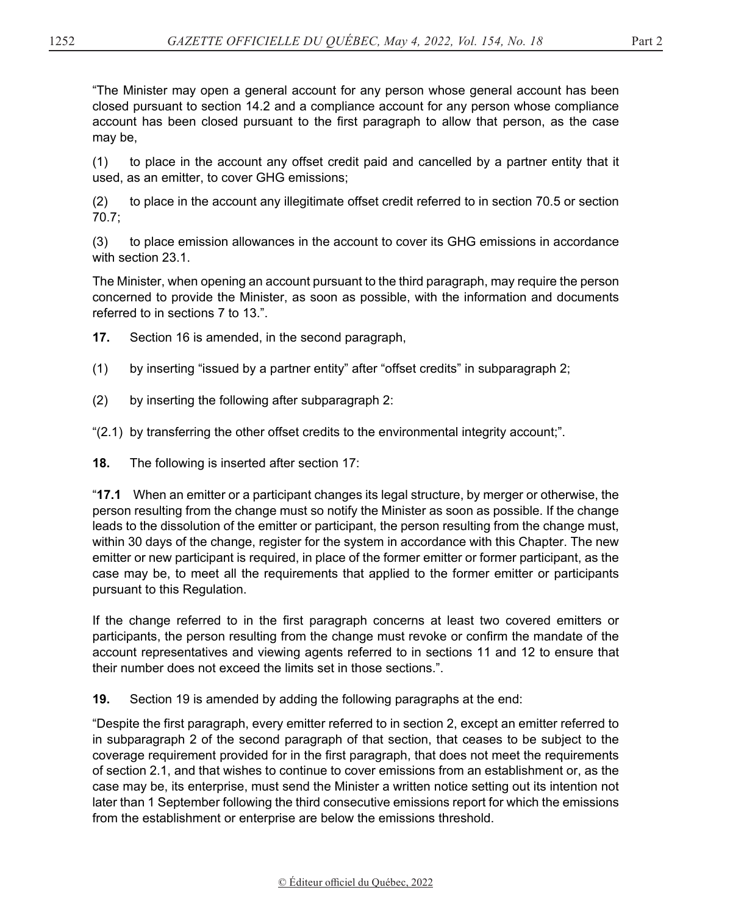"The Minister may open a general account for any person whose general account has been closed pursuant to section 14.2 and a compliance account for any person whose compliance account has been closed pursuant to the first paragraph to allow that person, as the case may be,

(1) to place in the account any offset credit paid and cancelled by a partner entity that it used, as an emitter, to cover GHG emissions;

(2) to place in the account any illegitimate offset credit referred to in section 70.5 or section 70.7;

(3) to place emission allowances in the account to cover its GHG emissions in accordance with section 23.1.

The Minister, when opening an account pursuant to the third paragraph, may require the person concerned to provide the Minister, as soon as possible, with the information and documents referred to in sections 7 to 13.".

**17.** Section 16 is amended, in the second paragraph,

- (1) by inserting "issued by a partner entity" after "offset credits" in subparagraph 2;
- (2) by inserting the following after subparagraph 2:

"(2.1) by transferring the other offset credits to the environmental integrity account;".

**18.** The following is inserted after section 17:

"**17.1** When an emitter or a participant changes its legal structure, by merger or otherwise, the person resulting from the change must so notify the Minister as soon as possible. If the change leads to the dissolution of the emitter or participant, the person resulting from the change must, within 30 days of the change, register for the system in accordance with this Chapter. The new emitter or new participant is required, in place of the former emitter or former participant, as the case may be, to meet all the requirements that applied to the former emitter or participants pursuant to this Regulation.

If the change referred to in the first paragraph concerns at least two covered emitters or participants, the person resulting from the change must revoke or confirm the mandate of the account representatives and viewing agents referred to in sections 11 and 12 to ensure that their number does not exceed the limits set in those sections.".

**19.** Section 19 is amended by adding the following paragraphs at the end:

"Despite the first paragraph, every emitter referred to in section 2, except an emitter referred to in subparagraph 2 of the second paragraph of that section, that ceases to be subject to the coverage requirement provided for in the first paragraph, that does not meet the requirements of section 2.1, and that wishes to continue to cover emissions from an establishment or, as the case may be, its enterprise, must send the Minister a written notice setting out its intention not later than 1 September following the third consecutive emissions report for which the emissions from the establishment or enterprise are below the emissions threshold.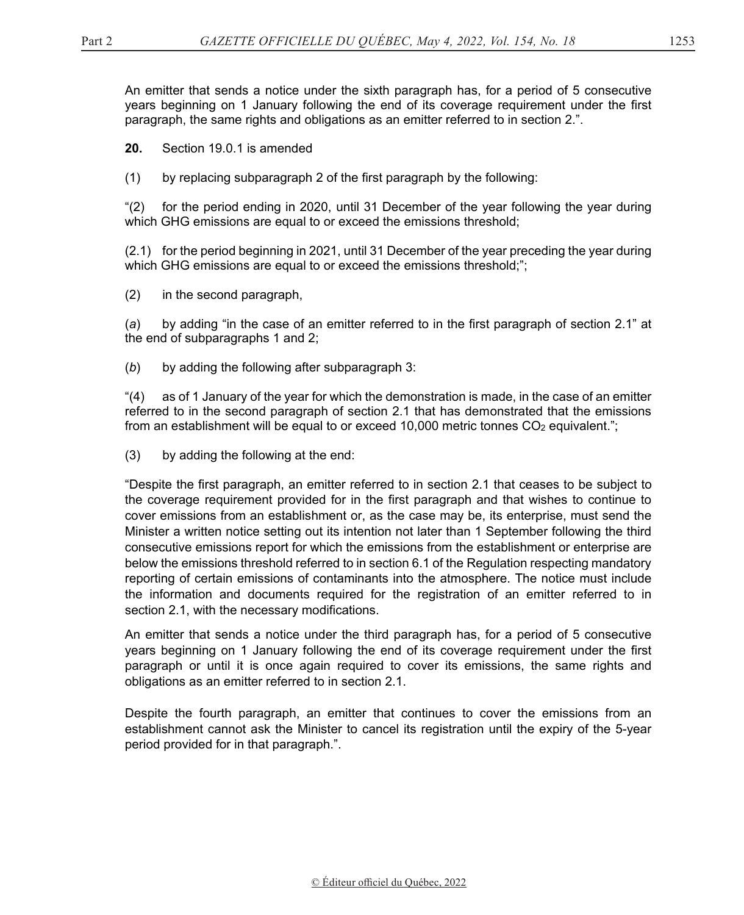An emitter that sends a notice under the sixth paragraph has, for a period of 5 consecutive years beginning on 1 January following the end of its coverage requirement under the first paragraph, the same rights and obligations as an emitter referred to in section 2.".

**20.** Section 19.0.1 is amended

(1) by replacing subparagraph 2 of the first paragraph by the following:

"(2) for the period ending in 2020, until 31 December of the year following the year during which GHG emissions are equal to or exceed the emissions threshold;

(2.1) for the period beginning in 2021, until 31 December of the year preceding the year during which GHG emissions are equal to or exceed the emissions threshold;";

(2) in the second paragraph,

(*a*) by adding "in the case of an emitter referred to in the first paragraph of section 2.1" at the end of subparagraphs 1 and 2;

(*b*) by adding the following after subparagraph 3:

"(4) as of 1 January of the year for which the demonstration is made, in the case of an emitter referred to in the second paragraph of section 2.1 that has demonstrated that the emissions from an establishment will be equal to or exceed  $10,000$  metric tonnes  $CO<sub>2</sub>$  equivalent.";

(3) by adding the following at the end:

"Despite the first paragraph, an emitter referred to in section 2.1 that ceases to be subject to the coverage requirement provided for in the first paragraph and that wishes to continue to cover emissions from an establishment or, as the case may be, its enterprise, must send the Minister a written notice setting out its intention not later than 1 September following the third consecutive emissions report for which the emissions from the establishment or enterprise are below the emissions threshold referred to in section 6.1 of the Regulation respecting mandatory reporting of certain emissions of contaminants into the atmosphere. The notice must include the information and documents required for the registration of an emitter referred to in section 2.1, with the necessary modifications.

An emitter that sends a notice under the third paragraph has, for a period of 5 consecutive years beginning on 1 January following the end of its coverage requirement under the first paragraph or until it is once again required to cover its emissions, the same rights and obligations as an emitter referred to in section 2.1.

Despite the fourth paragraph, an emitter that continues to cover the emissions from an establishment cannot ask the Minister to cancel its registration until the expiry of the 5-year period provided for in that paragraph.".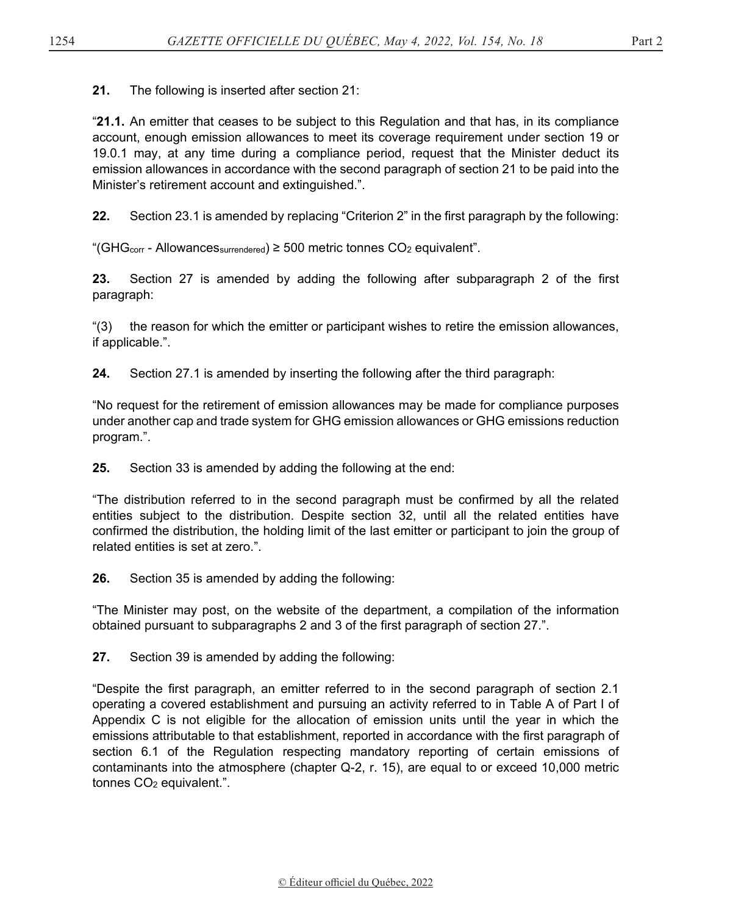**21.** The following is inserted after section 21:

"**21.1.** An emitter that ceases to be subject to this Regulation and that has, in its compliance account, enough emission allowances to meet its coverage requirement under section 19 or 19.0.1 may, at any time during a compliance period, request that the Minister deduct its emission allowances in accordance with the second paragraph of section 21 to be paid into the Minister's retirement account and extinguished.".

**22.** Section 23.1 is amended by replacing "Criterion 2" in the first paragraph by the following:

"(GHG<sub>corr</sub> - Allowances<sub>surrendered</sub>) ≥ 500 metric tonnes  $CO<sub>2</sub>$  equivalent".

**23.** Section 27 is amended by adding the following after subparagraph 2 of the first paragraph:

"(3) the reason for which the emitter or participant wishes to retire the emission allowances, if applicable.".

**24.** Section 27.1 is amended by inserting the following after the third paragraph:

"No request for the retirement of emission allowances may be made for compliance purposes under another cap and trade system for GHG emission allowances or GHG emissions reduction program.".

**25.** Section 33 is amended by adding the following at the end:

"The distribution referred to in the second paragraph must be confirmed by all the related entities subject to the distribution. Despite section 32, until all the related entities have confirmed the distribution, the holding limit of the last emitter or participant to join the group of related entities is set at zero.".

**26.** Section 35 is amended by adding the following:

"The Minister may post, on the website of the department, a compilation of the information obtained pursuant to subparagraphs 2 and 3 of the first paragraph of section 27.".

**27.** Section 39 is amended by adding the following:

"Despite the first paragraph, an emitter referred to in the second paragraph of section 2.1 operating a covered establishment and pursuing an activity referred to in Table A of Part I of Appendix C is not eligible for the allocation of emission units until the year in which the emissions attributable to that establishment, reported in accordance with the first paragraph of section 6.1 of the Regulation respecting mandatory reporting of certain emissions of contaminants into the atmosphere (chapter Q-2, r. 15), are equal to or exceed 10,000 metric tonnes CO2 equivalent.".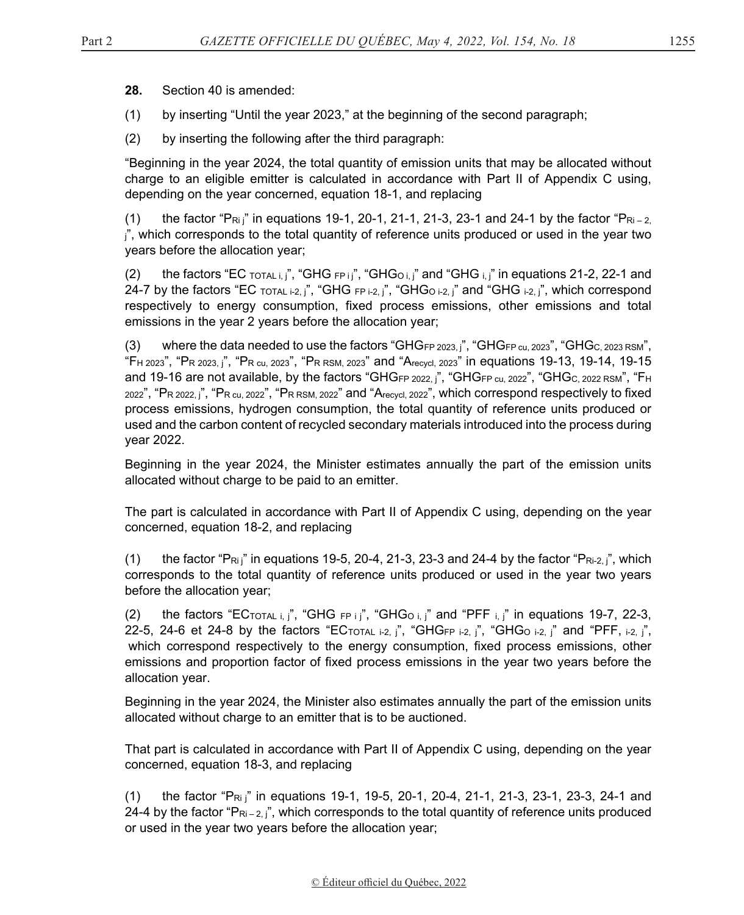**28.** Section 40 is amended:

- (1) by inserting "Until the year 2023," at the beginning of the second paragraph;
- (2) by inserting the following after the third paragraph:

"Beginning in the year 2024, the total quantity of emission units that may be allocated without charge to an eligible emitter is calculated in accordance with Part II of Appendix C using, depending on the year concerned, equation 18-1, and replacing

(1) the factor "P<sub>Ri j</sub>" in equations 19-1, 20-1, 21-1, 21-3, 23-1 and 24-1 by the factor "P<sub>Ri-2,</sub>  $j''$ , which corresponds to the total quantity of reference units produced or used in the year two years before the allocation year;

(2) the factors "EC  $\text{total } i$ ,  $j$ ", "GHG  $\text{FP } i$   $j$ ", "GHG $\text{obj } j$ " and "GHG  $\text{obj } j$ " in equations 21-2, 22-1 and 24-7 by the factors "EC TOTAL i-2, j", "GHG FP i-2, j", "GHG<sub>O i-2</sub>, j" and "GHG i-2, j", which correspond respectively to energy consumption, fixed process emissions, other emissions and total emissions in the year 2 years before the allocation year;

(3) where the data needed to use the factors "GHGFP  $2023$ ,  $\beta$ ", "GHGFP  $cu$ ,  $2023$ ", "GHG $c$ ,  $2023$  RSM", "FH 2023", "PR 2023, j", "PR cu, 2023", "PR RSM, 2023" and "Arecycl, 2023" in equations 19-13, 19-14, 19-15 and 19-16 are not available, by the factors "GHGFP 2022, j", "GHGFP cu, 2022", "GHGC, 2022 RSM", "FH 2022", "PR 2022, i", "PR cu, 2022", "PR RSM, 2022" and "Arecycl, 2022", which correspond respectively to fixed process emissions, hydrogen consumption, the total quantity of reference units produced or used and the carbon content of recycled secondary materials introduced into the process during year 2022.

Beginning in the year 2024, the Minister estimates annually the part of the emission units allocated without charge to be paid to an emitter.

The part is calculated in accordance with Part II of Appendix C using, depending on the year concerned, equation 18-2, and replacing

(1) the factor "P $R_{ij}$ " in equations 19-5, 20-4, 21-3, 23-3 and 24-4 by the factor "P $R_{i-2}$ ,  $j$ ", which corresponds to the total quantity of reference units produced or used in the year two years before the allocation year;

(2) the factors "ECTOTAL i, j", "GHG  $FPI$ ", "GHGO i, j" and "PFF i, j" in equations 19-7, 22-3, 22-5, 24-6 et 24-8 by the factors "ECTOTAL i-2, j", "GHGFP i-2, j", "GHG<sub>O i-2, j</sub>" and "PFF, i-2, j", which correspond respectively to the energy consumption, fixed process emissions, other emissions and proportion factor of fixed process emissions in the year two years before the allocation year.

Beginning in the year 2024, the Minister also estimates annually the part of the emission units allocated without charge to an emitter that is to be auctioned.

That part is calculated in accordance with Part II of Appendix C using, depending on the year concerned, equation 18-3, and replacing

(1) the factor "P<sub>Ri j</sub>" in equations 19-1, 19-5, 20-1, 20-4, 21-1, 21-3, 23-1, 23-3, 24-1 and 24-4 by the factor " $\mathsf{Pr}_{i-2,j}$ ", which corresponds to the total quantity of reference units produced or used in the year two years before the allocation year;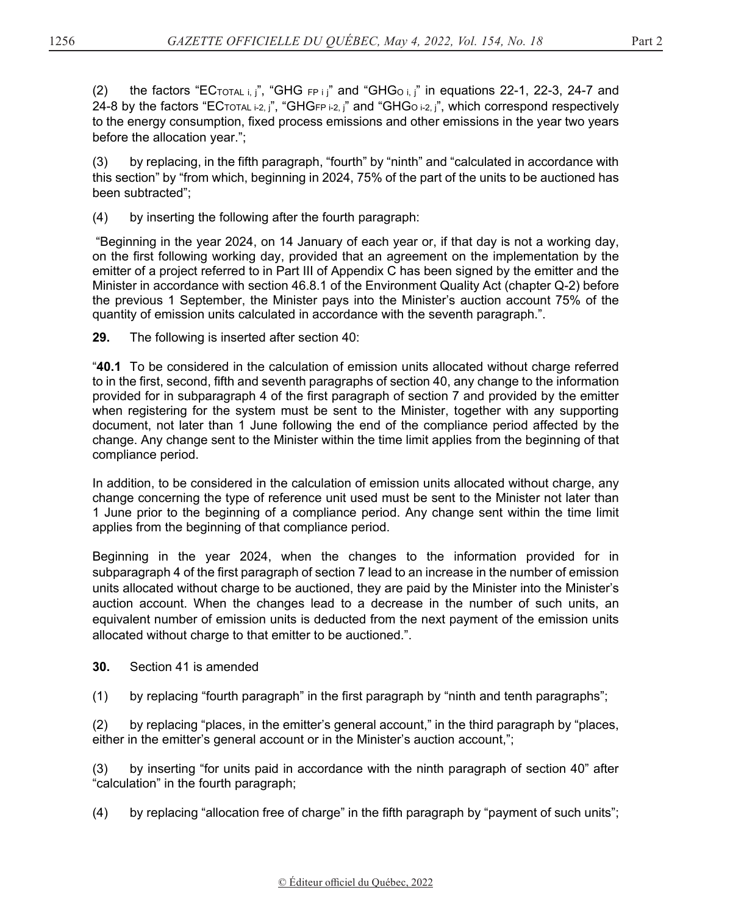(2) the factors "ECTOTAL i, j", "GHG FP i j" and "GHG<sub>O i, j</sub>" in equations 22-1, 22-3, 24-7 and 24-8 by the factors "ECTOTAL i-2, j", "GHGFP i-2, j" and "GHG<sub>O</sub> i-2, j", which correspond respectively to the energy consumption, fixed process emissions and other emissions in the year two years before the allocation year.";

(3) by replacing, in the fifth paragraph, "fourth" by "ninth" and "calculated in accordance with this section" by "from which, beginning in 2024, 75% of the part of the units to be auctioned has been subtracted";

(4) by inserting the following after the fourth paragraph:

 "Beginning in the year 2024, on 14 January of each year or, if that day is not a working day, on the first following working day, provided that an agreement on the implementation by the emitter of a project referred to in Part III of Appendix C has been signed by the emitter and the Minister in accordance with section 46.8.1 of the Environment Quality Act (chapter Q-2) before the previous 1 September, the Minister pays into the Minister's auction account 75% of the quantity of emission units calculated in accordance with the seventh paragraph.".

**29.** The following is inserted after section 40:

"**40.1** To be considered in the calculation of emission units allocated without charge referred to in the first, second, fifth and seventh paragraphs of section 40, any change to the information provided for in subparagraph 4 of the first paragraph of section 7 and provided by the emitter when registering for the system must be sent to the Minister, together with any supporting document, not later than 1 June following the end of the compliance period affected by the change. Any change sent to the Minister within the time limit applies from the beginning of that compliance period.

In addition, to be considered in the calculation of emission units allocated without charge, any change concerning the type of reference unit used must be sent to the Minister not later than 1 June prior to the beginning of a compliance period. Any change sent within the time limit applies from the beginning of that compliance period.

Beginning in the year 2024, when the changes to the information provided for in subparagraph 4 of the first paragraph of section 7 lead to an increase in the number of emission units allocated without charge to be auctioned, they are paid by the Minister into the Minister's auction account. When the changes lead to a decrease in the number of such units, an equivalent number of emission units is deducted from the next payment of the emission units allocated without charge to that emitter to be auctioned.".

- **30.** Section 41 is amended
- (1) by replacing "fourth paragraph" in the first paragraph by "ninth and tenth paragraphs";

(2) by replacing "places, in the emitter's general account," in the third paragraph by "places, either in the emitter's general account or in the Minister's auction account,";

(3) by inserting "for units paid in accordance with the ninth paragraph of section 40" after "calculation" in the fourth paragraph;

(4) by replacing "allocation free of charge" in the fifth paragraph by "payment of such units";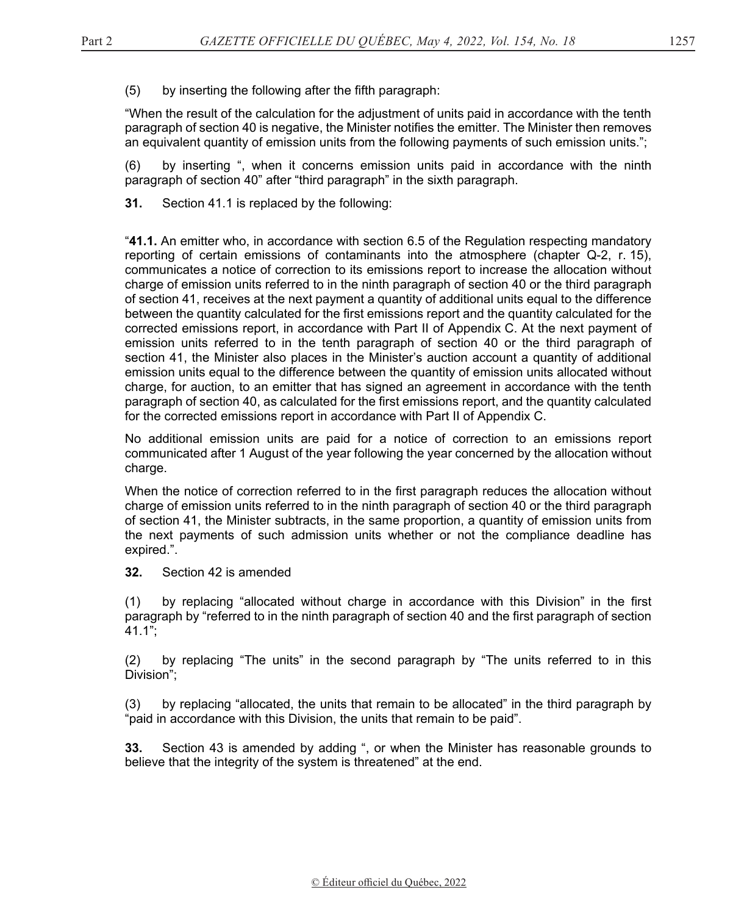(5) by inserting the following after the fifth paragraph:

"When the result of the calculation for the adjustment of units paid in accordance with the tenth paragraph of section 40 is negative, the Minister notifies the emitter. The Minister then removes an equivalent quantity of emission units from the following payments of such emission units.";

(6) by inserting ", when it concerns emission units paid in accordance with the ninth paragraph of section 40" after "third paragraph" in the sixth paragraph.

**31.** Section 41.1 is replaced by the following:

"**41.1.** An emitter who, in accordance with section 6.5 of the Regulation respecting mandatory reporting of certain emissions of contaminants into the atmosphere (chapter Q-2, r. 15), communicates a notice of correction to its emissions report to increase the allocation without charge of emission units referred to in the ninth paragraph of section 40 or the third paragraph of section 41, receives at the next payment a quantity of additional units equal to the difference between the quantity calculated for the first emissions report and the quantity calculated for the corrected emissions report, in accordance with Part II of Appendix C. At the next payment of emission units referred to in the tenth paragraph of section 40 or the third paragraph of section 41, the Minister also places in the Minister's auction account a quantity of additional emission units equal to the difference between the quantity of emission units allocated without charge, for auction, to an emitter that has signed an agreement in accordance with the tenth paragraph of section 40, as calculated for the first emissions report, and the quantity calculated for the corrected emissions report in accordance with Part II of Appendix C.

No additional emission units are paid for a notice of correction to an emissions report communicated after 1 August of the year following the year concerned by the allocation without charge.

When the notice of correction referred to in the first paragraph reduces the allocation without charge of emission units referred to in the ninth paragraph of section 40 or the third paragraph of section 41, the Minister subtracts, in the same proportion, a quantity of emission units from the next payments of such admission units whether or not the compliance deadline has expired.".

**32.** Section 42 is amended

(1) by replacing "allocated without charge in accordance with this Division" in the first paragraph by "referred to in the ninth paragraph of section 40 and the first paragraph of section 41.1";

(2) by replacing "The units" in the second paragraph by "The units referred to in this Division";

(3) by replacing "allocated, the units that remain to be allocated" in the third paragraph by "paid in accordance with this Division, the units that remain to be paid".

**33.** Section 43 is amended by adding ", or when the Minister has reasonable grounds to believe that the integrity of the system is threatened" at the end.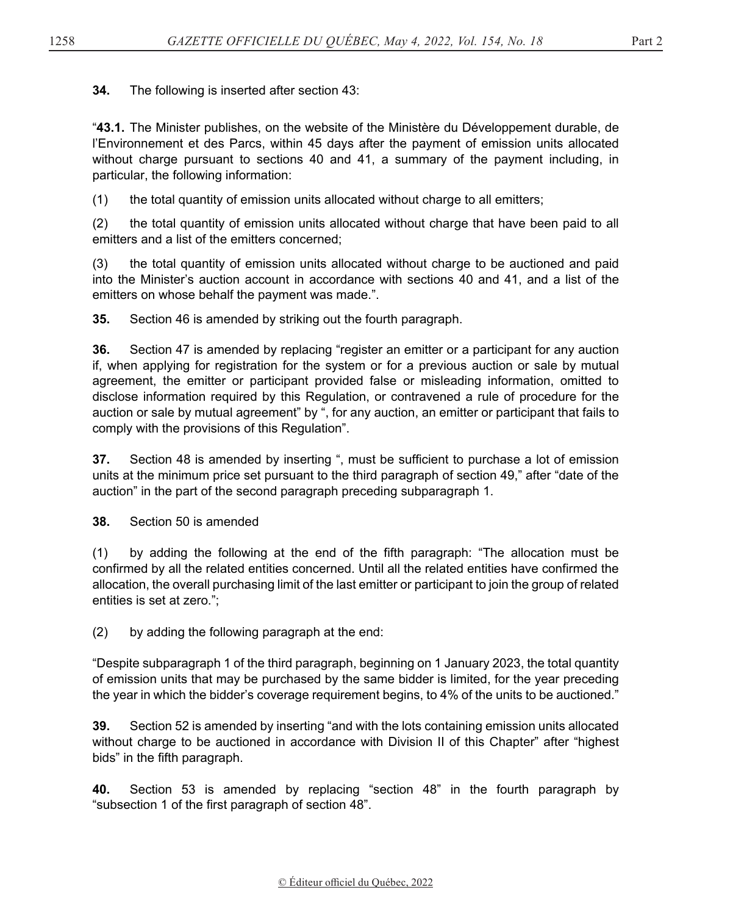**34.** The following is inserted after section 43:

"**43.1.** The Minister publishes, on the website of the Ministère du Développement durable, de l'Environnement et des Parcs, within 45 days after the payment of emission units allocated without charge pursuant to sections 40 and 41, a summary of the payment including, in particular, the following information:

(1) the total quantity of emission units allocated without charge to all emitters;

(2) the total quantity of emission units allocated without charge that have been paid to all emitters and a list of the emitters concerned;

(3) the total quantity of emission units allocated without charge to be auctioned and paid into the Minister's auction account in accordance with sections 40 and 41, and a list of the emitters on whose behalf the payment was made.".

**35.** Section 46 is amended by striking out the fourth paragraph.

**36.** Section 47 is amended by replacing "register an emitter or a participant for any auction if, when applying for registration for the system or for a previous auction or sale by mutual agreement, the emitter or participant provided false or misleading information, omitted to disclose information required by this Regulation, or contravened a rule of procedure for the auction or sale by mutual agreement" by ", for any auction, an emitter or participant that fails to comply with the provisions of this Regulation".

**37.** Section 48 is amended by inserting ", must be sufficient to purchase a lot of emission units at the minimum price set pursuant to the third paragraph of section 49," after "date of the auction" in the part of the second paragraph preceding subparagraph 1.

**38.** Section 50 is amended

(1) by adding the following at the end of the fifth paragraph: "The allocation must be confirmed by all the related entities concerned. Until all the related entities have confirmed the allocation, the overall purchasing limit of the last emitter or participant to join the group of related entities is set at zero.";

(2) by adding the following paragraph at the end:

"Despite subparagraph 1 of the third paragraph, beginning on 1 January 2023, the total quantity of emission units that may be purchased by the same bidder is limited, for the year preceding the year in which the bidder's coverage requirement begins, to 4% of the units to be auctioned."

**39.** Section 52 is amended by inserting "and with the lots containing emission units allocated without charge to be auctioned in accordance with Division II of this Chapter" after "highest bids" in the fifth paragraph.

**40.** Section 53 is amended by replacing "section 48" in the fourth paragraph by "subsection 1 of the first paragraph of section 48".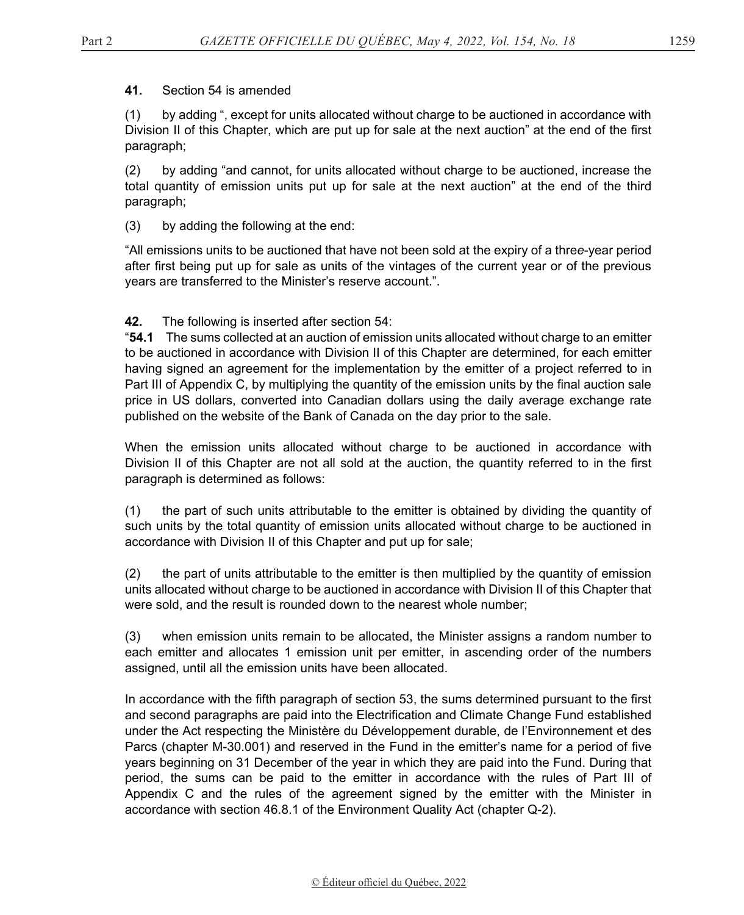**41.** Section 54 is amended

(1) by adding ", except for units allocated without charge to be auctioned in accordance with Division II of this Chapter, which are put up for sale at the next auction" at the end of the first paragraph;

(2) by adding "and cannot, for units allocated without charge to be auctioned, increase the total quantity of emission units put up for sale at the next auction" at the end of the third paragraph;

(3) by adding the following at the end:

"All emissions units to be auctioned that have not been sold at the expiry of a thre*e*-year period after first being put up for sale as units of the vintages of the current year or of the previous years are transferred to the Minister's reserve account.".

#### **42.** The following is inserted after section 54:

"**54.1** The sums collected at an auction of emission units allocated without charge to an emitter to be auctioned in accordance with Division II of this Chapter are determined, for each emitter having signed an agreement for the implementation by the emitter of a project referred to in Part III of Appendix C, by multiplying the quantity of the emission units by the final auction sale price in US dollars, converted into Canadian dollars using the daily average exchange rate published on the website of the Bank of Canada on the day prior to the sale.

When the emission units allocated without charge to be auctioned in accordance with Division II of this Chapter are not all sold at the auction, the quantity referred to in the first paragraph is determined as follows:

(1) the part of such units attributable to the emitter is obtained by dividing the quantity of such units by the total quantity of emission units allocated without charge to be auctioned in accordance with Division II of this Chapter and put up for sale;

(2) the part of units attributable to the emitter is then multiplied by the quantity of emission units allocated without charge to be auctioned in accordance with Division II of this Chapter that were sold, and the result is rounded down to the nearest whole number;

(3) when emission units remain to be allocated, the Minister assigns a random number to each emitter and allocates 1 emission unit per emitter, in ascending order of the numbers assigned, until all the emission units have been allocated.

In accordance with the fifth paragraph of section 53, the sums determined pursuant to the first and second paragraphs are paid into the Electrification and Climate Change Fund established under the Act respecting the Ministère du Développement durable, de l'Environnement et des Parcs (chapter M-30.001) and reserved in the Fund in the emitter's name for a period of five years beginning on 31 December of the year in which they are paid into the Fund. During that period, the sums can be paid to the emitter in accordance with the rules of Part III of Appendix C and the rules of the agreement signed by the emitter with the Minister in accordance with section 46.8.1 of the Environment Quality Act (chapter Q-2).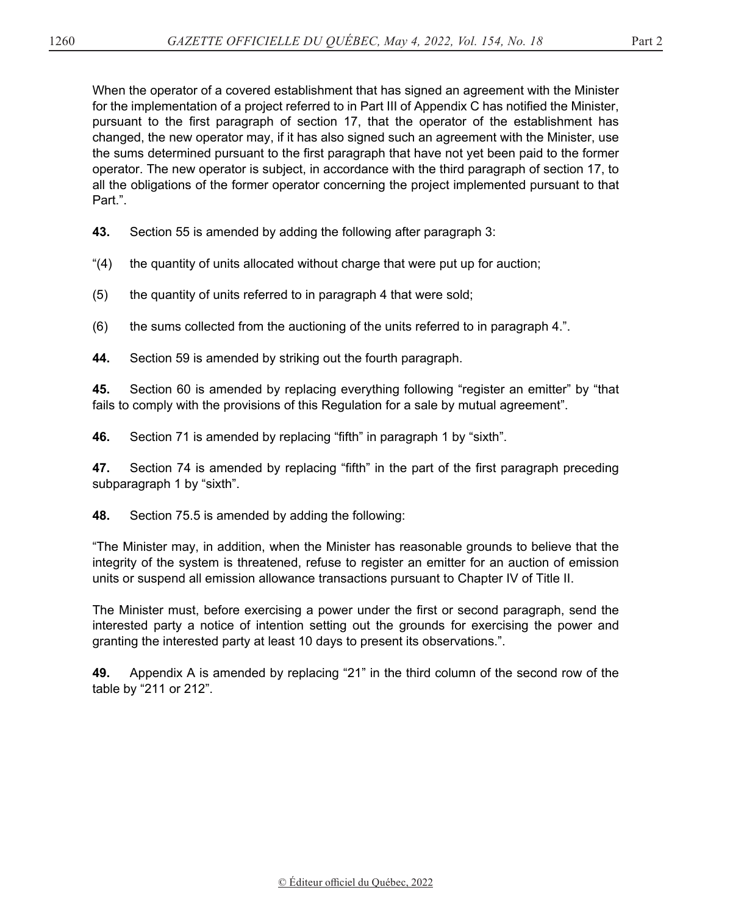When the operator of a covered establishment that has signed an agreement with the Minister for the implementation of a project referred to in Part III of Appendix C has notified the Minister, pursuant to the first paragraph of section 17, that the operator of the establishment has changed, the new operator may, if it has also signed such an agreement with the Minister, use the sums determined pursuant to the first paragraph that have not yet been paid to the former operator. The new operator is subject, in accordance with the third paragraph of section 17, to all the obligations of the former operator concerning the project implemented pursuant to that Part.".

**43.** Section 55 is amended by adding the following after paragraph 3:

"(4) the quantity of units allocated without charge that were put up for auction;

(5) the quantity of units referred to in paragraph 4 that were sold;

(6) the sums collected from the auctioning of the units referred to in paragraph 4.".

**44.** Section 59 is amended by striking out the fourth paragraph.

**45.** Section 60 is amended by replacing everything following "register an emitter" by "that fails to comply with the provisions of this Regulation for a sale by mutual agreement".

**46.** Section 71 is amended by replacing "fifth" in paragraph 1 by "sixth".

**47.** Section 74 is amended by replacing "fifth" in the part of the first paragraph preceding subparagraph 1 by "sixth".

**48.** Section 75.5 is amended by adding the following:

"The Minister may, in addition, when the Minister has reasonable grounds to believe that the integrity of the system is threatened, refuse to register an emitter for an auction of emission units or suspend all emission allowance transactions pursuant to Chapter IV of Title II.

The Minister must, before exercising a power under the first or second paragraph, send the interested party a notice of intention setting out the grounds for exercising the power and granting the interested party at least 10 days to present its observations.".

**49.** Appendix A is amended by replacing "21" in the third column of the second row of the table by "211 or 212".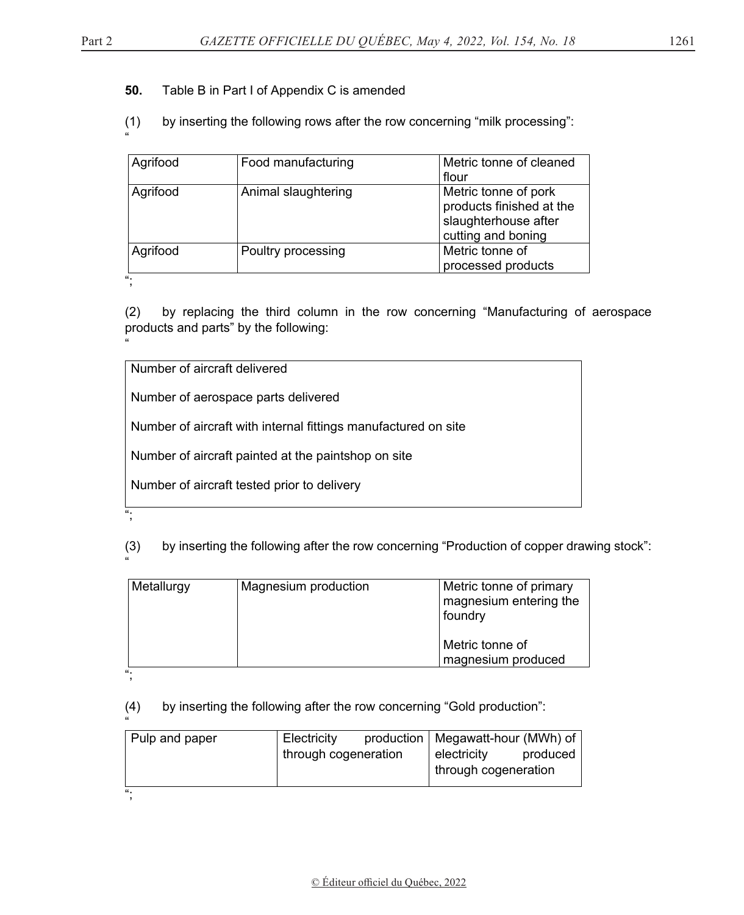#### **50.** Table B in Part I of Appendix C is amended

#### (1) by inserting the following rows after the row concerning "milk processing":

| Metric tonne of pork<br>products finished at the<br>slaughterhouse after<br>cutting and boning |
|------------------------------------------------------------------------------------------------|
| Metric tonne of<br>processed products                                                          |
|                                                                                                |

(2) by replacing the third column in the row concerning "Manufacturing of aerospace products and parts" by the following:

Number of aircraft delivered

Number of aerospace parts delivered

Number of aircraft with internal fittings manufactured on site

Number of aircraft painted at the paintshop on site

Number of aircraft tested prior to delivery

(3) by inserting the following after the row concerning "Production of copper drawing stock":

| Metallurgy | Magnesium production | Metric tonne of primary<br>magnesium entering the<br>foundry |
|------------|----------------------|--------------------------------------------------------------|
|            |                      | Metric tonne of<br>magnesium produced                        |
| "          |                      |                                                              |

";

";

"

(4) by inserting the following after the row concerning "Gold production":

| $\epsilon$     |                      |                                     |          |
|----------------|----------------------|-------------------------------------|----------|
| Pulp and paper | Electricity          | production   Megawatt-hour (MWh) of |          |
|                | through cogeneration | electricity                         | produced |
|                |                      | through cogeneration                |          |
|                |                      |                                     |          |
| "              |                      |                                     |          |
|                |                      |                                     |          |

"

"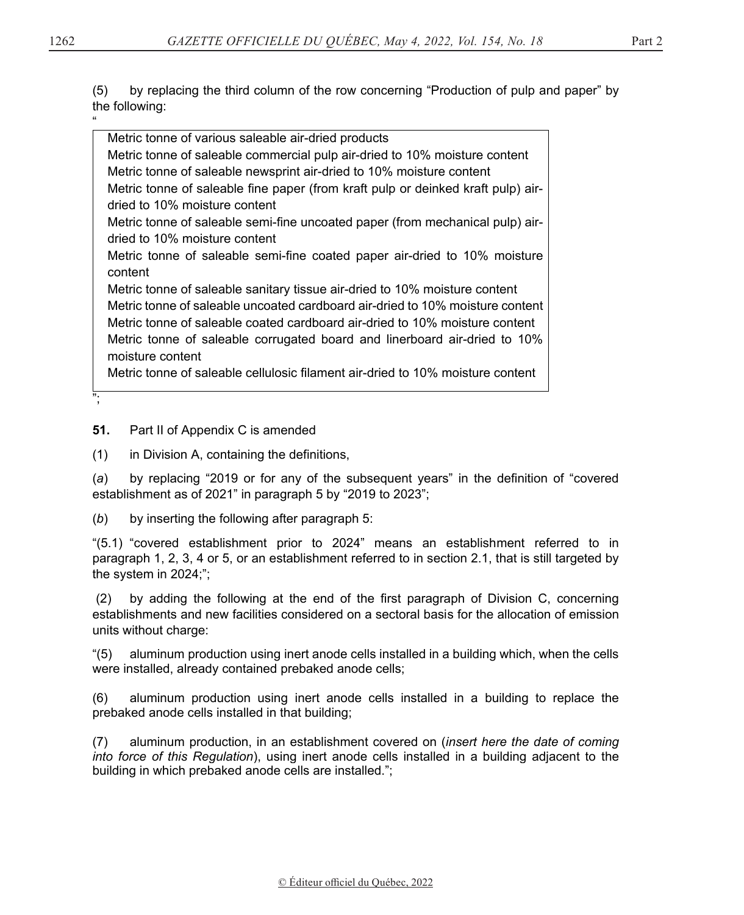(5) by replacing the third column of the row concerning "Production of pulp and paper" by the following:

" Metric tonne of various saleable air-dried products Metric tonne of saleable commercial pulp air-dried to 10% moisture content Metric tonne of saleable newsprint air-dried to 10% moisture content Metric tonne of saleable fine paper (from kraft pulp or deinked kraft pulp) airdried to 10% moisture content Metric tonne of saleable semi-fine uncoated paper (from mechanical pulp) airdried to 10% moisture content Metric tonne of saleable semi-fine coated paper air-dried to 10% moisture content Metric tonne of saleable sanitary tissue air-dried to 10% moisture content Metric tonne of saleable uncoated cardboard air-dried to 10% moisture content Metric tonne of saleable coated cardboard air-dried to 10% moisture content Metric tonne of saleable corrugated board and linerboard air-dried to 10% moisture content Metric tonne of saleable cellulosic filament air-dried to 10% moisture content

**51.** Part II of Appendix C is amended

(1) in Division A, containing the definitions,

(*a*) by replacing "2019 or for any of the subsequent years" in the definition of "covered establishment as of 2021" in paragraph 5 by "2019 to 2023";

(*b*) by inserting the following after paragraph 5:

"(5.1) "covered establishment prior to 2024" means an establishment referred to in paragraph 1, 2, 3, 4 or 5, or an establishment referred to in section 2.1, that is still targeted by the system in 2024;";

 (2) by adding the following at the end of the first paragraph of Division C, concerning establishments and new facilities considered on a sectoral basis for the allocation of emission units without charge:

"(5) aluminum production using inert anode cells installed in a building which, when the cells were installed, already contained prebaked anode cells;

(6) aluminum production using inert anode cells installed in a building to replace the prebaked anode cells installed in that building;

(7) aluminum production, in an establishment covered on (*insert here the date of coming into force of this Regulation*), using inert anode cells installed in a building adjacent to the building in which prebaked anode cells are installed.";

";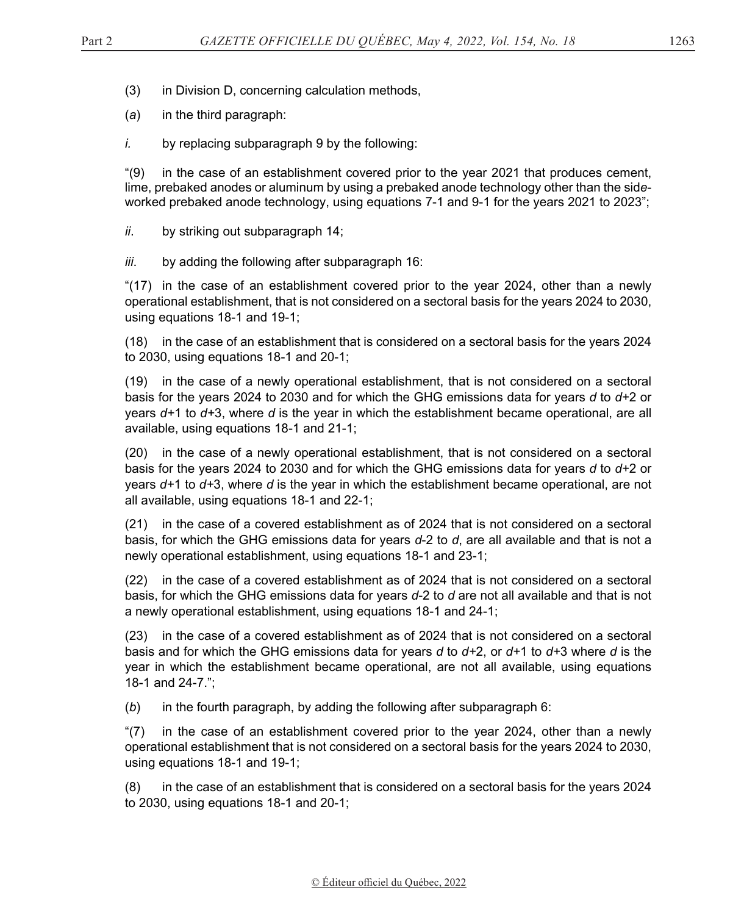- (3) in Division D, concerning calculation methods,
- (*a*) in the third paragraph:
- *i.* by replacing subparagraph 9 by the following:

"(9) in the case of an establishment covered prior to the year 2021 that produces cement, lime, prebaked anodes or aluminum by using a prebaked anode technology other than the sid*e*worked prebaked anode technology, using equations 7-1 and 9-1 for the years 2021 to 2023";

- *ii*. by striking out subparagraph 14;
- *iii*. by adding the following after subparagraph 16:

"(17) in the case of an establishment covered prior to the year 2024, other than a newly operational establishment, that is not considered on a sectoral basis for the years 2024 to 2030, using equations 18-1 and 19-1;

(18) in the case of an establishment that is considered on a sectoral basis for the years 2024 to 2030, using equations 18-1 and 20-1;

(19) in the case of a newly operational establishment, that is not considered on a sectoral basis for the years 2024 to 2030 and for which the GHG emissions data for years *d* to *d+*2 or years *d+*1 to *d+*3, where *d* is the year in which the establishment became operational, are all available, using equations 18-1 and 21-1;

(20) in the case of a newly operational establishment, that is not considered on a sectoral basis for the years 2024 to 2030 and for which the GHG emissions data for years *d* to *d+*2 or years *d+*1 to *d+*3, where *d* is the year in which the establishment became operational, are not all available, using equations 18-1 and 22-1;

(21) in the case of a covered establishment as of 2024 that is not considered on a sectoral basis, for which the GHG emissions data for years *d*-2 to *d*, are all available and that is not a newly operational establishment, using equations 18-1 and 23-1;

(22) in the case of a covered establishment as of 2024 that is not considered on a sectoral basis, for which the GHG emissions data for years *d*-2 to *d* are not all available and that is not a newly operational establishment, using equations 18-1 and 24-1;

(23) in the case of a covered establishment as of 2024 that is not considered on a sectoral basis and for which the GHG emissions data for years *d* to *d+*2, or *d+*1 to *d+*3 where *d* is the year in which the establishment became operational, are not all available, using equations 18-1 and 24-7.";

(*b*) in the fourth paragraph, by adding the following after subparagraph 6:

"(7) in the case of an establishment covered prior to the year 2024, other than a newly operational establishment that is not considered on a sectoral basis for the years 2024 to 2030, using equations 18-1 and 19-1;

(8) in the case of an establishment that is considered on a sectoral basis for the years 2024 to 2030, using equations 18-1 and 20-1;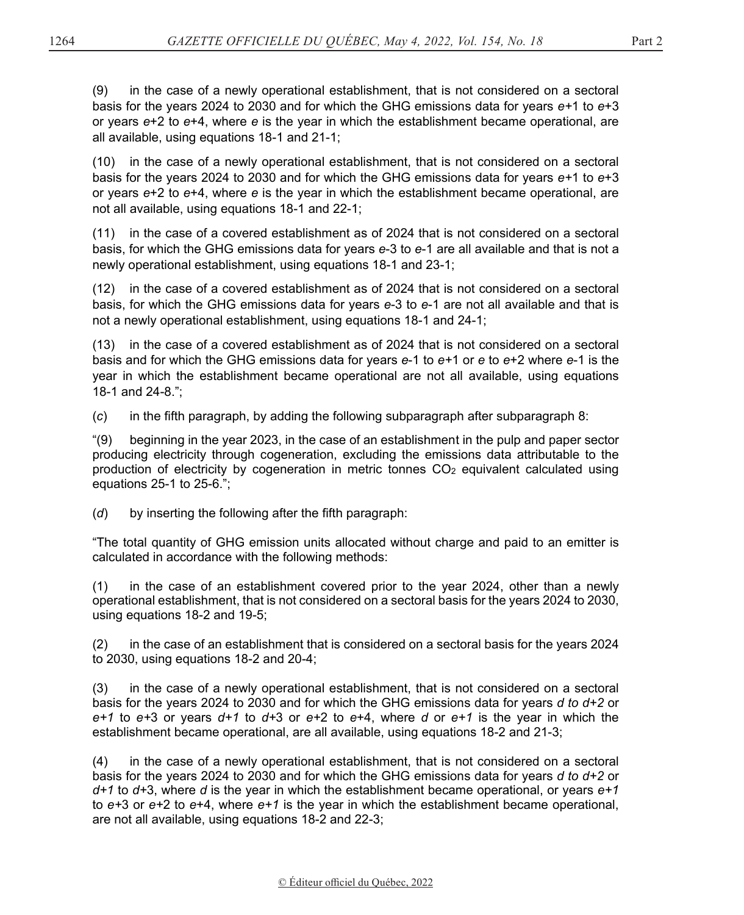(9) in the case of a newly operational establishment, that is not considered on a sectoral basis for the years 2024 to 2030 and for which the GHG emissions data for years *e+*1 to *e*+3 or years *e*+2 to *e*+4, where *e* is the year in which the establishment became operational, are all available, using equations 18-1 and 21-1;

(10) in the case of a newly operational establishment, that is not considered on a sectoral basis for the years 2024 to 2030 and for which the GHG emissions data for years *e+*1 to *e*+3 or years *e*+2 to *e*+4, where *e* is the year in which the establishment became operational, are not all available, using equations 18-1 and 22-1;

(11) in the case of a covered establishment as of 2024 that is not considered on a sectoral basis, for which the GHG emissions data for years *e*-3 to *e*-1 are all available and that is not a newly operational establishment, using equations 18-1 and 23-1;

(12) in the case of a covered establishment as of 2024 that is not considered on a sectoral basis, for which the GHG emissions data for years *e*-3 to *e*-1 are not all available and that is not a newly operational establishment, using equations 18-1 and 24-1;

(13) in the case of a covered establishment as of 2024 that is not considered on a sectoral basis and for which the GHG emissions data for years *e*-1 to *e+*1 or *e* to *e*+2 where *e*-1 is the year in which the establishment became operational are not all available, using equations 18-1 and 24-8.";

(*c*) in the fifth paragraph, by adding the following subparagraph after subparagraph 8:

"(9) beginning in the year 2023, in the case of an establishment in the pulp and paper sector producing electricity through cogeneration, excluding the emissions data attributable to the production of electricity by cogeneration in metric tonnes CO2 equivalent calculated using equations 25-1 to 25-6.";

(*d*) by inserting the following after the fifth paragraph:

"The total quantity of GHG emission units allocated without charge and paid to an emitter is calculated in accordance with the following methods:

(1) in the case of an establishment covered prior to the year 2024, other than a newly operational establishment, that is not considered on a sectoral basis for the years 2024 to 2030, using equations 18-2 and 19-5;

(2) in the case of an establishment that is considered on a sectoral basis for the years 2024 to 2030, using equations 18-2 and 20-4;

(3) in the case of a newly operational establishment, that is not considered on a sectoral basis for the years 2024 to 2030 and for which the GHG emissions data for years *d to d+2* or *e+1* to *e+*3 or years *d+1* to *d+*3 or *e+*2 to *e*+4, where *d* or *e+1* is the year in which the establishment became operational, are all available, using equations 18-2 and 21-3;

(4) in the case of a newly operational establishment, that is not considered on a sectoral basis for the years 2024 to 2030 and for which the GHG emissions data for years *d to d+2* or *d+1* to *d+*3, where *d* is the year in which the establishment became operational, or years *e+1* to *e+*3 or *e+*2 to *e*+4, where *e+1* is the year in which the establishment became operational, are not all available, using equations 18-2 and 22-3;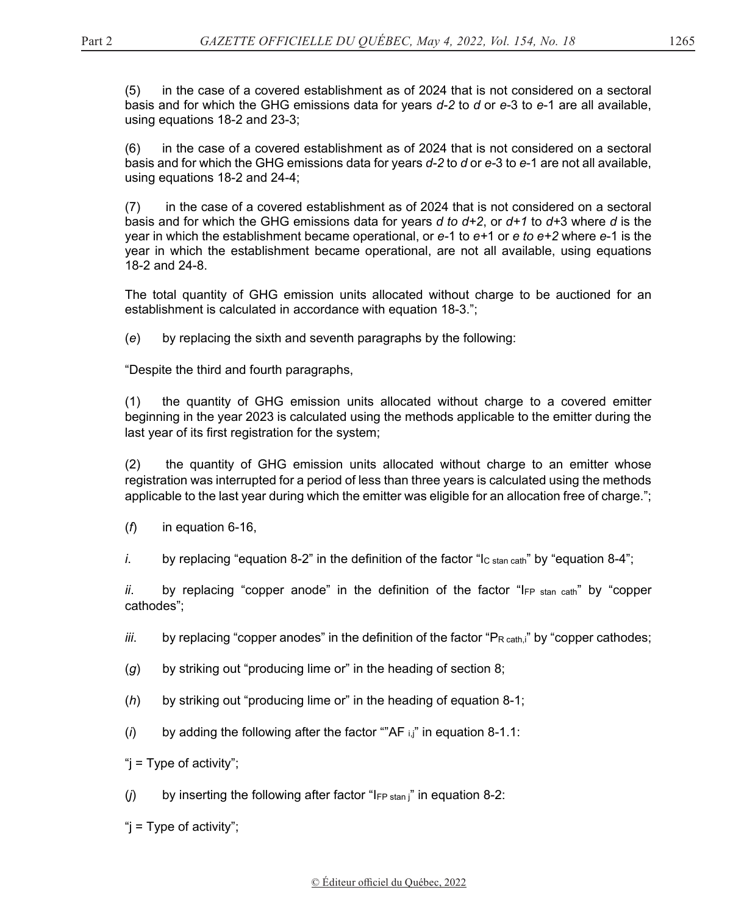(5) in the case of a covered establishment as of 2024 that is not considered on a sectoral basis and for which the GHG emissions data for years *d-2* to *d* or *e-*3 to *e*-1 are all available, using equations 18-2 and 23-3;

(6) in the case of a covered establishment as of 2024 that is not considered on a sectoral basis and for which the GHG emissions data for years *d-2* to *d* or *e-*3 to *e*-1 are not all available, using equations 18-2 and 24-4;

(7) in the case of a covered establishment as of 2024 that is not considered on a sectoral basis and for which the GHG emissions data for years *d to d+2*, or *d+1* to *d+*3 where *d* is the year in which the establishment became operational, or *e-*1 to *e+*1 or *e to e+2* where *e*-1 is the year in which the establishment became operational, are not all available, using equations 18-2 and 24-8.

The total quantity of GHG emission units allocated without charge to be auctioned for an establishment is calculated in accordance with equation 18-3.";

(*e*) by replacing the sixth and seventh paragraphs by the following:

"Despite the third and fourth paragraphs,

(1) the quantity of GHG emission units allocated without charge to a covered emitter beginning in the year 2023 is calculated using the methods applicable to the emitter during the last year of its first registration for the system;

(2) the quantity of GHG emission units allocated without charge to an emitter whose registration was interrupted for a period of less than three years is calculated using the methods applicable to the last year during which the emitter was eligible for an allocation free of charge.";

(*f*) in equation 6-16,

*i.* by replacing "equation 8-2" in the definition of the factor " $\log \tan \cot^n$  by "equation 8-4";

*ii*. by replacing "copper anode" in the definition of the factor "I<sub>FP stan cath</sub>" by "copper cathodes";

*iii*. by replacing "copper anodes" in the definition of the factor "P<sub>R cath,i</sub>" by "copper cathodes;

- (*g*) by striking out "producing lime or" in the heading of section 8;
- (*h*) by striking out "producing lime or" in the heading of equation 8-1;
- (*i*) by adding the following after the factor ""AF i,j" in equation 8-1.1:

" $i =$  Type of activity";

 $(j)$  by inserting the following after factor " $I_{FP \text{stan } i}$ " in equation 8-2:

"j = Type of activity";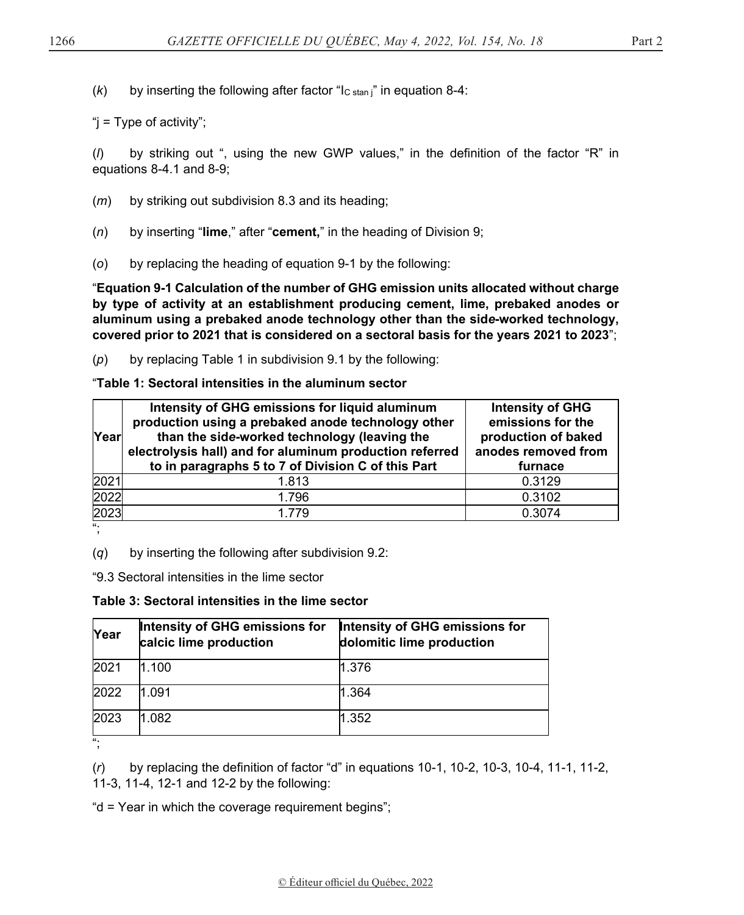$(k)$  by inserting the following after factor "I<sub>C stan</sub>" in equation 8-4:

"j = Type of activity";

(*l*) by striking out ", using the new GWP values," in the definition of the factor "R" in equations 8-4.1 and 8-9;

- (*m*) by striking out subdivision 8.3 and its heading;
- (*n*) by inserting "**lime**," after "**cement,**" in the heading of Division 9;
- (*o*) by replacing the heading of equation 9-1 by the following:

"**Equation 9-1 Calculation of the number of GHG emission units allocated without charge by type of activity at an establishment producing cement, lime, prebaked anodes or aluminum using a prebaked anode technology other than the sid***e***-worked technology, covered prior to 2021 that is considered on a sectoral basis for the years 2021 to 2023**";

(*p*) by replacing Table 1 in subdivision 9.1 by the following:

### "**Table 1: Sectoral intensities in the aluminum sector**

| <b>Year</b> | Intensity of GHG emissions for liquid aluminum<br>production using a prebaked anode technology other<br>than the side-worked technology (leaving the<br>electrolysis hall) and for aluminum production referred<br>to in paragraphs 5 to 7 of Division C of this Part | <b>Intensity of GHG</b><br>emissions for the<br>production of baked<br>anodes removed from<br>furnace |
|-------------|-----------------------------------------------------------------------------------------------------------------------------------------------------------------------------------------------------------------------------------------------------------------------|-------------------------------------------------------------------------------------------------------|
| 2021        | 1.813                                                                                                                                                                                                                                                                 | 0.3129                                                                                                |
| 2022        | 1.796                                                                                                                                                                                                                                                                 | 0.3102                                                                                                |
| 2023        | 1.779                                                                                                                                                                                                                                                                 | 0.3074                                                                                                |

";

(*q*) by inserting the following after subdivision 9.2:

"9.3 Sectoral intensities in the lime sector

### **Table 3: Sectoral intensities in the lime sector**

| Year | Intensity of GHG emissions for<br>calcic lime production | Intensity of GHG emissions for<br>dolomitic lime production |
|------|----------------------------------------------------------|-------------------------------------------------------------|
| 2021 | 1.100                                                    | 1.376                                                       |
| 2022 | 1.091                                                    | 1.364                                                       |
| 2023 | 1.082                                                    | 1.352                                                       |
| и.   |                                                          |                                                             |

(*r*) by replacing the definition of factor "d" in equations 10-1, 10-2, 10-3, 10-4, 11-1, 11-2,

11-3, 11-4, 12-1 and 12-2 by the following:

"d = Year in which the coverage requirement begins";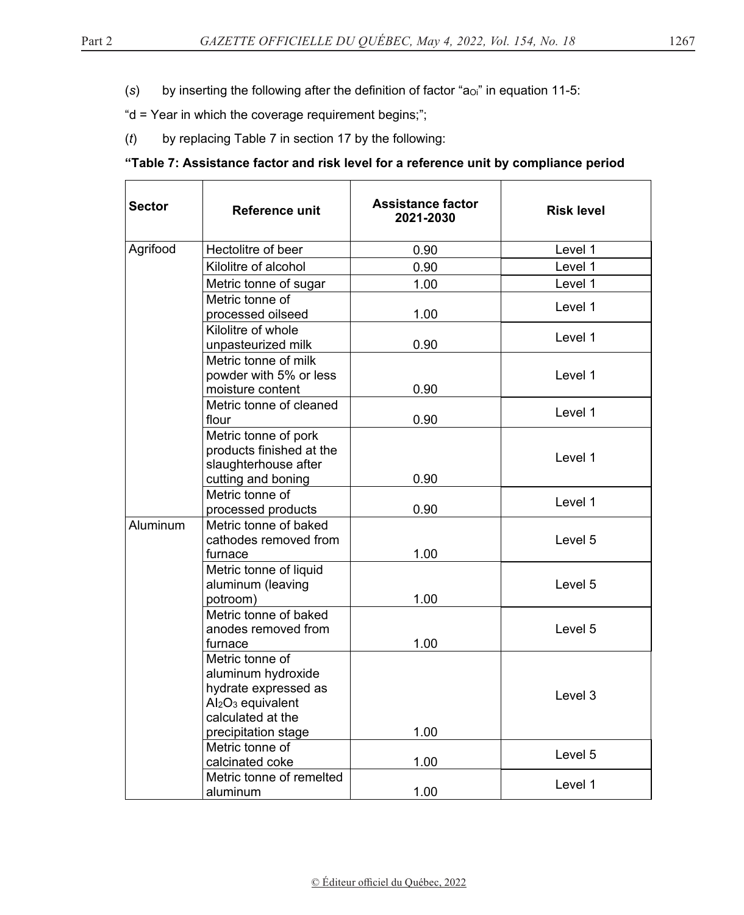(s) by inserting the following after the definition of factor "a<sub>Oi</sub>" in equation 11-5:

"d = Year in which the coverage requirement begins;";

(*t*) by replacing Table 7 in section 17 by the following:

## **"Table 7: Assistance factor and risk level for a reference unit by compliance period**

| <b>Sector</b> | Reference unit                                                                                                                                         | Assistance factor<br>2021-2030 | <b>Risk level</b> |
|---------------|--------------------------------------------------------------------------------------------------------------------------------------------------------|--------------------------------|-------------------|
| Agrifood      | Hectolitre of beer                                                                                                                                     | 0.90                           | Level 1           |
|               | Kilolitre of alcohol                                                                                                                                   | 0.90                           | Level 1           |
|               | Metric tonne of sugar                                                                                                                                  | 1.00                           | Level 1           |
|               | Metric tonne of<br>processed oilseed                                                                                                                   | 1.00                           | Level 1           |
|               | Kilolitre of whole<br>unpasteurized milk                                                                                                               | 0.90                           | Level 1           |
|               | Metric tonne of milk<br>powder with 5% or less<br>moisture content                                                                                     | 0.90                           | Level 1           |
|               | Metric tonne of cleaned<br>flour                                                                                                                       | 0.90                           | Level 1           |
|               | Metric tonne of pork<br>products finished at the<br>slaughterhouse after<br>cutting and boning                                                         | 0.90                           | Level 1           |
|               | Metric tonne of<br>processed products                                                                                                                  | 0.90                           | Level 1           |
| Aluminum      | Metric tonne of baked<br>cathodes removed from<br>furnace                                                                                              | 1.00                           | Level 5           |
|               | Metric tonne of liquid<br>aluminum (leaving<br>potroom)                                                                                                | 1.00                           | Level 5           |
|               | Metric tonne of baked<br>anodes removed from<br>furnace                                                                                                | 1.00                           | Level 5           |
|               | Metric tonne of<br>aluminum hydroxide<br>hydrate expressed as<br>Al <sub>2</sub> O <sub>3</sub> equivalent<br>calculated at the<br>precipitation stage | 1.00                           | Level 3           |
|               | Metric tonne of<br>calcinated coke                                                                                                                     | 1.00                           | Level 5           |
|               | Metric tonne of remelted<br>aluminum                                                                                                                   | 1.00                           | Level 1           |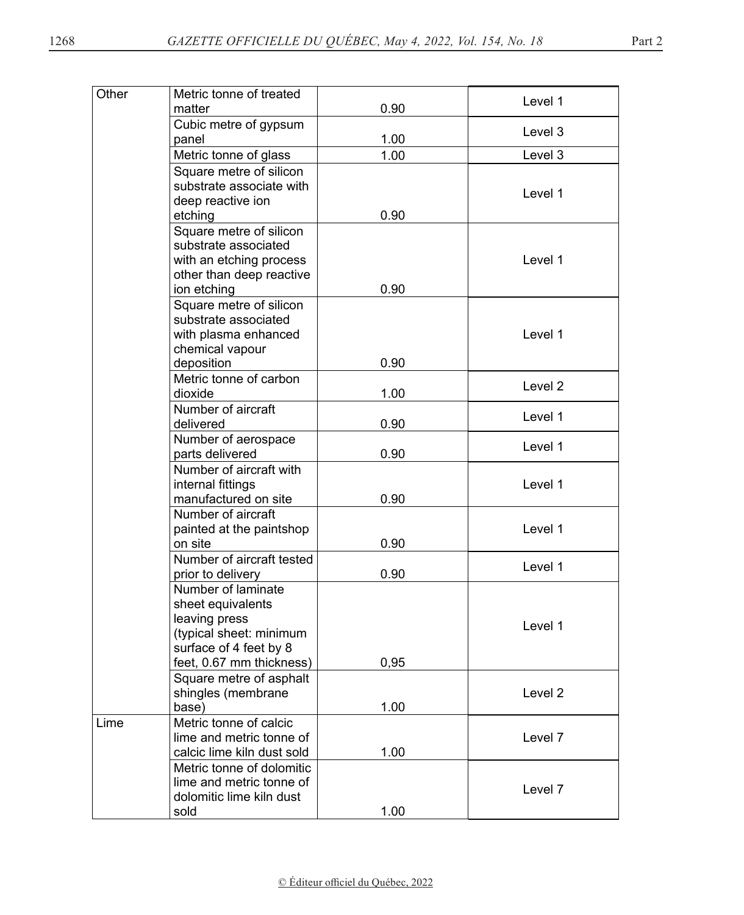| Other | Metric tonne of treated         |      | Level 1 |
|-------|---------------------------------|------|---------|
|       | matter                          | 0.90 |         |
|       | Cubic metre of gypsum<br>panel  | 1.00 | Level 3 |
|       | Metric tonne of glass           | 1.00 | Level 3 |
|       | Square metre of silicon         |      |         |
|       | substrate associate with        |      |         |
|       | deep reactive ion               |      | Level 1 |
|       | etching                         | 0.90 |         |
|       | Square metre of silicon         |      |         |
|       | substrate associated            |      |         |
|       | with an etching process         |      | Level 1 |
|       | other than deep reactive        |      |         |
|       | ion etching                     | 0.90 |         |
|       | Square metre of silicon         |      |         |
|       | substrate associated            |      |         |
|       | with plasma enhanced            |      | Level 1 |
|       | chemical vapour                 |      |         |
|       | deposition                      | 0.90 |         |
|       | Metric tonne of carbon          |      | Level 2 |
|       | dioxide                         | 1.00 |         |
|       | Number of aircraft<br>delivered | 0.90 | Level 1 |
|       | Number of aerospace             |      |         |
|       | parts delivered                 | 0.90 | Level 1 |
|       | Number of aircraft with         |      |         |
|       | internal fittings               |      | Level 1 |
|       | manufactured on site            | 0.90 |         |
|       | Number of aircraft              |      |         |
|       | painted at the paintshop        |      | Level 1 |
|       | on site                         | 0.90 |         |
|       | Number of aircraft tested       |      | Level 1 |
|       | prior to delivery               | 0.90 |         |
|       | Number of laminate              |      |         |
|       | sheet equivalents               |      |         |
|       | leaving press                   |      | Level 1 |
|       | (typical sheet: minimum         |      |         |
|       | surface of 4 feet by 8          |      |         |
|       | feet, 0.67 mm thickness)        | 0,95 |         |
|       | Square metre of asphalt         |      |         |
|       | shingles (membrane              |      | Level 2 |
|       | base)<br>Metric tonne of calcic | 1.00 |         |
| Lime  | lime and metric tonne of        |      | Level 7 |
|       | calcic lime kiln dust sold      | 1.00 |         |
|       | Metric tonne of dolomitic       |      |         |
|       | lime and metric tonne of        |      |         |
|       | dolomitic lime kiln dust        |      | Level 7 |
|       | sold                            | 1.00 |         |
|       |                                 |      |         |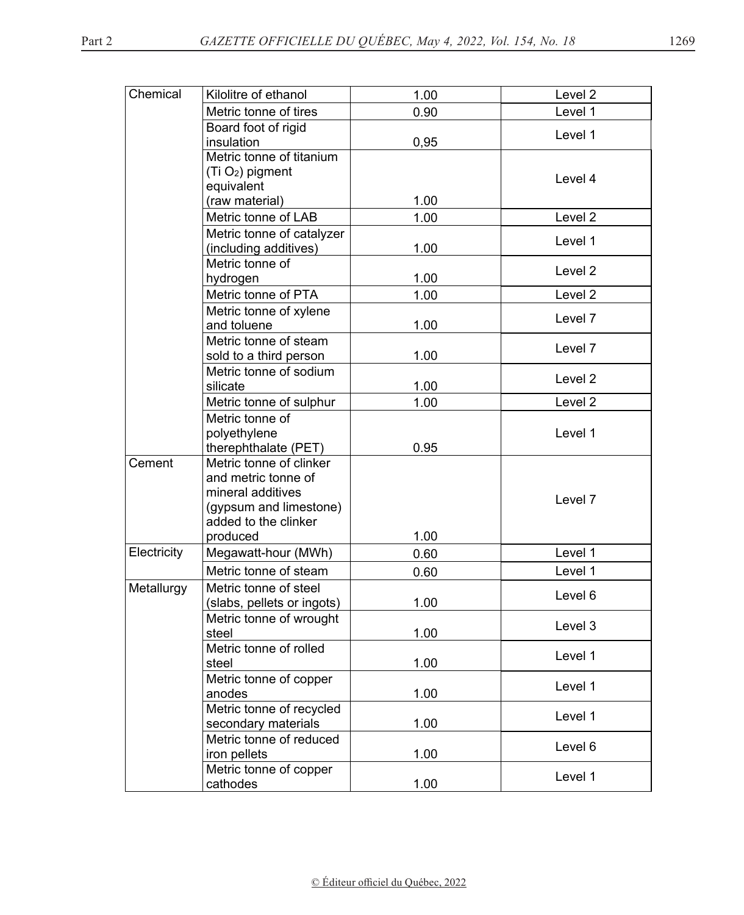| Chemical    | Kilolitre of ethanol                     | 1.00 | Level 2            |
|-------------|------------------------------------------|------|--------------------|
|             | Metric tonne of tires                    | 0.90 | Level 1            |
|             | Board foot of rigid                      |      | Level 1            |
|             | insulation                               | 0,95 |                    |
|             | Metric tonne of titanium                 |      |                    |
|             | (Ti O <sub>2</sub> ) pigment             |      | Level 4            |
|             | equivalent                               |      |                    |
|             | (raw material)                           | 1.00 |                    |
|             | Metric tonne of LAB                      | 1.00 | Level <sub>2</sub> |
|             | Metric tonne of catalyzer                |      | Level 1            |
|             | (including additives)<br>Metric tonne of | 1.00 |                    |
|             | hydrogen                                 | 1.00 | Level 2            |
|             | Metric tonne of PTA                      | 1.00 | Level <sub>2</sub> |
|             | Metric tonne of xylene                   |      |                    |
|             | and toluene                              | 1.00 | Level <sub>7</sub> |
|             | Metric tonne of steam                    |      |                    |
|             | sold to a third person                   | 1.00 | Level 7            |
|             | Metric tonne of sodium                   |      |                    |
|             | silicate                                 | 1.00 | Level 2            |
|             | Metric tonne of sulphur                  | 1.00 | Level <sub>2</sub> |
|             | Metric tonne of                          |      |                    |
|             | polyethylene                             |      | Level 1            |
|             | therephthalate (PET)                     | 0.95 |                    |
| Cement      | Metric tonne of clinker                  |      |                    |
|             | and metric tonne of                      |      |                    |
|             | mineral additives                        |      | Level <sub>7</sub> |
|             | (gypsum and limestone)                   |      |                    |
|             | added to the clinker                     |      |                    |
| Electricity | produced                                 | 1.00 |                    |
|             | Megawatt-hour (MWh)                      | 0.60 | Level 1            |
|             | Metric tonne of steam                    | 0.60 | Level 1            |
| Metallurgy  | Metric tonne of steel                    |      | Level 6            |
|             | (slabs, pellets or ingots)               | 1.00 |                    |
|             | Metric tonne of wrought                  |      | Level 3            |
|             | steel<br>Metric tonne of rolled          | 1.00 |                    |
|             | steel                                    | 1.00 | Level 1            |
|             | Metric tonne of copper                   |      |                    |
|             | anodes                                   | 1.00 | Level 1            |
|             | Metric tonne of recycled                 |      |                    |
|             | secondary materials                      | 1.00 | Level 1            |
|             | Metric tonne of reduced                  |      |                    |
|             | iron pellets                             | 1.00 | Level 6            |
|             | Metric tonne of copper                   |      |                    |
|             | cathodes                                 | 1.00 | Level 1            |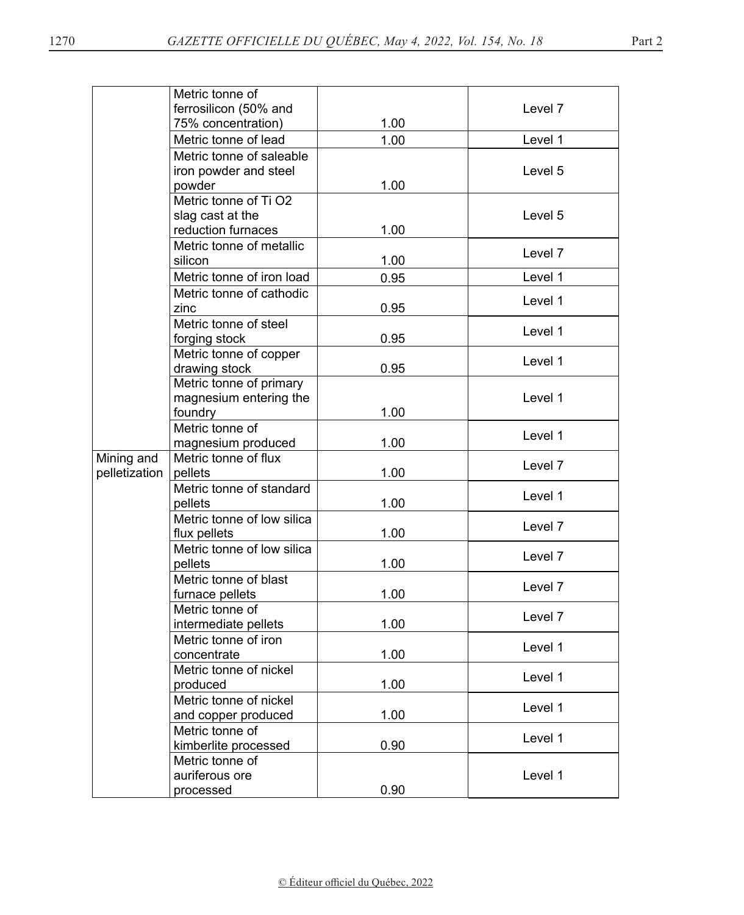|               | Metric tonne of                        |      |         |
|---------------|----------------------------------------|------|---------|
|               | ferrosilicon (50% and                  |      | Level 7 |
|               | 75% concentration)                     | 1.00 |         |
|               | Metric tonne of lead                   | 1.00 | Level 1 |
|               | Metric tonne of saleable               |      |         |
|               | iron powder and steel                  |      | Level 5 |
|               | powder                                 | 1.00 |         |
|               | Metric tonne of Ti O2                  |      |         |
|               | slag cast at the                       |      | Level 5 |
|               | reduction furnaces                     | 1.00 |         |
|               | Metric tonne of metallic               |      | Level 7 |
|               | silicon                                | 1.00 |         |
|               | Metric tonne of iron load              | 0.95 | Level 1 |
|               | Metric tonne of cathodic               |      | Level 1 |
|               | zinc                                   | 0.95 |         |
|               | Metric tonne of steel                  |      | Level 1 |
|               | forging stock                          | 0.95 |         |
|               | Metric tonne of copper                 |      | Level 1 |
|               | drawing stock                          | 0.95 |         |
|               | Metric tonne of primary                |      |         |
|               | magnesium entering the                 |      | Level 1 |
|               | foundry<br>Metric tonne of             | 1.00 |         |
|               | magnesium produced                     | 1.00 | Level 1 |
| Mining and    | Metric tonne of flux                   |      |         |
| pelletization | pellets                                | 1.00 | Level 7 |
|               | Metric tonne of standard               |      |         |
|               | pellets                                | 1.00 | Level 1 |
|               | Metric tonne of low silica             |      |         |
|               | flux pellets                           | 1.00 | Level 7 |
|               | Metric tonne of low silica             |      | Level 7 |
|               | pellets                                | 1.00 |         |
|               | Metric tonne of blast                  |      | Level 7 |
|               | furnace pellets                        | 1.00 |         |
|               | Metric tonne of                        |      | Level 7 |
|               | intermediate pellets                   | 1.00 |         |
|               | Metric tonne of iron                   |      | Level 1 |
|               | concentrate                            | 1.00 |         |
|               | Metric tonne of nickel                 |      | Level 1 |
|               | produced                               | 1.00 |         |
|               | Metric tonne of nickel                 |      | Level 1 |
|               | and copper produced<br>Metric tonne of | 1.00 |         |
|               | kimberlite processed                   | 0.90 | Level 1 |
|               | Metric tonne of                        |      |         |
|               | auriferous ore                         |      | Level 1 |
|               | processed                              | 0.90 |         |
|               |                                        |      |         |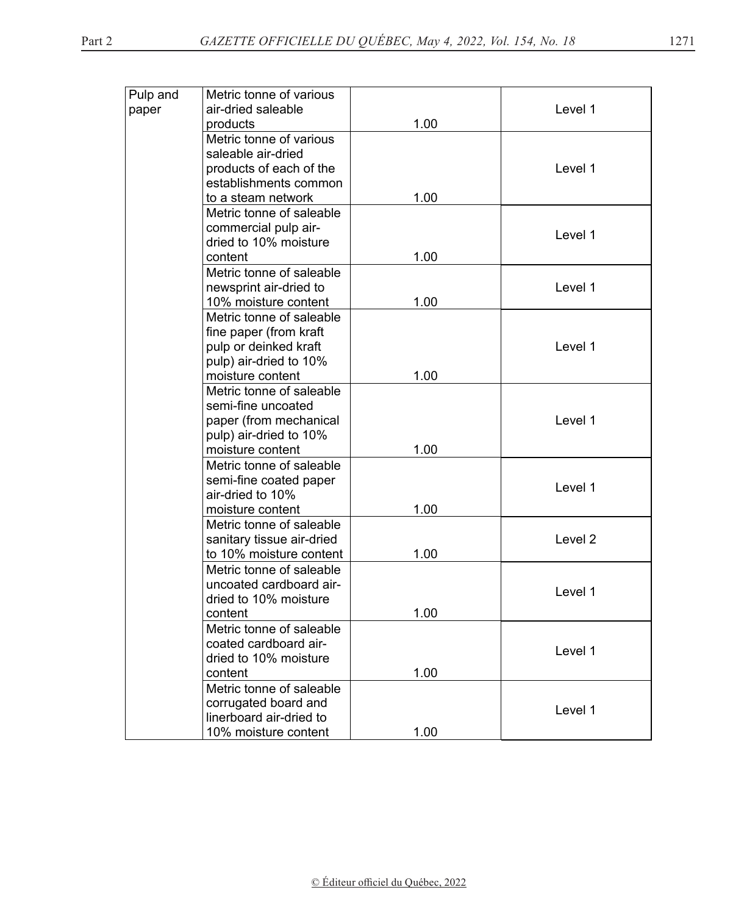| Pulp and | Metric tonne of various                                                                                                                                                                                                                                                                                                                                                                                                                                                                                                                                                                                                                                                                                                                                                                                                                            |                                                                      |                                                                |
|----------|----------------------------------------------------------------------------------------------------------------------------------------------------------------------------------------------------------------------------------------------------------------------------------------------------------------------------------------------------------------------------------------------------------------------------------------------------------------------------------------------------------------------------------------------------------------------------------------------------------------------------------------------------------------------------------------------------------------------------------------------------------------------------------------------------------------------------------------------------|----------------------------------------------------------------------|----------------------------------------------------------------|
| paper    | air-dried saleable                                                                                                                                                                                                                                                                                                                                                                                                                                                                                                                                                                                                                                                                                                                                                                                                                                 |                                                                      | Level 1                                                        |
|          | products                                                                                                                                                                                                                                                                                                                                                                                                                                                                                                                                                                                                                                                                                                                                                                                                                                           | 1.00                                                                 |                                                                |
|          | Metric tonne of various                                                                                                                                                                                                                                                                                                                                                                                                                                                                                                                                                                                                                                                                                                                                                                                                                            |                                                                      |                                                                |
|          | saleable air-dried                                                                                                                                                                                                                                                                                                                                                                                                                                                                                                                                                                                                                                                                                                                                                                                                                                 |                                                                      |                                                                |
|          | products of each of the                                                                                                                                                                                                                                                                                                                                                                                                                                                                                                                                                                                                                                                                                                                                                                                                                            |                                                                      | Level 1                                                        |
|          | establishments common                                                                                                                                                                                                                                                                                                                                                                                                                                                                                                                                                                                                                                                                                                                                                                                                                              |                                                                      |                                                                |
|          | to a steam network                                                                                                                                                                                                                                                                                                                                                                                                                                                                                                                                                                                                                                                                                                                                                                                                                                 | 1.00                                                                 |                                                                |
|          | Metric tonne of saleable                                                                                                                                                                                                                                                                                                                                                                                                                                                                                                                                                                                                                                                                                                                                                                                                                           |                                                                      |                                                                |
|          | commercial pulp air-                                                                                                                                                                                                                                                                                                                                                                                                                                                                                                                                                                                                                                                                                                                                                                                                                               |                                                                      |                                                                |
|          |                                                                                                                                                                                                                                                                                                                                                                                                                                                                                                                                                                                                                                                                                                                                                                                                                                                    |                                                                      |                                                                |
|          |                                                                                                                                                                                                                                                                                                                                                                                                                                                                                                                                                                                                                                                                                                                                                                                                                                                    |                                                                      |                                                                |
|          |                                                                                                                                                                                                                                                                                                                                                                                                                                                                                                                                                                                                                                                                                                                                                                                                                                                    |                                                                      |                                                                |
|          |                                                                                                                                                                                                                                                                                                                                                                                                                                                                                                                                                                                                                                                                                                                                                                                                                                                    |                                                                      |                                                                |
|          |                                                                                                                                                                                                                                                                                                                                                                                                                                                                                                                                                                                                                                                                                                                                                                                                                                                    |                                                                      |                                                                |
|          |                                                                                                                                                                                                                                                                                                                                                                                                                                                                                                                                                                                                                                                                                                                                                                                                                                                    |                                                                      |                                                                |
|          |                                                                                                                                                                                                                                                                                                                                                                                                                                                                                                                                                                                                                                                                                                                                                                                                                                                    |                                                                      |                                                                |
|          |                                                                                                                                                                                                                                                                                                                                                                                                                                                                                                                                                                                                                                                                                                                                                                                                                                                    |                                                                      |                                                                |
|          |                                                                                                                                                                                                                                                                                                                                                                                                                                                                                                                                                                                                                                                                                                                                                                                                                                                    |                                                                      |                                                                |
|          |                                                                                                                                                                                                                                                                                                                                                                                                                                                                                                                                                                                                                                                                                                                                                                                                                                                    |                                                                      |                                                                |
|          |                                                                                                                                                                                                                                                                                                                                                                                                                                                                                                                                                                                                                                                                                                                                                                                                                                                    |                                                                      |                                                                |
|          |                                                                                                                                                                                                                                                                                                                                                                                                                                                                                                                                                                                                                                                                                                                                                                                                                                                    |                                                                      |                                                                |
|          |                                                                                                                                                                                                                                                                                                                                                                                                                                                                                                                                                                                                                                                                                                                                                                                                                                                    |                                                                      |                                                                |
|          |                                                                                                                                                                                                                                                                                                                                                                                                                                                                                                                                                                                                                                                                                                                                                                                                                                                    |                                                                      |                                                                |
|          |                                                                                                                                                                                                                                                                                                                                                                                                                                                                                                                                                                                                                                                                                                                                                                                                                                                    |                                                                      |                                                                |
|          |                                                                                                                                                                                                                                                                                                                                                                                                                                                                                                                                                                                                                                                                                                                                                                                                                                                    |                                                                      |                                                                |
|          |                                                                                                                                                                                                                                                                                                                                                                                                                                                                                                                                                                                                                                                                                                                                                                                                                                                    |                                                                      | Level 1                                                        |
|          |                                                                                                                                                                                                                                                                                                                                                                                                                                                                                                                                                                                                                                                                                                                                                                                                                                                    |                                                                      |                                                                |
|          |                                                                                                                                                                                                                                                                                                                                                                                                                                                                                                                                                                                                                                                                                                                                                                                                                                                    |                                                                      |                                                                |
|          |                                                                                                                                                                                                                                                                                                                                                                                                                                                                                                                                                                                                                                                                                                                                                                                                                                                    |                                                                      |                                                                |
|          |                                                                                                                                                                                                                                                                                                                                                                                                                                                                                                                                                                                                                                                                                                                                                                                                                                                    |                                                                      |                                                                |
|          |                                                                                                                                                                                                                                                                                                                                                                                                                                                                                                                                                                                                                                                                                                                                                                                                                                                    |                                                                      |                                                                |
|          |                                                                                                                                                                                                                                                                                                                                                                                                                                                                                                                                                                                                                                                                                                                                                                                                                                                    |                                                                      |                                                                |
|          |                                                                                                                                                                                                                                                                                                                                                                                                                                                                                                                                                                                                                                                                                                                                                                                                                                                    |                                                                      | Level 1                                                        |
|          |                                                                                                                                                                                                                                                                                                                                                                                                                                                                                                                                                                                                                                                                                                                                                                                                                                                    |                                                                      |                                                                |
|          |                                                                                                                                                                                                                                                                                                                                                                                                                                                                                                                                                                                                                                                                                                                                                                                                                                                    |                                                                      |                                                                |
|          |                                                                                                                                                                                                                                                                                                                                                                                                                                                                                                                                                                                                                                                                                                                                                                                                                                                    |                                                                      |                                                                |
|          |                                                                                                                                                                                                                                                                                                                                                                                                                                                                                                                                                                                                                                                                                                                                                                                                                                                    |                                                                      | Level 1                                                        |
|          |                                                                                                                                                                                                                                                                                                                                                                                                                                                                                                                                                                                                                                                                                                                                                                                                                                                    |                                                                      |                                                                |
|          |                                                                                                                                                                                                                                                                                                                                                                                                                                                                                                                                                                                                                                                                                                                                                                                                                                                    |                                                                      |                                                                |
|          |                                                                                                                                                                                                                                                                                                                                                                                                                                                                                                                                                                                                                                                                                                                                                                                                                                                    |                                                                      |                                                                |
|          |                                                                                                                                                                                                                                                                                                                                                                                                                                                                                                                                                                                                                                                                                                                                                                                                                                                    |                                                                      | Level 1                                                        |
|          |                                                                                                                                                                                                                                                                                                                                                                                                                                                                                                                                                                                                                                                                                                                                                                                                                                                    |                                                                      |                                                                |
|          | dried to 10% moisture<br>content<br>Metric tonne of saleable<br>newsprint air-dried to<br>10% moisture content<br>Metric tonne of saleable<br>fine paper (from kraft<br>pulp or deinked kraft<br>pulp) air-dried to 10%<br>moisture content<br>Metric tonne of saleable<br>semi-fine uncoated<br>paper (from mechanical<br>pulp) air-dried to 10%<br>moisture content<br>Metric tonne of saleable<br>semi-fine coated paper<br>air-dried to 10%<br>moisture content<br>Metric tonne of saleable<br>sanitary tissue air-dried<br>to 10% moisture content<br>Metric tonne of saleable<br>uncoated cardboard air-<br>dried to 10% moisture<br>content<br>Metric tonne of saleable<br>coated cardboard air-<br>dried to 10% moisture<br>content<br>Metric tonne of saleable<br>corrugated board and<br>linerboard air-dried to<br>10% moisture content | 1.00<br>1.00<br>1.00<br>1.00<br>1.00<br>1.00<br>1.00<br>1.00<br>1.00 | Level 1<br>Level 1<br>Level 1<br>Level 1<br>Level <sub>2</sub> |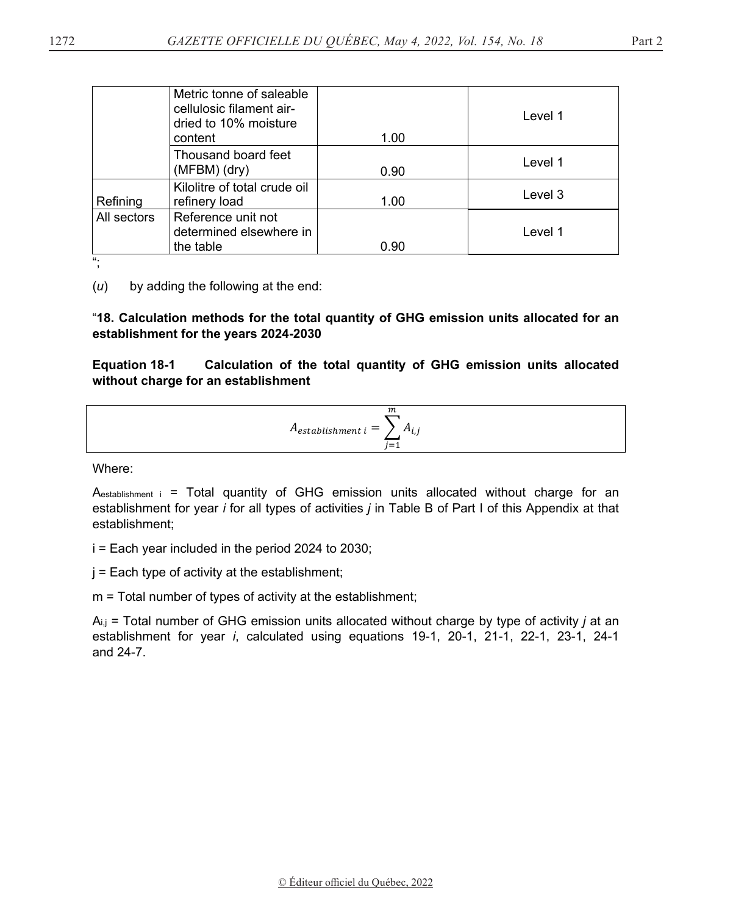|             | Metric tonne of saleable<br>cellulosic filament air-<br>dried to 10% moisture<br>content | 1.00 | Level 1 |
|-------------|------------------------------------------------------------------------------------------|------|---------|
|             | Thousand board feet<br>(MFBM) (dry)                                                      | 0.90 | Level 1 |
| Refining    | Kilolitre of total crude oil<br>refinery load                                            | 1.00 | Level 3 |
| All sectors | Reference unit not<br>determined elsewhere in<br>the table                               | 0.90 | Level 1 |

";

(*u*) by adding the following at the end:

"**18. Calculation methods for the total quantity of GHG emission units allocated for an establishment for the years 2024-2030** 

**Equation 18-1 Calculation of the total quantity of GHG emission units allocated without charge for an establishment** 

$$
A_{establishment\ i} = \sum_{j=1}^{m} A_{i,j}
$$

Where:

 $A<sub>establishment i</sub> = Total quantity of GHG emission units allocated without charge for an$ establishment for year *i* for all types of activities *j* in Table B of Part I of this Appendix at that establishment;

i = Each year included in the period 2024 to 2030;

 $j =$  Each type of activity at the establishment;

m = Total number of types of activity at the establishment;

Ai,j = Total number of GHG emission units allocated without charge by type of activity *j* at an establishment for year *i*, calculated using equations 19-1, 20-1, 21-1, 22-1, 23-1, 24-1 and 24-7.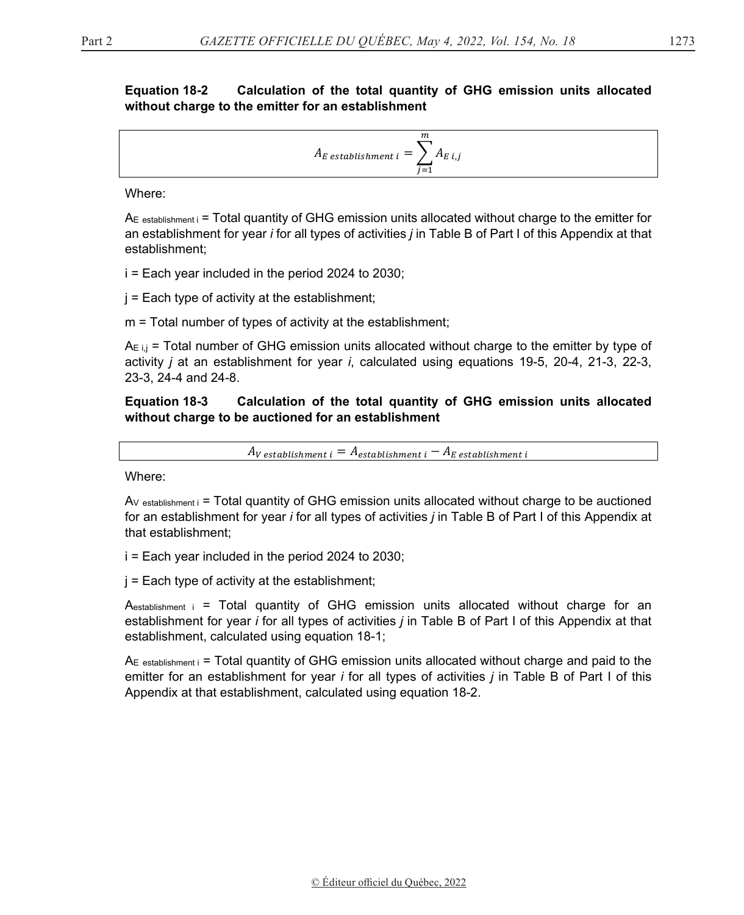#### **Equation 18-2** Calculation of the total quantity of GHG emission units allocated without charge to the emitter for an establishment

$$
A_{E \; establishment \; i} = \sum_{j=1}^{m} A_{E \; i,j}
$$

Where:

 $A<sub>E</sub>$  establishment i = Total quantity of GHG emission units allocated without charge to the emitter for an establishment for year *i* for all types of activities *j* in Table B of Part I of this Appendix at that establishment;

 $i =$  Each year included in the period 2024 to 2030;

 $j =$  Each type of activity at the establishment;

 $m =$  Total number of types of activity at the establishment;

 $A_{E,i,j}$  = Total number of GHG emission units allocated without charge to the emitter by type of activity *i* at an establishment for year *i*, calculated using equations 19-5, 20-4, 21-3, 22-3, 23-3, 24-4 and 24-8.

#### **Equation 18-3** Calculation of the total quantity of GHG emission units allocated without charge to be auctioned for an establishment

 $A_V$  establishment i  $= A_{\text{establishment i}} - A_E$  establishment i

Where:

 $Av$  establishment  $i =$  Total quantity of GHG emission units allocated without charge to be auctioned for an establishment for year *i* for all types of activities *j* in Table B of Part I of this Appendix at that establishment:

 $i =$  Each year included in the period 2024 to 2030;

 $j =$  Each type of activity at the establishment;

 $A<sub>establishment i</sub> = Total quantity of GHG emission units allocated without charge for an$ establishment for year *i* for all types of activities *j* in Table B of Part I of this Appendix at that establishment, calculated using equation 18-1;

 $A<sub>E</sub>$  establishment i = Total quantity of GHG emission units allocated without charge and paid to the emitter for an establishment for year *i* for all types of activities *j* in Table B of Part I of this Appendix at that establishment, calculated using equation 18-2.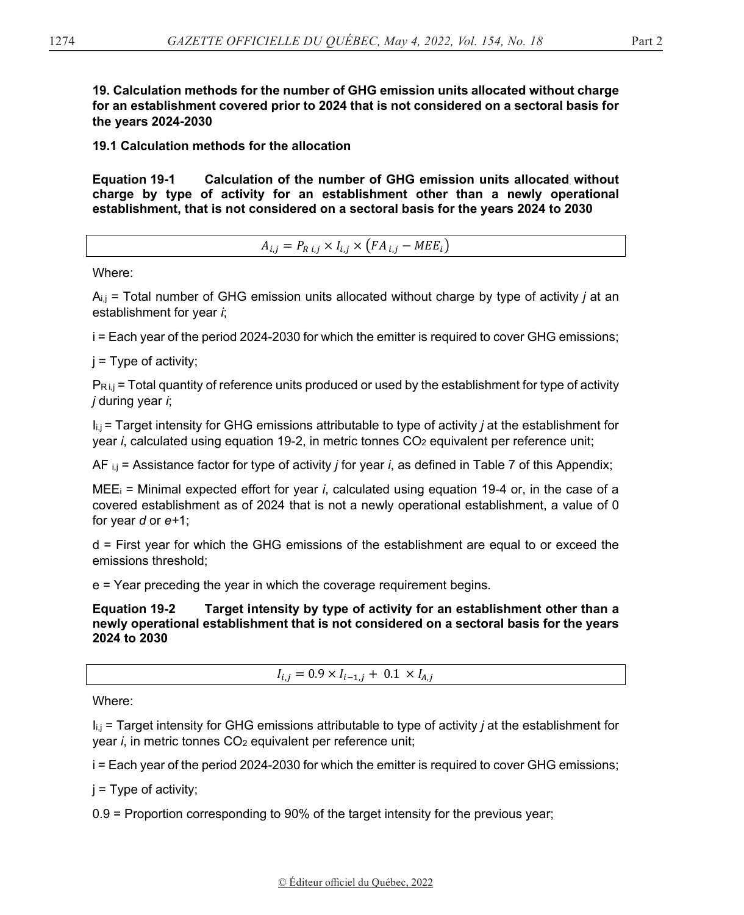**19. Calculation methods for the number of GHG emission units allocated without charge for an establishment covered prior to 2024 that is not considered on a sectoral basis for the years 2024-2030** 

**19.1 Calculation methods for the allocation** 

**Equation 19-1 Calculation of the number of GHG emission units allocated without charge by type of activity for an establishment other than a newly operational establishment, that is not considered on a sectoral basis for the years 2024 to 2030** 

 $A_{i,j} = P_{R i,j} \times I_{i,j} \times (FA_{i,j} - MEE_i)$ 

Where:

 $A_{i,j}$  = Total number of GHG emission units allocated without charge by type of activity *j* at an establishment for year *i*;

i = Each year of the period 2024-2030 for which the emitter is required to cover GHG emissions;

 $i =$  Type of activity;

 $P_{\text{R}i,j}$  = Total quantity of reference units produced or used by the establishment for type of activity *j* during year *i*;

Ii,j = Target intensity for GHG emissions attributable to type of activity *j* at the establishment for year *i*, calculated using equation 19-2, in metric tonnes CO<sub>2</sub> equivalent per reference unit;

AF i,j = Assistance factor for type of activity *j* for year *i*, as defined in Table 7 of this Appendix;

MEEi = Minimal expected effort for year *i*, calculated using equation 19-4 or, in the case of a covered establishment as of 2024 that is not a newly operational establishment, a value of 0 for year *d* or *e+*1;

d = First year for which the GHG emissions of the establishment are equal to or exceed the emissions threshold;

e = Year preceding the year in which the coverage requirement begins.

**Equation 19-2 Target intensity by type of activity for an establishment other than a newly operational establishment that is not considered on a sectoral basis for the years 2024 to 2030** 

 $I_{i,i} = 0.9 \times I_{i-1,i} + 0.1 \times I_{A,i}$ 

Where:

Ii,j = Target intensity for GHG emissions attributable to type of activity *j* at the establishment for year *i*, in metric tonnes CO<sub>2</sub> equivalent per reference unit;

i = Each year of the period 2024-2030 for which the emitter is required to cover GHG emissions;

 $j = Type$  of activity;

0.9 = Proportion corresponding to 90% of the target intensity for the previous year;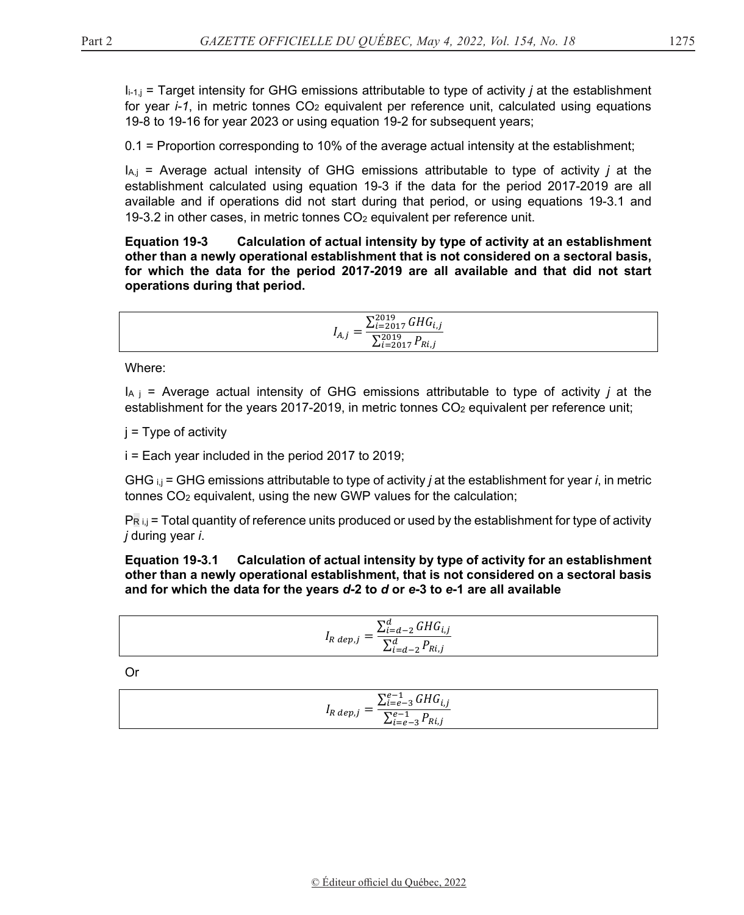$I_{i-1,i}$  = Target intensity for GHG emissions attributable to type of activity *i* at the establishment for year  $i-1$ , in metric tonnes  $CO<sub>2</sub>$  equivalent per reference unit, calculated using equations 19-8 to 19-16 for year 2023 or using equation 19-2 for subsequent years;

 $0.1$  = Proportion corresponding to 10% of the average actual intensity at the establishment;

 $I_{A,j}$  = Average actual intensity of GHG emissions attributable to type of activity *j* at the establishment calculated using equation 19-3 if the data for the period 2017-2019 are all available and if operations did not start during that period, or using equations 19-3.1 and 19-3.2 in other cases, in metric tonnes CO<sub>2</sub> equivalent per reference unit.

**Equation 19-3** Calculation of actual intensity by type of activity at an establishment other than a newly operational establishment that is not considered on a sectoral basis, for which the data for the period 2017-2019 are all available and that did not start operations during that period.

$$
I_{A,j} = \frac{\sum_{i=2017}^{2019} GHG_{i,j}}{\sum_{i=2017}^{2019} P_{Ri,j}}
$$

Where:

 $I_{A,i}$  = Average actual intensity of GHG emissions attributable to type of activity *i* at the establishment for the years 2017-2019, in metric tonnes  $CO<sub>2</sub>$  equivalent per reference unit;

 $i = Type$  of activity

 $i =$  Each year included in the period 2017 to 2019;

GHG  $_{i,j}$  = GHG emissions attributable to type of activity *j* at the establishment for year *i*, in metric tonnes CO<sub>2</sub> equivalent, using the new GWP values for the calculation;

 $P_{R,i,j}$  = Total quantity of reference units produced or used by the establishment for type of activity j during year i.

Equation 19-3.1 Calculation of actual intensity by type of activity for an establishment other than a newly operational establishment, that is not considered on a sectoral basis and for which the data for the years d-2 to d or e-3 to e-1 are all available

$$
I_{R \; dep,j} = \frac{\sum_{i=d-2}^{d} GHG_{i,j}}{\sum_{i=d-2}^{d} P_{Ri,j}}
$$

**Or** 

$$
I_{R \text{ dep},j} = \frac{\sum_{i=e-3}^{e-1} GHG_{i,j}}{\sum_{i=e-3}^{e-1} P_{Ri,j}}
$$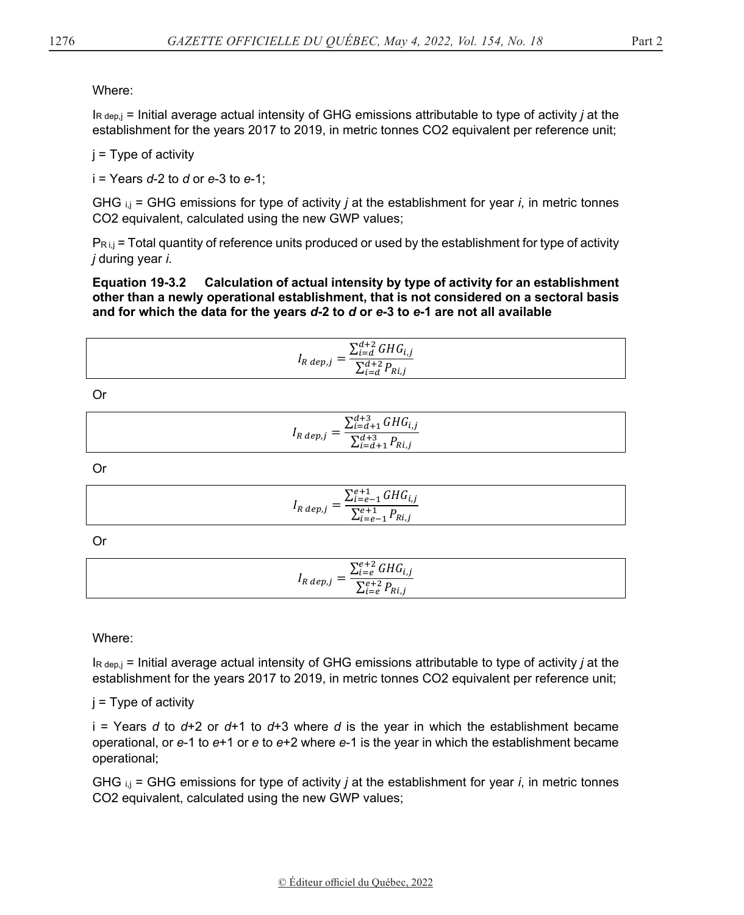#### Where:

 $R_{\text{dep},j}$  = Initial average actual intensity of GHG emissions attributable to type of activity *j* at the establishment for the years 2017 to 2019, in metric tonnes CO2 equivalent per reference unit;

 $i = Type of activity$ 

 $i =$  Years d-2 to d or e-3 to e-1;

GHG  $_{i,j}$  = GHG emissions for type of activity *j* at the establishment for year *i*, in metric tonnes CO2 equivalent, calculated using the new GWP values;

 $P_{\text{R}i,j}$  = Total quantity of reference units produced or used by the establishment for type of activity *j* during year *i*.

Equation 19-3.2 Calculation of actual intensity by type of activity for an establishment other than a newly operational establishment, that is not considered on a sectoral basis and for which the data for the years d-2 to d or e-3 to e-1 are not all available

$$
I_{R \; dep,j} = \frac{\sum_{i=d}^{d+2} GHG_{i,j}}{\sum_{i=d}^{d+2} P_{Ri,j}}
$$

**Or** 

| $\sum_{i=d+1}^{d+3} GHG_{i,j}$                                   |  |
|------------------------------------------------------------------|--|
| $I_{R}$ dep, $j - 1$<br>$\overline{\sum_{i=d+1}^{d+3} P_{Ri,j}}$ |  |

**Or** 

$$
I_{R \text{ dep},j} = \frac{\sum_{i=e-1}^{e+1} GHG_{i,j}}{\sum_{i=e-1}^{e+1} P_{Ri,j}}
$$

Or

$$
I_{R \text{ dep},j} = \frac{\sum_{i=e}^{e+2} GHG_{i,j}}{\sum_{i=e}^{e+2} P_{Ri,j}}
$$

Where:

 $R_{\text{depl}}$  = Initial average actual intensity of GHG emissions attributable to type of activity *i* at the establishment for the years 2017 to 2019, in metric tonnes CO2 equivalent per reference unit;

 $i = Type of activity$ 

 $i =$  Years d to d+2 or d+1 to d+3 where d is the year in which the establishment became operational, or  $e$ -1 to  $e$ +1 or  $e$  to  $e$ +2 where  $e$ -1 is the year in which the establishment became operational;

GHG  $_{i,j}$  = GHG emissions for type of activity *j* at the establishment for year *i*, in metric tonnes CO2 equivalent, calculated using the new GWP values;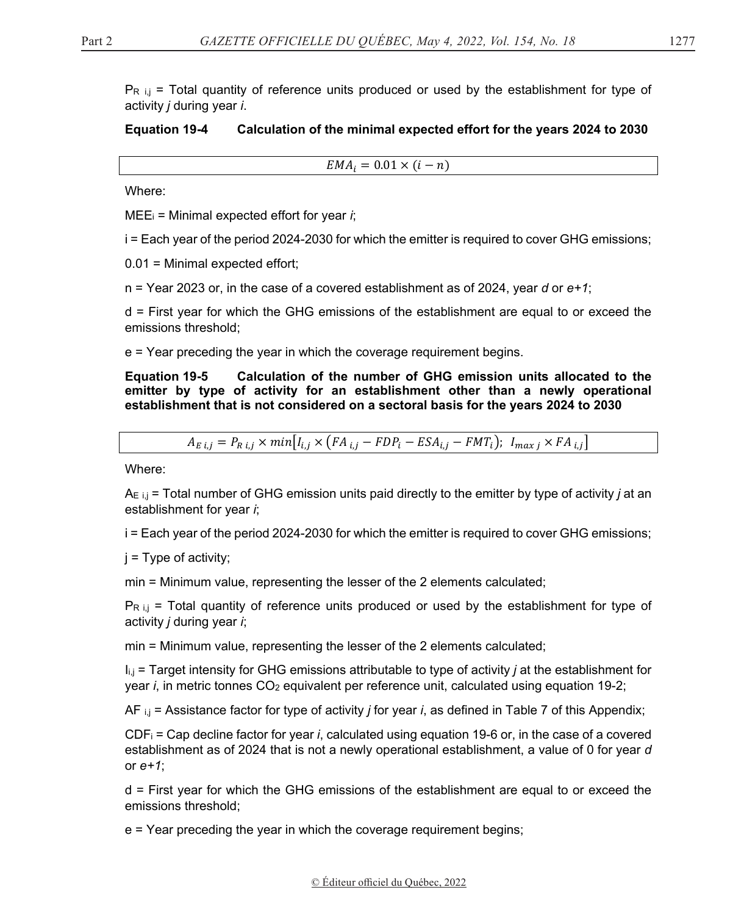$P_{R i,j}$  = Total quantity of reference units produced or used by the establishment for type of activity *j* during year *i*.

### **Equation 19-4 Calculation of the minimal expected effort for the years 2024 to 2030**

 $EMA_i = 0.01 \times (i - n)$ 

Where:

MEEi = Minimal expected effort for year *i*;

i = Each year of the period 2024-2030 for which the emitter is required to cover GHG emissions;

0.01 = Minimal expected effort;

n = Year 2023 or, in the case of a covered establishment as of 2024, year *d* or *e+1*;

d = First year for which the GHG emissions of the establishment are equal to or exceed the emissions threshold;

e = Year preceding the year in which the coverage requirement begins.

**Equation 19-5 Calculation of the number of GHG emission units allocated to the emitter by type of activity for an establishment other than a newly operational establishment that is not considered on a sectoral basis for the years 2024 to 2030** 

$$
A_{E i,j} = P_{R i,j} \times min[I_{i,j} \times (FA_{i,j} - FDP_i - ESA_{i,j} - FMT_i); I_{max j} \times FA_{i,j}]
$$

Where:

AE i,j = Total number of GHG emission units paid directly to the emitter by type of activity *j* at an establishment for year *i*;

i = Each year of the period 2024-2030 for which the emitter is required to cover GHG emissions;

j = Type of activity;

min = Minimum value, representing the lesser of the 2 elements calculated;

 $P_{R i,j}$  = Total quantity of reference units produced or used by the establishment for type of activity *j* during year *i*;

min = Minimum value, representing the lesser of the 2 elements calculated;

Ii,j = Target intensity for GHG emissions attributable to type of activity *j* at the establishment for year *i*, in metric tonnes CO<sub>2</sub> equivalent per reference unit, calculated using equation 19-2;

AF i,j = Assistance factor for type of activity *j* for year *i*, as defined in Table 7 of this Appendix;

CDFi = Cap decline factor for year *i*, calculated using equation 19-6 or, in the case of a covered establishment as of 2024 that is not a newly operational establishment, a value of 0 for year *d*  or *e+1*;

d = First year for which the GHG emissions of the establishment are equal to or exceed the emissions threshold;

e = Year preceding the year in which the coverage requirement begins;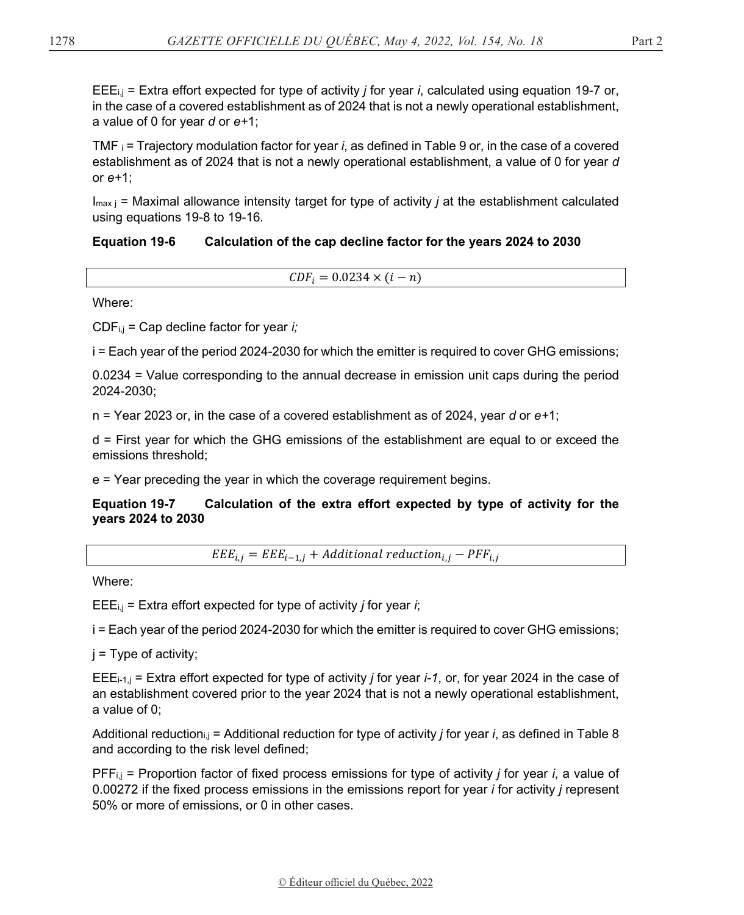EEEi,j = Extra effort expected for type of activity *j* for year *i*, calculated using equation 19-7 or, in the case of a covered establishment as of 2024 that is not a newly operational establishment, a value of 0 for year *d* or *e+*1;

TMF i = Trajectory modulation factor for year *i*, as defined in Table 9 or, in the case of a covered establishment as of 2024 that is not a newly operational establishment, a value of 0 for year *d*  or *e+*1;

 $I_{\text{max}}$  = Maximal allowance intensity target for type of activity *j* at the establishment calculated using equations 19-8 to 19-16*.*

### **Equation 19-6 Calculation of the cap decline factor for the years 2024 to 2030**

 $CDF_i = 0.0234 \times (i - n)$ 

Where:

CDFi,j = Cap decline factor for year *i;*

i = Each year of the period 2024-2030 for which the emitter is required to cover GHG emissions;

0.0234 = Value corresponding to the annual decrease in emission unit caps during the period 2024-2030;

n = Year 2023 or, in the case of a covered establishment as of 2024, year *d* or *e+*1;

d = First year for which the GHG emissions of the establishment are equal to or exceed the emissions threshold;

e = Year preceding the year in which the coverage requirement begins.

**Equation 19-7 Calculation of the extra effort expected by type of activity for the years 2024 to 2030** 

 $EEE_{i,j} = EEE_{i-1,j} + Additional \, reduction_{i,j} - PFF_{i,j}$ 

Where:

EEEi,j = Extra effort expected for type of activity *j* for year *i*;

i = Each year of the period 2024-2030 for which the emitter is required to cover GHG emissions;

 $j = Type$  of activity;

EEEi-1,j = Extra effort expected for type of activity *j* for year *i-1*, or, for year 2024 in the case of an establishment covered prior to the year 2024 that is not a newly operational establishment, a value of 0;

Additional reductioni,j = Additional reduction for type of activity *j* for year *i*, as defined in Table 8 and according to the risk level defined;

PFFi,j = Proportion factor of fixed process emissions for type of activity *j* for year *i*, a value of 0.00272 if the fixed process emissions in the emissions report for year *i* for activity *j* represent 50% or more of emissions, or 0 in other cases.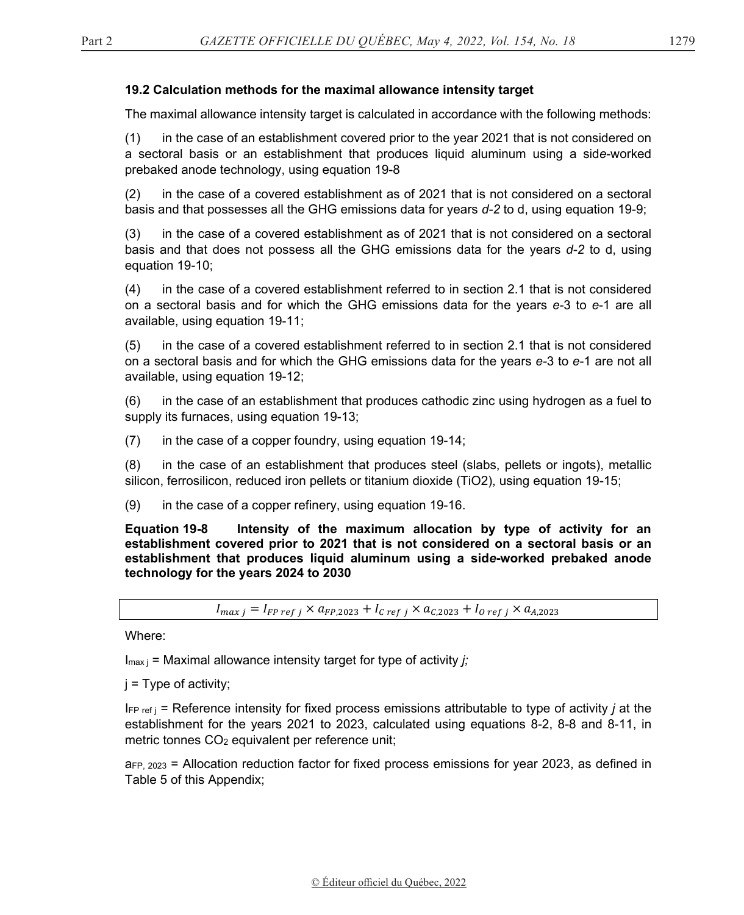#### **19.2 Calculation methods for the maximal allowance intensity target**

The maximal allowance intensity target is calculated in accordance with the following methods:

(1) in the case of an establishment covered prior to the year 2021 that is not considered on a sectoral basis or an establishment that produces liquid aluminum using a sid*e*-worked prebaked anode technology, using equation 19-8

(2) in the case of a covered establishment as of 2021 that is not considered on a sectoral basis and that possesses all the GHG emissions data for years *d-2* to d, using equation 19-9;

(3) in the case of a covered establishment as of 2021 that is not considered on a sectoral basis and that does not possess all the GHG emissions data for the years *d-2* to d, using equation 19-10;

(4) in the case of a covered establishment referred to in section 2.1 that is not considered on a sectoral basis and for which the GHG emissions data for the years *e-*3 to *e*-1 are all available, using equation 19-11;

(5) in the case of a covered establishment referred to in section 2.1 that is not considered on a sectoral basis and for which the GHG emissions data for the years *e-*3 to *e*-1 are not all available, using equation 19-12;

(6) in the case of an establishment that produces cathodic zinc using hydrogen as a fuel to supply its furnaces, using equation 19-13;

 $(7)$  in the case of a copper foundry, using equation 19-14;

(8) in the case of an establishment that produces steel (slabs, pellets or ingots), metallic silicon, ferrosilicon, reduced iron pellets or titanium dioxide (TiO2), using equation 19-15;

(9) in the case of a copper refinery, using equation 19-16.

**Equation 19-8 Intensity of the maximum allocation by type of activity for an establishment covered prior to 2021 that is not considered on a sectoral basis or an establishment that produces liquid aluminum using a sid***e***-worked prebaked anode technology for the years 2024 to 2030** 

 $I_{max} = I_{FP\,ref\,j} \times a_{FP,2023} + I_{C\,ref\,j} \times a_{C,2023} + I_{O\,ref\,j} \times a_{A,2023}$ 

Where:

Imax j = Maximal allowance intensity target for type of activity *j;*

 $j = Type$  of activity;

 $I_{\text{FP ref}}$  = Reference intensity for fixed process emissions attributable to type of activity *j* at the establishment for the years 2021 to 2023, calculated using equations 8-2, 8-8 and 8-11, in metric tonnes CO<sub>2</sub> equivalent per reference unit;

 $a_{FP, 2023}$  = Allocation reduction factor for fixed process emissions for year 2023, as defined in Table 5 of this Appendix;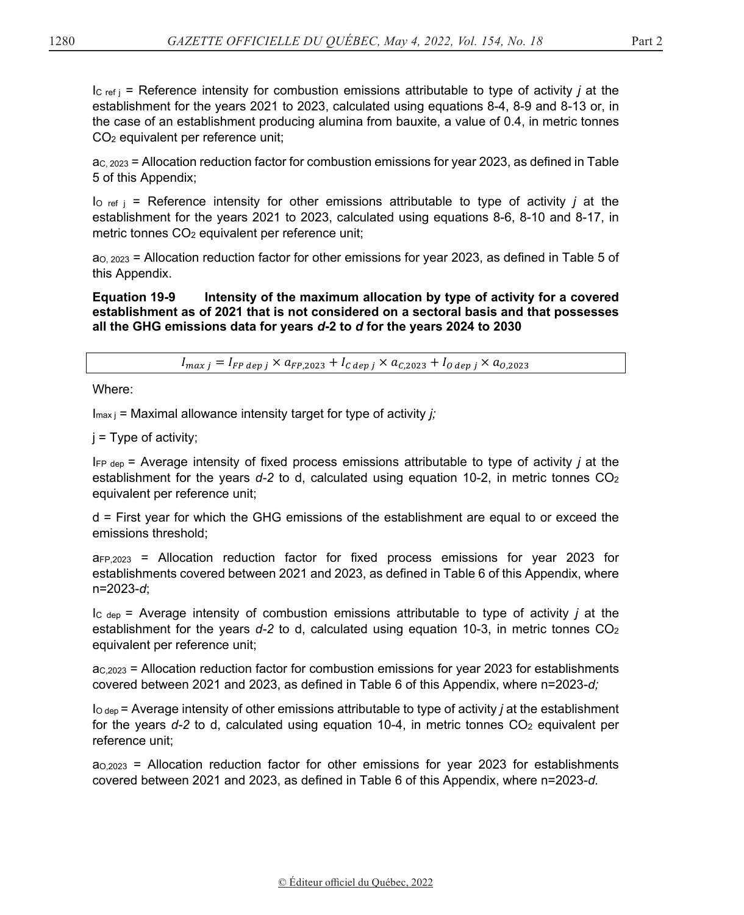$I_{\text{C ref i}}$  = Reference intensity for combustion emissions attributable to type of activity *j* at the establishment for the years 2021 to 2023, calculated using equations 8-4, 8-9 and 8-13 or, in the case of an establishment producing alumina from bauxite, a value of 0.4, in metric tonnes CO2 equivalent per reference unit;

 $ac$ ,  $2023$  = Allocation reduction factor for combustion emissions for year 2023, as defined in Table 5 of this Appendix;

I<sub>O ref j</sub> = Reference intensity for other emissions attributable to type of activity *j* at the establishment for the years 2021 to 2023, calculated using equations 8-6, 8-10 and 8-17, in metric tonnes CO<sub>2</sub> equivalent per reference unit;

 $a_{0, 2023}$  = Allocation reduction factor for other emissions for year 2023, as defined in Table 5 of this Appendix.

**Equation 19-9 Intensity of the maximum allocation by type of activity for a covered establishment as of 2021 that is not considered on a sectoral basis and that possesses all the GHG emissions data for years** *d***-2 to** *d* **for the years 2024 to 2030** 

 $I_{max i} = I_{FP \text{dep } i} \times a_{FP,2023} + I_{C \text{dep } i} \times a_{C,2023} + I_{O \text{dep } i} \times a_{0.2023}$ 

Where:

Imax j = Maximal allowance intensity target for type of activity *j;*

 $j =$  Type of activity;

IFP dep = Average intensity of fixed process emissions attributable to type of activity *j* at the establishment for the years *d-2* to d, calculated using equation 10-2, in metric tonnes CO2 equivalent per reference unit;

d = First year for which the GHG emissions of the establishment are equal to or exceed the emissions threshold;

 $a_{FP,2023}$  = Allocation reduction factor for fixed process emissions for year 2023 for establishments covered between 2021 and 2023, as defined in Table 6 of this Appendix, where n=2023-*d*;

IC dep = Average intensity of combustion emissions attributable to type of activity *j* at the establishment for the years *d*-2 to d, calculated using equation 10-3, in metric tonnes CO<sub>2</sub> equivalent per reference unit;

 $a<sub>C,2023</sub>$  = Allocation reduction factor for combustion emissions for year 2023 for establishments covered between 2021 and 2023, as defined in Table 6 of this Appendix, where n=2023-*d;*

IO dep = Average intensity of other emissions attributable to type of activity *j* at the establishment for the years  $d-2$  to d, calculated using equation 10-4, in metric tonnes  $CO<sub>2</sub>$  equivalent per reference unit;

 $a_{0.2023}$  = Allocation reduction factor for other emissions for year 2023 for establishments covered between 2021 and 2023, as defined in Table 6 of this Appendix, where n=2023-*d.*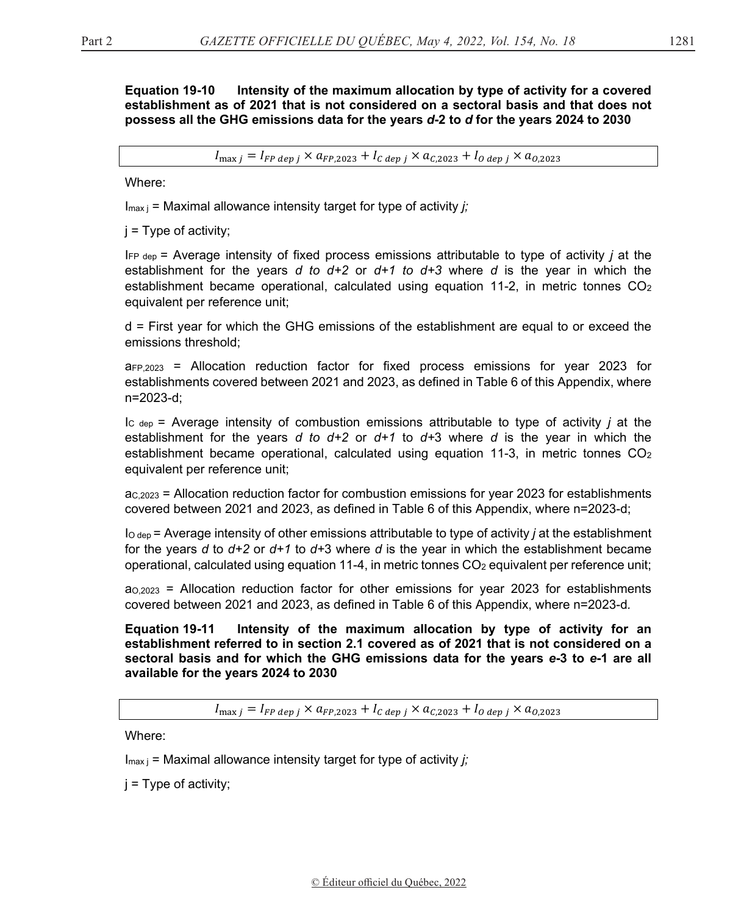#### **Equation 19-10** Intensity of the maximum allocation by type of activity for a covered establishment as of 2021 that is not considered on a sectoral basis and that does not possess all the GHG emissions data for the years d-2 to d for the years 2024 to 2030

 $I_{\text{max }i} = I_{FP \text{ }dep i} \times a_{FP,2023} + I_{C \text{ }dep i} \times a_{C,2023} + I_{O \text{ }dep i} \times a_{O,2023}$ 

Where:

 $I_{max i}$  = Maximal allowance intensity target for type of activity *i*;

 $i = Type of activity$ ;

 $I_{FP \text{ dep}}$  = Average intensity of fixed process emissions attributable to type of activity *j* at the establishment for the years d to  $d+2$  or  $d+1$  to  $d+3$  where d is the year in which the establishment became operational, calculated using equation 11-2, in metric tonnes CO<sub>2</sub> equivalent per reference unit;

d = First year for which the GHG emissions of the establishment are equal to or exceed the emissions threshold:

 $a_{FP,2023}$  = Allocation reduction factor for fixed process emissions for year 2023 for establishments covered between 2021 and 2023, as defined in Table 6 of this Appendix, where n=2023-d;

 $\vert$ <sub>C dep</sub> = Average intensity of combustion emissions attributable to type of activity *i* at the establishment for the years d to  $d+2$  or  $d+1$  to  $d+3$  where d is the year in which the establishment became operational, calculated using equation 11-3, in metric tonnes  $CO<sub>2</sub>$ equivalent per reference unit;

 $a<sub>c,2023</sub>$  = Allocation reduction factor for combustion emissions for year 2023 for establishments covered between 2021 and 2023, as defined in Table 6 of this Appendix, where n=2023-d;

 $\log_{10}$  = Average intensity of other emissions attributable to type of activity *j* at the establishment for the years d to  $d+2$  or  $d+1$  to  $d+3$  where d is the year in which the establishment became operational, calculated using equation 11-4, in metric tonnes CO<sub>2</sub> equivalent per reference unit;

 $a_{0.2023}$  = Allocation reduction factor for other emissions for year 2023 for establishments covered between 2021 and 2023, as defined in Table 6 of this Appendix, where n=2023-d.

**Equation 19-11** Intensity of the maximum allocation by type of activity for an establishment referred to in section 2.1 covered as of 2021 that is not considered on a sectoral basis and for which the GHG emissions data for the years e-3 to e-1 are all available for the years 2024 to 2030

 $I_{\text{max }i} = I_{FP \text{ dep }i} \times a_{FP,2023} + I_{C \text{dep }i} \times a_{C,2023} + I_{O \text{dep }i} \times a_{O,2023}$ 

Where:

 $I_{\text{max i}}$  = Maximal allowance intensity target for type of activity j;

 $i = Type of activity;$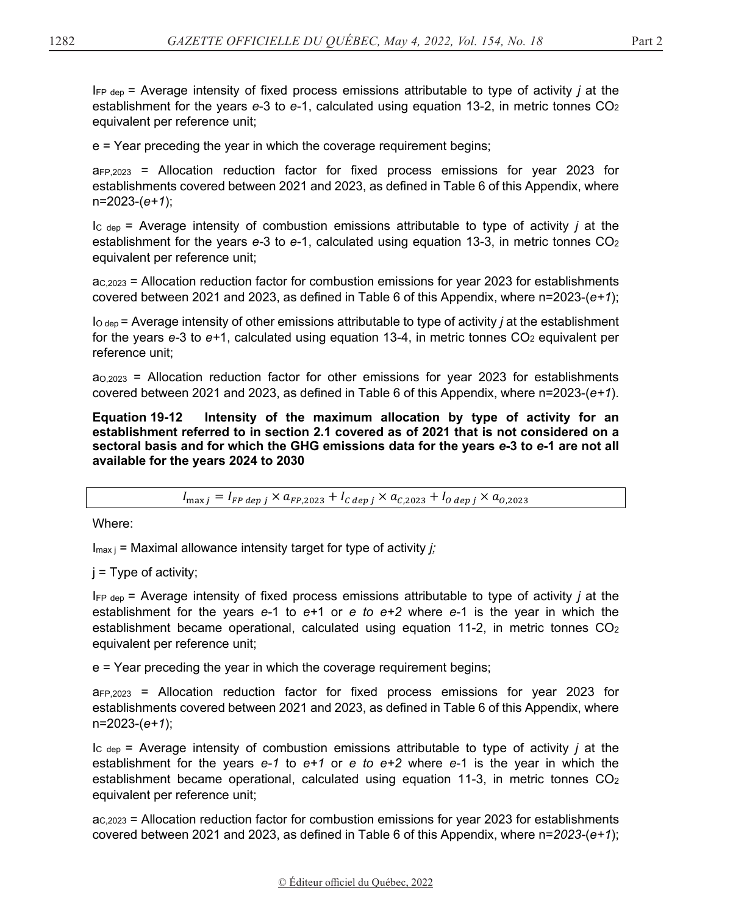IFP dep = Average intensity of fixed process emissions attributable to type of activity *j* at the establishment for the years *e*-3 to *e*-1, calculated using equation 13-2, in metric tonnes CO2 equivalent per reference unit;

e = Year preceding the year in which the coverage requirement begins;

aFP,2023 = Allocation reduction factor for fixed process emissions for year 2023 for establishments covered between 2021 and 2023, as defined in Table 6 of this Appendix, where n=2023-(*e+1*);

IC dep = Average intensity of combustion emissions attributable to type of activity *j* at the establishment for the years *e-*3 to *e*-1, calculated using equation 13-3, in metric tonnes CO2 equivalent per reference unit;

 $a<sub>C,2023</sub>$  = Allocation reduction factor for combustion emissions for year 2023 for establishments covered between 2021 and 2023, as defined in Table 6 of this Appendix, where n=2023-(*e+1*);

IO dep = Average intensity of other emissions attributable to type of activity *j* at the establishment for the years  $e-3$  to  $e+1$ , calculated using equation 13-4, in metric tonnes  $CO<sub>2</sub>$  equivalent per reference unit;

 $a_{0,2023}$  = Allocation reduction factor for other emissions for year 2023 for establishments covered between 2021 and 2023, as defined in Table 6 of this Appendix, where n=2023-(*e+1*).

**Equation 19-12 Intensity of the maximum allocation by type of activity for an establishment referred to in section 2.1 covered as of 2021 that is not considered on a sectoral basis and for which the GHG emissions data for the years** *e***-3 to** *e***-1 are not all available for the years 2024 to 2030** 

 $I_{\text{max }i} = I_{FP \text{dep } i} \times a_{FP,2023} + I_{C \text{dep } i} \times a_{C,2023} + I_{O \text{dep } i} \times a_{0.2023}$ 

Where:

Imax j = Maximal allowance intensity target for type of activity *j;*

 $j = Type$  of activity;

IFP dep = Average intensity of fixed process emissions attributable to type of activity *j* at the establishment for the years *e-*1 to *e+*1 or *e to e+2* where *e*-1 is the year in which the establishment became operational, calculated using equation 11-2, in metric tonnes  $CO<sub>2</sub>$ equivalent per reference unit;

e = Year preceding the year in which the coverage requirement begins;

aFP,2023 = Allocation reduction factor for fixed process emissions for year 2023 for establishments covered between 2021 and 2023, as defined in Table 6 of this Appendix, where n=2023-(*e+1*);

IC dep = Average intensity of combustion emissions attributable to type of activity *j* at the establishment for the years *e-1* to *e+1* or *e to e+2* where *e*-1 is the year in which the establishment became operational, calculated using equation 11-3, in metric tonnes  $CO<sub>2</sub>$ equivalent per reference unit;

 $ac<sub>,2023</sub>$  = Allocation reduction factor for combustion emissions for year 2023 for establishments covered between 2021 and 2023, as defined in Table 6 of this Appendix, where n=*2023-*(*e+1*);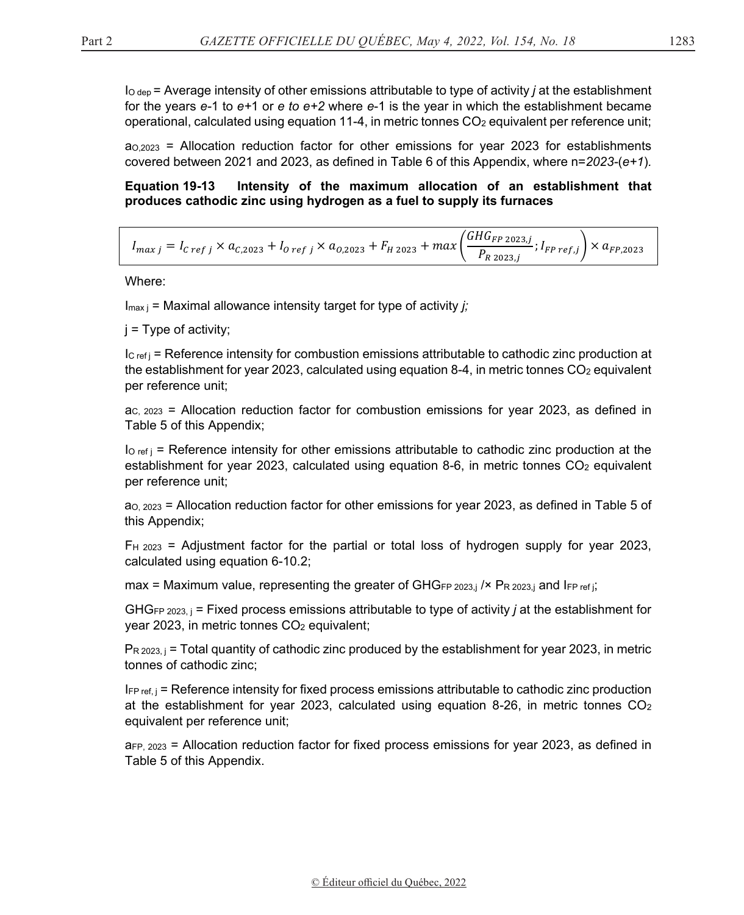$\log_{10}$  = Average intensity of other emissions attributable to type of activity *j* at the establishment for the years  $e-1$  to  $e+1$  or  $e$  to  $e+2$  where  $e-1$  is the year in which the establishment became operational, calculated using equation 11-4, in metric tonnes  $CO<sub>2</sub>$  equivalent per reference unit;

 $a_{0.2023}$  = Allocation reduction factor for other emissions for year 2023 for establishments covered between 2021 and 2023, as defined in Table 6 of this Appendix, where  $n=2023-(e+1)$ .

#### Equation 19-13 Intensity of the maximum allocation of an establishment that produces cathodic zinc using hydrogen as a fuel to supply its furnaces

| $I_{c} = I_{c \, ref \, j} \times a_{C,2023} + I_{0 \, ref \, j} \times a_{0,2023} + F_{H\,2023} + max \left( \frac{GHG_{FP\,2023,j}}{P_{P\,2023\,i}}; I_{FP\,ref,j} \right) \times \omega_{rr,\text{max}}$ |  |  |
|-------------------------------------------------------------------------------------------------------------------------------------------------------------------------------------------------------------|--|--|
|-------------------------------------------------------------------------------------------------------------------------------------------------------------------------------------------------------------|--|--|

Where:

 $I_{\text{max i}}$  = Maximal allowance intensity target for type of activity *i*;

 $i = Type of activity;$ 

 $|c_{\text{ref}}|$  = Reference intensity for combustion emissions attributable to cathodic zinc production at the establishment for year 2023, calculated using equation 8-4, in metric tonnes  $CO<sub>2</sub>$  equivalent per reference unit;

 $ac. 2023$  = Allocation reduction factor for combustion emissions for year 2023, as defined in Table 5 of this Appendix;

 $I_{\text{O ref i}}$  = Reference intensity for other emissions attributable to cathodic zinc production at the establishment for year 2023, calculated using equation 8-6, in metric tonnes  $CO<sub>2</sub>$  equivalent per reference unit;

ao, 2023 = Allocation reduction factor for other emissions for year 2023, as defined in Table 5 of this Appendix;

 $F_{H_1}$  2023 = Adjustment factor for the partial or total loss of hydrogen supply for year 2023, calculated using equation 6-10.2;

max = Maximum value, representing the greater of GHGFP 2023.j /× PR 2023.j and IFP ref j;

GHG<sub>FP 2023, j</sub> = Fixed process emissions attributable to type of activity *j* at the establishment for year 2023, in metric tonnes CO<sub>2</sub> equivalent;

 $Pr_{12023,j}$  = Total quantity of cathodic zinc produced by the establishment for year 2023, in metric tonnes of cathodic zinc;

 $I_{FP ref, j}$  = Reference intensity for fixed process emissions attributable to cathodic zinc production at the establishment for year 2023, calculated using equation 8-26, in metric tonnes  $CO<sub>2</sub>$ equivalent per reference unit;

 $a_{FP, 2023}$  = Allocation reduction factor for fixed process emissions for year 2023, as defined in Table 5 of this Appendix.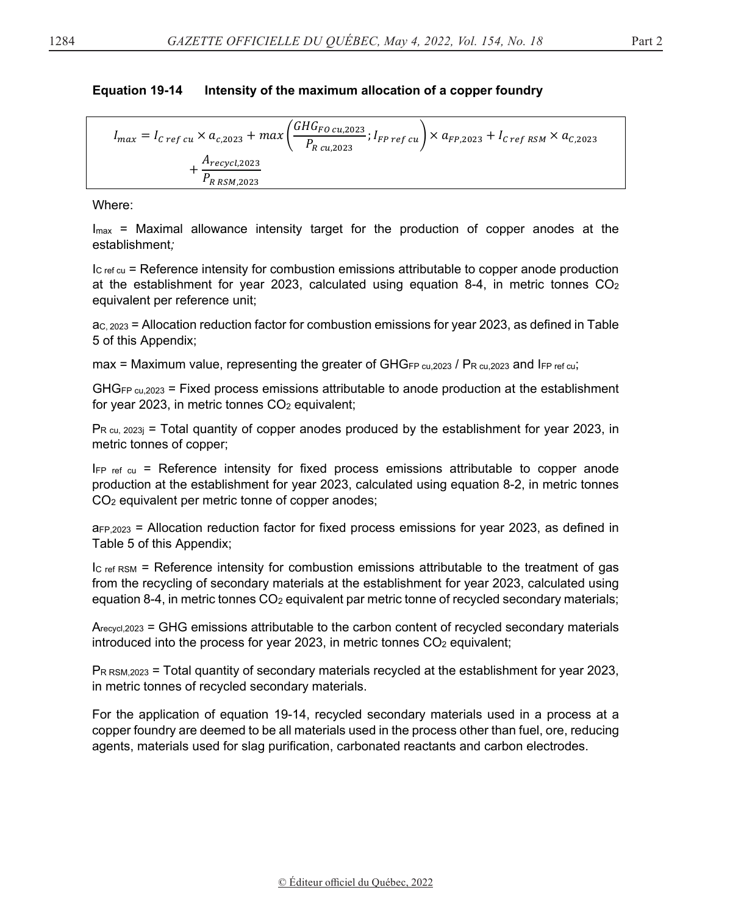#### **Equation 19-14** Intensity of the maximum allocation of a copper foundry

$$
I_{max} = I_{C\,ref\,cu} \times a_{c,2023} + max \left( \frac{GHG_{FO\,cu,2023}}{P_{R\,cu,2023}}; I_{FP\,ref\,cu} \right) \times a_{FP,2023} + I_{C\,ref\,RSM} \times a_{C,2023} + \frac{A_{recycl,2023}}{P_{R\,RSM,2023}}
$$

Where:

 $I_{\text{max}}$  = Maximal allowance intensity target for the production of copper anodes at the establishment;

 $\rm{I_{C}$  ref cu = Reference intensity for combustion emissions attributable to copper anode production at the establishment for year 2023, calculated using equation 8-4, in metric tonnes  $CO<sub>2</sub>$ equivalent per reference unit;

 $ac$ ,  $2023$  = Allocation reduction factor for combustion emissions for year 2023, as defined in Table 5 of this Appendix;

max = Maximum value, representing the greater of GHGFP  $cu.2023$  / PR  $cu.2023$  and IFP ref  $cu$ ;

GHG<sub>FP cu.2023</sub> = Fixed process emissions attributable to anode production at the establishment for year 2023, in metric tonnes  $CO<sub>2</sub>$  equivalent;

 $P_{R \text{ cu, } 2023j}$  = Total quantity of copper anodes produced by the establishment for year 2023, in metric tonnes of copper;

IFP ref cu = Reference intensity for fixed process emissions attributable to copper anode production at the establishment for year 2023, calculated using equation 8-2, in metric tonnes CO<sub>2</sub> equivalent per metric tonne of copper anodes;

a<sub>FP,2023</sub> = Allocation reduction factor for fixed process emissions for year 2023, as defined in Table 5 of this Appendix;

 $lc$  ref RSM = Reference intensity for combustion emissions attributable to the treatment of gas from the recycling of secondary materials at the establishment for year 2023, calculated using equation 8-4, in metric tonnes  $CO<sub>2</sub>$  equivalent par metric tonne of recycled secondary materials;

 $A_{\text{recycl},2023}$  = GHG emissions attributable to the carbon content of recycled secondary materials introduced into the process for year 2023, in metric tonnes CO<sub>2</sub> equivalent;

 $P_{R \text{ RSM},2023}$  = Total quantity of secondary materials recycled at the establishment for year 2023, in metric tonnes of recycled secondary materials.

For the application of equation 19-14, recycled secondary materials used in a process at a copper foundry are deemed to be all materials used in the process other than fuel, ore, reducing agents, materials used for slag purification, carbonated reactants and carbon electrodes.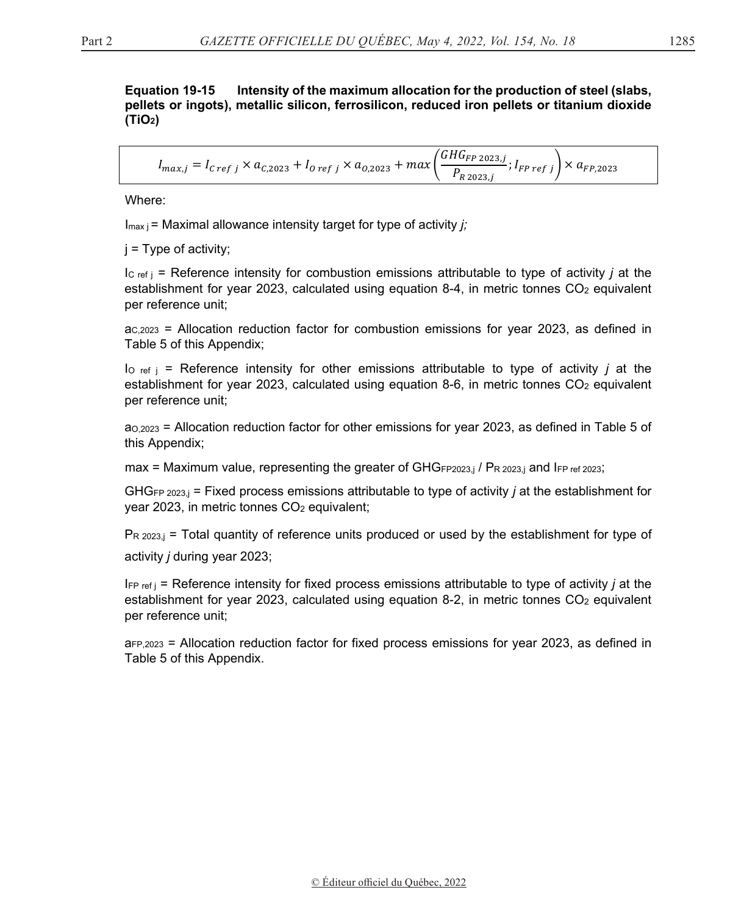**Equation 19-15** Intensity of the maximum allocation for the production of steel (slabs, pellets or ingots), metallic silicon, ferrosilicon, reduced iron pellets or titanium dioxide  $(TIO<sub>2</sub>)$ 

$$
I_{max,j} = I_{C\,ref\,j} \times a_{C,2023} + I_{O\,ref\,j} \times a_{O,2023} + max\left(\frac{GHG_{FP\,2023,j}}{P_{R\,2023,j}}; I_{FP\,ref\,j}\right) \times a_{FP,2023}
$$

Where:

 $I_{\text{max}}$  = Maximal allowance intensity target for type of activity *i*:

 $i = Type$  of activity;

 $|c_{\text{ref}}|$  = Reference intensity for combustion emissions attributable to type of activity *i* at the establishment for year 2023, calculated using equation 8-4, in metric tonnes  $CO<sub>2</sub>$  equivalent per reference unit:

 $ac, 2023$  = Allocation reduction factor for combustion emissions for year 2023, as defined in Table 5 of this Appendix;

 $I_{\text{o ref}}$  = Reference intensity for other emissions attributable to type of activity *j* at the establishment for year 2023, calculated using equation 8-6, in metric tonnes CO<sub>2</sub> equivalent per reference unit;

 $a_{0,2023}$  = Allocation reduction factor for other emissions for year 2023, as defined in Table 5 of this Appendix;

max = Maximum value, representing the greater of GHGFP2023,j / PR 2023,j and IFP ref 2023;

GHG<sub>FP 2023</sub> = Fixed process emissions attributable to type of activity *j* at the establishment for year 2023, in metric tonnes CO<sub>2</sub> equivalent;

 $P_{R\ 2023,i}$  = Total quantity of reference units produced or used by the establishment for type of activity *i* during year 2023;

 $I_{\text{FP ref}}$  = Reference intensity for fixed process emissions attributable to type of activity *j* at the establishment for year 2023, calculated using equation 8-2, in metric tonnes  $CO<sub>2</sub>$  equivalent per reference unit;

 $a_{FP,2023}$  = Allocation reduction factor for fixed process emissions for year 2023, as defined in Table 5 of this Appendix.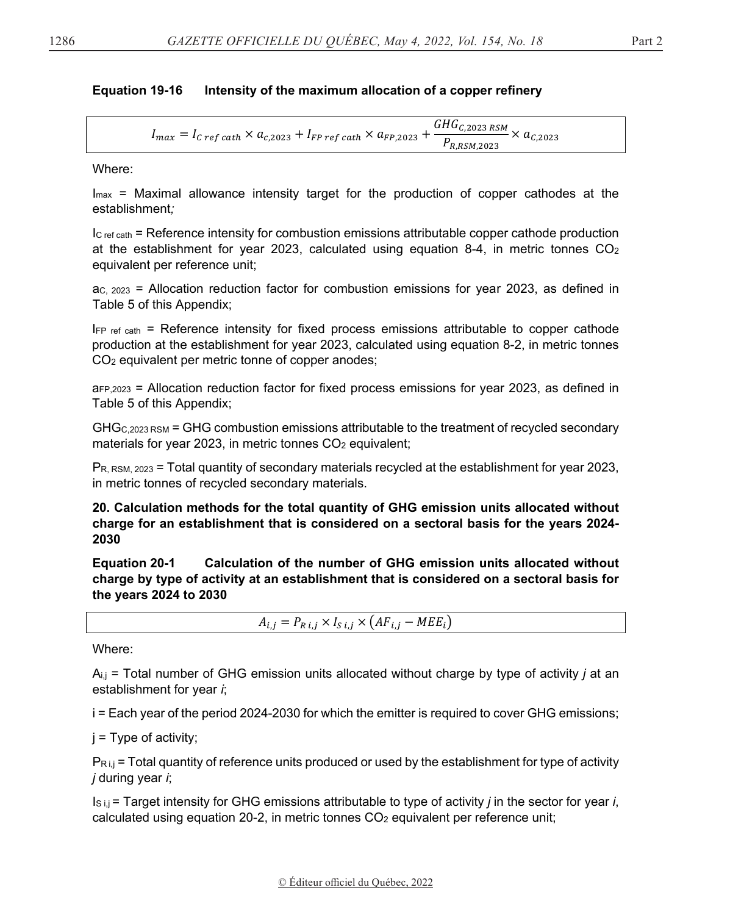#### **Equation 19-16** Intensity of the maximum allocation of a copper refinery

$$
I_{max} = I_{C\,ref\,cath} \times a_{c,2023} + I_{FP\,ref\,cath} \times a_{FP,2023} + \frac{GHG_{C,2023\,RSM}}{P_{R,RSM,2023}} \times a_{C,2023}
$$

Where:

 $I_{\text{max}}$  = Maximal allowance intensity target for the production of copper cathodes at the establishment:

 $l_{\text{C ref cath}}$  = Reference intensity for combustion emissions attributable copper cathode production at the establishment for year 2023, calculated using equation 8-4, in metric tonnes  $CO<sub>2</sub>$ equivalent per reference unit;

 $ac. 2023$  = Allocation reduction factor for combustion emissions for year 2023, as defined in Table 5 of this Appendix;

 $I_{FP \text{ ref cath}}$  = Reference intensity for fixed process emissions attributable to copper cathode production at the establishment for year 2023, calculated using equation 8-2, in metric tonnes CO<sub>2</sub> equivalent per metric tonne of copper anodes;

a<sub>FP,2023</sub> = Allocation reduction factor for fixed process emissions for year 2023, as defined in Table 5 of this Appendix;

GHG<sub>C,2023</sub> RSM = GHG combustion emissions attributable to the treatment of recycled secondary materials for year 2023, in metric tonnes CO<sub>2</sub> equivalent;

 $P_{R, RSM, 2023}$  = Total quantity of secondary materials recycled at the establishment for year 2023. in metric tonnes of recycled secondary materials.

20. Calculation methods for the total quantity of GHG emission units allocated without charge for an establishment that is considered on a sectoral basis for the years 2024-2030

**Equation 20-1** Calculation of the number of GHG emission units allocated without charge by type of activity at an establishment that is considered on a sectoral basis for the years 2024 to 2030

 $A_{i,j} = P_{R i,j} \times I_{S i,j} \times (AF_{i,j} - MEE_i)$ 

Where:

 $A_{i,j}$  = Total number of GHG emission units allocated without charge by type of activity *j* at an establishment for year i;

i = Each year of the period 2024-2030 for which the emitter is required to cover GHG emissions;

 $j = Type of activity;$ 

 $P_{R,i,j}$  = Total quantity of reference units produced or used by the establishment for type of activity *j* during year *i*;

 $Is_{i,j}$  = Target intensity for GHG emissions attributable to type of activity *j* in the sector for year *i*, calculated using equation 20-2, in metric tonnes CO<sub>2</sub> equivalent per reference unit;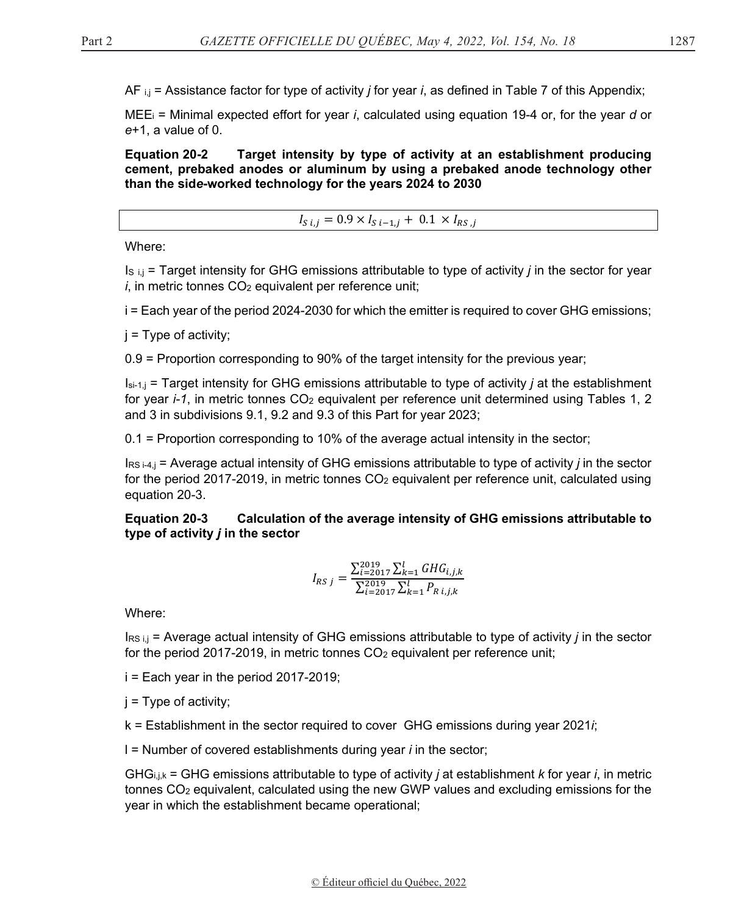AF i,j = Assistance factor for type of activity *j* for year *i*, as defined in Table 7 of this Appendix;

MEEi = Minimal expected effort for year *i*, calculated using equation 19-4 or, for the year *d* or *e*+1, a value of 0.

**Equation 20-2 Target intensity by type of activity at an establishment producing cement, prebaked anodes or aluminum by using a prebaked anode technology other than the sid***e***-worked technology for the years 2024 to 2030** 

$$
I_{S\,i,j}=0.9\times I_{S\,i-1,j}+\,0.1\,\times I_{RS\,,j}
$$

Where:

IS i,j = Target intensity for GHG emissions attributable to type of activity *j* in the sector for year  $i$ , in metric tonnes  $CO<sub>2</sub>$  equivalent per reference unit;

i = Each year of the period 2024-2030 for which the emitter is required to cover GHG emissions;

j = Type of activity;

0.9 = Proportion corresponding to 90% of the target intensity for the previous year;

Isi-1,j = Target intensity for GHG emissions attributable to type of activity *j* at the establishment for year *i-1*, in metric tonnes CO<sub>2</sub> equivalent per reference unit determined using Tables 1, 2 and 3 in subdivisions 9.1, 9.2 and 9.3 of this Part for year 2023;

0.1 = Proportion corresponding to 10% of the average actual intensity in the sector;

IRS i-4,j = Average actual intensity of GHG emissions attributable to type of activity *j* in the sector for the period 2017-2019, in metric tonnes CO<sub>2</sub> equivalent per reference unit, calculated using equation 20-3.

**Equation 20-3 Calculation of the average intensity of GHG emissions attributable to type of activity** *j* **in the sector** 

$$
I_{RS\,j} = \frac{\sum_{i=2017}^{2019} \sum_{k=1}^{l} GHG_{i,j,k}}{\sum_{i=2017}^{2019} \sum_{k=1}^{l} P_{R\,i,j,k}}
$$

Where:

IRS i,j = Average actual intensity of GHG emissions attributable to type of activity *j* in the sector for the period 2017-2019, in metric tonnes  $CO<sub>2</sub>$  equivalent per reference unit;

i = Each year in the period 2017-2019;

 $j = Type of activity;$ 

k = Establishment in the sector required to cover GHG emissions during year 2021*i*;

l = Number of covered establishments during year *i* in the sector;

GHGi,j,k = GHG emissions attributable to type of activity *j* at establishment *k* for year *i*, in metric tonnes CO2 equivalent, calculated using the new GWP values and excluding emissions for the year in which the establishment became operational;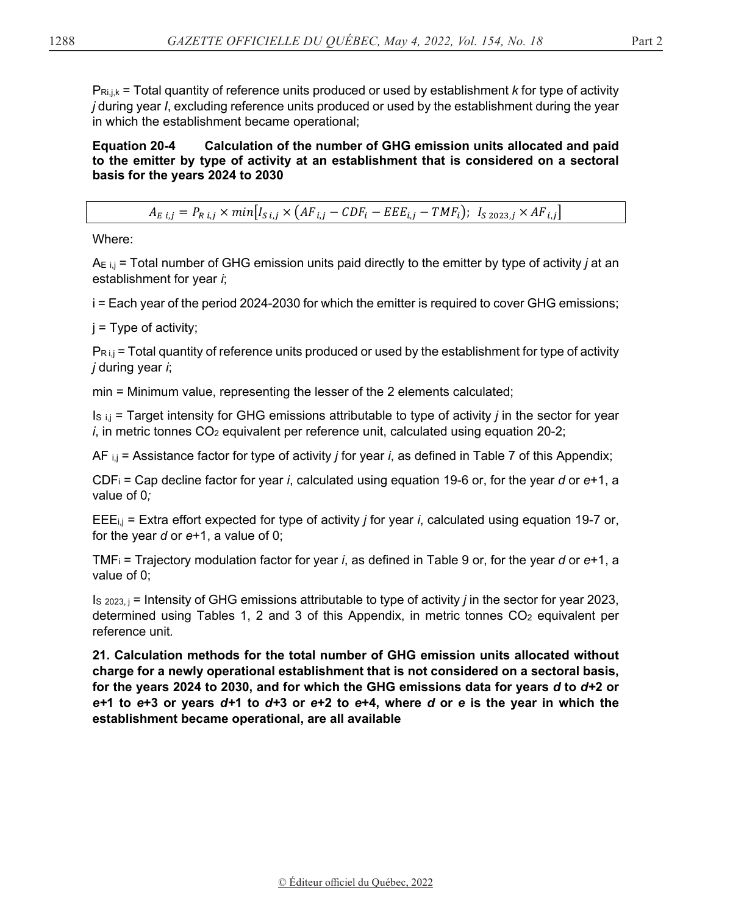$P_{\text{Ri},j,k}$  = Total quantity of reference units produced or used by establishment *k* for type of activity *j* during year *I*, excluding reference units produced or used by the establishment during the year in which the establishment became operational;

**Equation 20-4 Calculation of the number of GHG emission units allocated and paid to the emitter by type of activity at an establishment that is considered on a sectoral basis for the years 2024 to 2030** 

$$
A_{E\ i,j} = P_{R\ i,j} \times min[I_{S\ i,j} \times (AF_{i,j} - CDF_i - EEE_{i,j} - TMF_i); \ I_{S\ 2023,j} \times AF_{i,j}]
$$

Where:

AE i,j = Total number of GHG emission units paid directly to the emitter by type of activity *j* at an establishment for year *i*;

i = Each year of the period 2024-2030 for which the emitter is required to cover GHG emissions;

 $i =$  Type of activity;

 $P_{\text{R} i,j}$  = Total quantity of reference units produced or used by the establishment for type of activity *j* during year *i*;

min = Minimum value, representing the lesser of the 2 elements calculated;

IS i,j = Target intensity for GHG emissions attributable to type of activity *j* in the sector for year *i*, in metric tonnes CO<sub>2</sub> equivalent per reference unit, calculated using equation 20-2;

AF i,j = Assistance factor for type of activity *j* for year *i*, as defined in Table 7 of this Appendix;

CDFi = Cap decline factor for year *i*, calculated using equation 19-6 or, for the year *d* or *e*+1, a value of 0*;*

EEEi,j = Extra effort expected for type of activity *j* for year *i*, calculated using equation 19-7 or, for the year *d* or *e*+1, a value of 0;

TMFi = Trajectory modulation factor for year *i*, as defined in Table 9 or, for the year *d* or *e*+1, a value of 0;

IS 2023, j = Intensity of GHG emissions attributable to type of activity *j* in the sector for year 2023, determined using Tables 1, 2 and 3 of this Appendix, in metric tonnes  $CO<sub>2</sub>$  equivalent per reference unit*.*

**21. Calculation methods for the total number of GHG emission units allocated without charge for a newly operational establishment that is not considered on a sectoral basis, for the years 2024 to 2030, and for which the GHG emissions data for years** *d* **to** *d+***2 or**  *e+***1 to** *e***+3 or years** *d+***1 to** *d+***3 or** *e***+2 to** *e***+4, where** *d* **or** *e* **is the year in which the establishment became operational, are all available**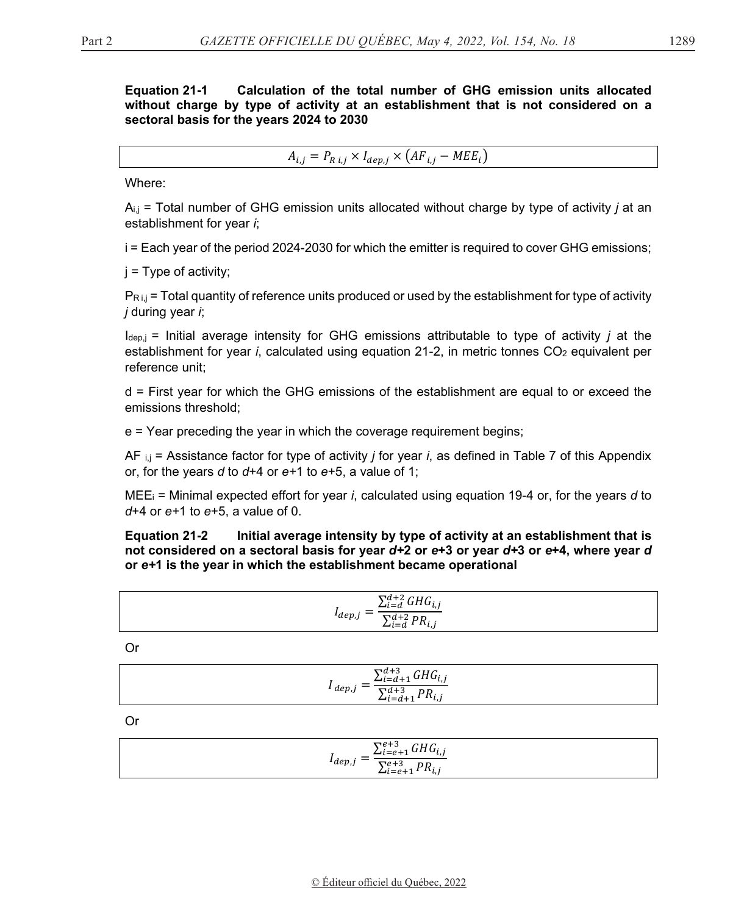#### **Equation 21-1** Calculation of the total number of GHG emission units allocated without charge by type of activity at an establishment that is not considered on a sectoral basis for the years 2024 to 2030

 $A_{i,j} = P_{R i,j} \times I_{dep,j} \times (AF_{i,j} - MEE_i)$ 

Where:

 $A_{i,j}$  = Total number of GHG emission units allocated without charge by type of activity *j* at an establishment for year i;

i = Each year of the period 2024-2030 for which the emitter is required to cover GHG emissions;

 $i = Type of activity;$ 

 $P_{R,i,j}$  = Total quantity of reference units produced or used by the establishment for type of activity *j* during year *i*;

 $I_{\text{dep},j}$  = Initial average intensity for GHG emissions attributable to type of activity *j* at the establishment for year *i*, calculated using equation 21-2, in metric tonnes CO<sub>2</sub> equivalent per reference unit:

 $d$  = First year for which the GHG emissions of the establishment are equal to or exceed the emissions threshold:

 $e$  = Year preceding the year in which the coverage requirement begins;

AF  $_{i,j}$  = Assistance factor for type of activity *j* for year *i*, as defined in Table 7 of this Appendix or, for the years  $d$  to  $d+4$  or  $e+1$  to  $e+5$ , a value of 1;

 $MEE_i$  = Minimal expected effort for year *i*, calculated using equation 19-4 or, for the years d to  $d+4$  or  $e+1$  to  $e+5$ . a value of 0.

**Equation 21-2** Initial average intensity by type of activity at an establishment that is not considered on a sectoral basis for year d+2 or e+3 or year d+3 or e+4, where year d or e+1 is the year in which the establishment became operational

| $\sum_{i=d}^{d+2} GHG_{i,j}$                       |  |
|----------------------------------------------------|--|
| $I_{dep,j}$<br>$\sum_{i=d}^{d+2} PR_{i,j}$<br>ι, յ |  |

 $Or$ 

| $\sum_{i=d+1}^{d+3} GHG_{i,j}$                 |  |
|------------------------------------------------|--|
| $1_{dep,j}$ –<br>$\sum_{i=d+1}^{d+3} PR_{i,j}$ |  |

**Or** 

| $\sum_{i=e+1}^{e+3}GHG_{i,j}$                |  |
|----------------------------------------------|--|
| $l_{dep,j}$<br>$\sum_{i=e+1}^{e+3} PR_{i,j}$ |  |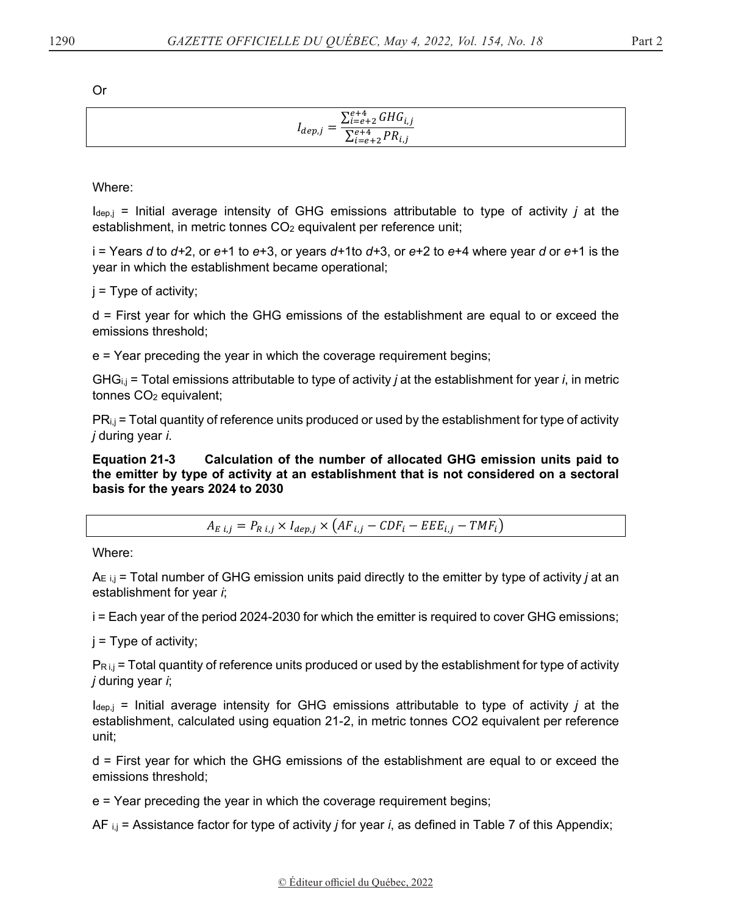Or

| $\sum_{i=e+2}^{e+4} GHG_{i,j}$               |
|----------------------------------------------|
| $I_{dep,j}$<br>$\sum_{i=e+2}^{e+4} PR_{i,j}$ |

Where:

Idep,j = Initial average intensity of GHG emissions attributable to type of activity *j* at the establishment, in metric tonnes CO<sub>2</sub> equivalent per reference unit;

i = Years *d* to *d+*2, or *e+*1 to *e*+3, or years *d+*1to *d+*3, or *e*+2 to *e*+4 where year *d* or *e+*1 is the year in which the establishment became operational;

 $j = Type$  of activity;

d = First year for which the GHG emissions of the establishment are equal to or exceed the emissions threshold;

e = Year preceding the year in which the coverage requirement begins;

GHGi,j = Total emissions attributable to type of activity *j* at the establishment for year *i*, in metric tonnes CO<sub>2</sub> equivalent;

PRi,j = Total quantity of reference units produced or used by the establishment for type of activity *j* during year *i*.

**Equation 21-3 Calculation of the number of allocated GHG emission units paid to the emitter by type of activity at an establishment that is not considered on a sectoral basis for the years 2024 to 2030** 

 $A_{E,i,j} = P_{R,i,j} \times I_{dep,j} \times (AF_{i,j} - CDF_i - EEE_{i,j} - TMF_i)$ 

Where:

AE i,j = Total number of GHG emission units paid directly to the emitter by type of activity *j* at an establishment for year *i*;

i = Each year of the period 2024-2030 for which the emitter is required to cover GHG emissions;

 $j = Type$  of activity;

 $P_{R i,j}$  = Total quantity of reference units produced or used by the establishment for type of activity *j* during year *i*;

 $I_{\text{dep},j}$  = Initial average intensity for GHG emissions attributable to type of activity *j* at the establishment, calculated using equation 21-2, in metric tonnes CO2 equivalent per reference unit;

d = First year for which the GHG emissions of the establishment are equal to or exceed the emissions threshold;

e = Year preceding the year in which the coverage requirement begins;

AF i,j = Assistance factor for type of activity *j* for year *i*, as defined in Table 7 of this Appendix;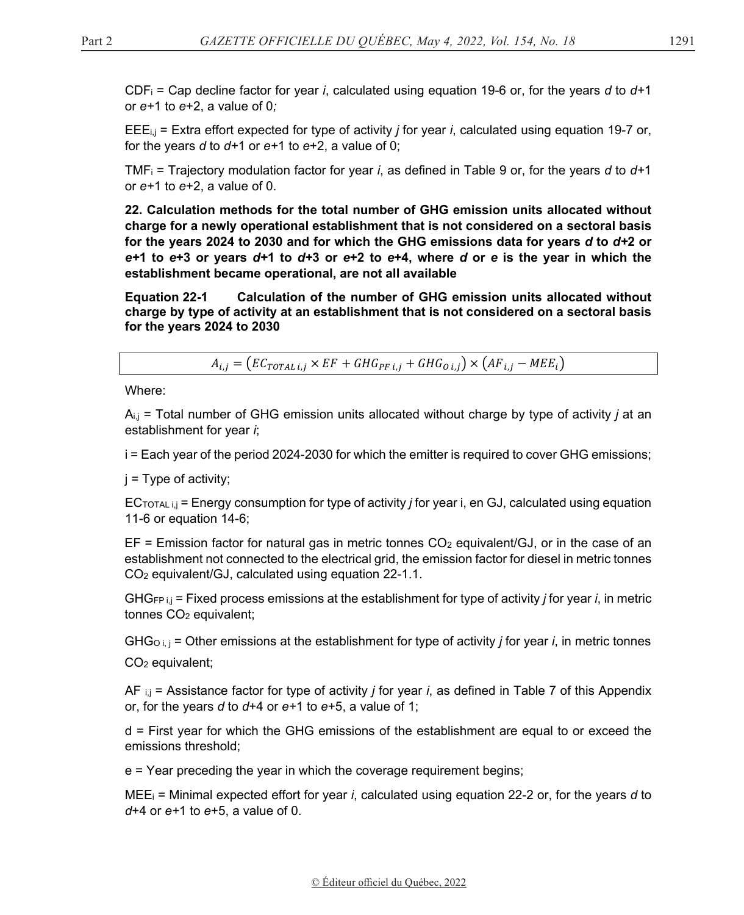CDFi = Cap decline factor for year *i*, calculated using equation 19-6 or, for the years *d* to *d+*1 or *e+*1 to *e*+2, a value of 0*;*

EEEi,j = Extra effort expected for type of activity *j* for year *i*, calculated using equation 19-7 or, for the years *d* to *d+*1 or *e+*1 to *e*+2, a value of 0;

TMFi = Trajectory modulation factor for year *i*, as defined in Table 9 or, for the years *d* to *d+*1 or *e+*1 to *e*+2, a value of 0.

**22. Calculation methods for the total number of GHG emission units allocated without charge for a newly operational establishment that is not considered on a sectoral basis for the years 2024 to 2030 and for which the GHG emissions data for years** *d* **to** *d+***2 or**  *e+***1 to** *e***+3 or years** *d+***1 to** *d+***3 or** *e***+2 to** *e***+4, where** *d* **or** *e* **is the year in which the establishment became operational, are not all available** 

**Equation 22-1 Calculation of the number of GHG emission units allocated without charge by type of activity at an establishment that is not considered on a sectoral basis for the years 2024 to 2030** 

 $A_{i,j} = (EC_{TOTAL,i} \times EF + GHG_{PF,i,j} + GHG_{O,i,j}) \times (AF_{i,j} - MEE_i)$ 

Where:

Ai,j = Total number of GHG emission units allocated without charge by type of activity *j* at an establishment for year *i*;

i = Each year of the period 2024-2030 for which the emitter is required to cover GHG emissions;

 $j = Type$  of activity;

ECTOTAL i,j = Energy consumption for type of activity *j* for year i, en GJ, calculated using equation 11-6 or equation 14-6;

 $EF =$  Emission factor for natural gas in metric tonnes  $CO<sub>2</sub>$  equivalent/GJ, or in the case of an establishment not connected to the electrical grid, the emission factor for diesel in metric tonnes CO2 equivalent/GJ, calculated using equation 22-1.1.

GHGFP i,j = Fixed process emissions at the establishment for type of activity *j* for year *i*, in metric tonnes CO<sub>2</sub> equivalent;

 $GHG_{O,i,j}$  = Other emissions at the establishment for type of activity *j* for year *i*, in metric tonnes CO2 equivalent;

AF i,j = Assistance factor for type of activity *j* for year *i*, as defined in Table 7 of this Appendix or, for the years *d* to *d*+4 or *e+*1 to *e*+5, a value of 1;

d = First year for which the GHG emissions of the establishment are equal to or exceed the emissions threshold;

e = Year preceding the year in which the coverage requirement begins;

MEEi = Minimal expected effort for year *i*, calculated using equation 22-2 or, for the years *d* to *d*+4 or *e+*1 to *e*+5, a value of 0.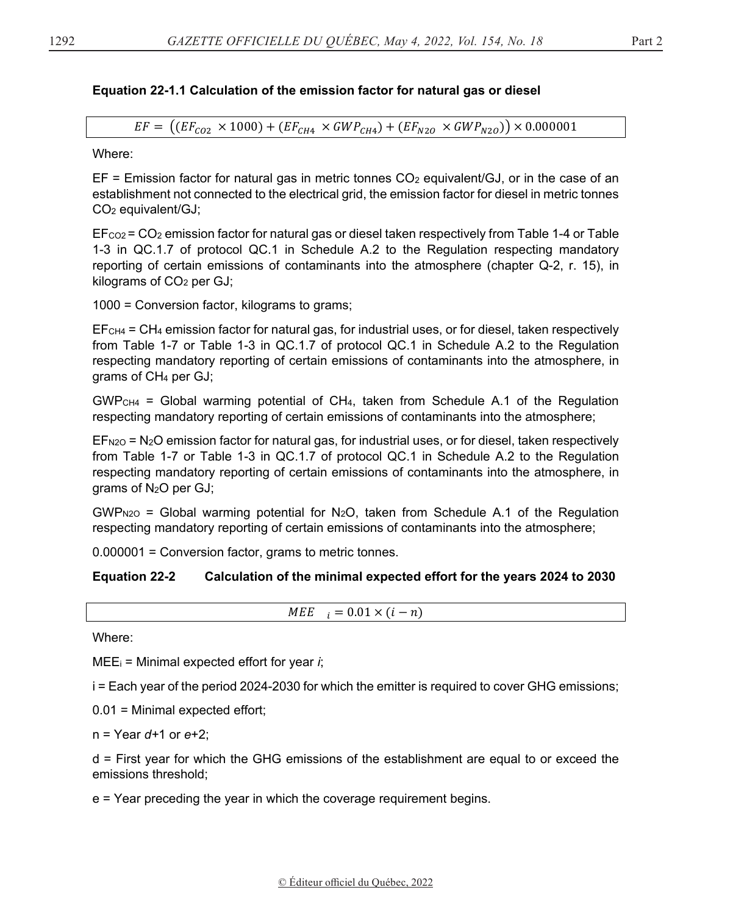# **Equation 22-1.1 Calculation of the emission factor for natural gas or diesel**

 $EF = ((EF_{CO2} \times 1000) + (EF_{CH4} \times GWP_{CH4}) + (EF_{N2O} \times GWP_{N2O}) \times 0.000001$ 

Where:

 $EF =$  Emission factor for natural gas in metric tonnes  $CO<sub>2</sub>$  equivalent/GJ, or in the case of an establishment not connected to the electrical grid, the emission factor for diesel in metric tonnes CO2 equivalent/GJ;

 $E_{\text{CO2}}$  =  $\text{CO}_2$  emission factor for natural gas or diesel taken respectively from Table 1-4 or Table 1-3 in QC.1.7 of protocol QC.1 in Schedule A.2 to the Regulation respecting mandatory reporting of certain emissions of contaminants into the atmosphere (chapter Q-2, r. 15), in kilograms of CO<sub>2</sub> per GJ;

1000 = Conversion factor, kilograms to grams;

EFCH4 = CH4 emission factor for natural gas, for industrial uses, or for diesel, taken respectively from Table 1-7 or Table 1-3 in QC.1.7 of protocol QC.1 in Schedule A.2 to the Regulation respecting mandatory reporting of certain emissions of contaminants into the atmosphere, in grams of CH4 per GJ;

 $GWP<sub>CH4</sub>$  = Global warming potential of CH<sub>4</sub>, taken from Schedule A.1 of the Regulation respecting mandatory reporting of certain emissions of contaminants into the atmosphere;

 $EF<sub>N2O</sub> = N<sub>2</sub>O$  emission factor for natural gas, for industrial uses, or for diesel, taken respectively from Table 1-7 or Table 1-3 in QC.1.7 of protocol QC.1 in Schedule A.2 to the Regulation respecting mandatory reporting of certain emissions of contaminants into the atmosphere, in grams of N2O per GJ;

 $GWP_{N2O}$  = Global warming potential for N<sub>2</sub>O, taken from Schedule A.1 of the Regulation respecting mandatory reporting of certain emissions of contaminants into the atmosphere;

0.000001 = Conversion factor, grams to metric tonnes.

# **Equation 22-2 Calculation of the minimal expected effort for the years 2024 to 2030**

 $MEE_i = 0.01 \times (i - n)$ 

Where:

MEEi = Minimal expected effort for year *i*;

i = Each year of the period 2024-2030 for which the emitter is required to cover GHG emissions;

0.01 = Minimal expected effort;

n = Year *d+*1 or *e*+2;

d = First year for which the GHG emissions of the establishment are equal to or exceed the emissions threshold;

e = Year preceding the year in which the coverage requirement begins.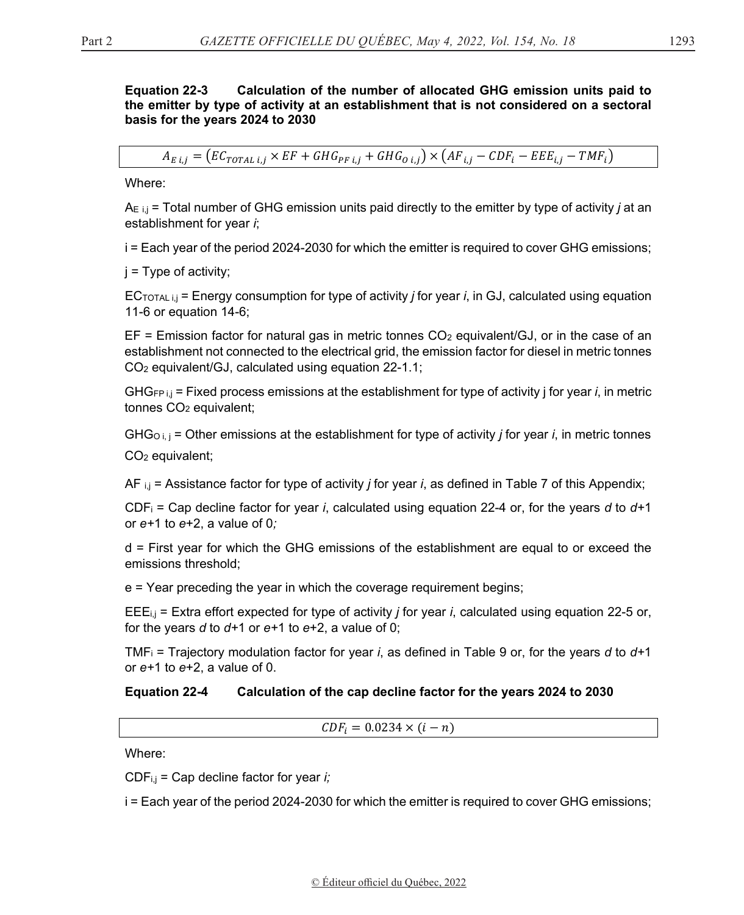### **Equation 22-3 Calculation of the number of allocated GHG emission units paid to the emitter by type of activity at an establishment that is not considered on a sectoral basis for the years 2024 to 2030**

 $A_{E,i} = (EC_{TOTAL,i} \times EF + GHG_{PF,i,j} + GHG_{O,i,j}) \times (AF_{i,j} - CDF_i - EEE_{i,j} - TMF_i)$ 

Where:

AE i,j = Total number of GHG emission units paid directly to the emitter by type of activity *j* at an establishment for year *i*;

i = Each year of the period 2024-2030 for which the emitter is required to cover GHG emissions;

j = Type of activity;

ECTOTAL i,j = Energy consumption for type of activity *j* for year *i*, in GJ, calculated using equation 11-6 or equation 14-6;

 $EF =$  Emission factor for natural gas in metric tonnes  $CO<sub>2</sub>$  equivalent/GJ, or in the case of an establishment not connected to the electrical grid, the emission factor for diesel in metric tonnes CO2 equivalent/GJ, calculated using equation 22-1.1;

GHGFP i,j = Fixed process emissions at the establishment for type of activity j for year *i*, in metric tonnes CO2 equivalent;

GHGO i, j = Other emissions at the establishment for type of activity *j* for year *i*, in metric tonnes CO2 equivalent;

AF i,j = Assistance factor for type of activity *j* for year *i*, as defined in Table 7 of this Appendix;

CDFi = Cap decline factor for year *i*, calculated using equation 22-4 or, for the years *d* to *d+*1 or *e+*1 to *e*+2, a value of 0*;*

d = First year for which the GHG emissions of the establishment are equal to or exceed the emissions threshold;

e = Year preceding the year in which the coverage requirement begins;

EEEi,j = Extra effort expected for type of activity *j* for year *i*, calculated using equation 22-5 or, for the years *d* to *d+*1 or *e+*1 to *e*+2, a value of 0;

TMFi = Trajectory modulation factor for year *i*, as defined in Table 9 or, for the years *d* to *d+*1 or *e+*1 to *e*+2, a value of 0.

# **Equation 22-4 Calculation of the cap decline factor for the years 2024 to 2030**

 $CDF_i = 0.0234 \times (i - n)$ 

Where:

CDFi,j = Cap decline factor for year *i;*

i = Each year of the period 2024-2030 for which the emitter is required to cover GHG emissions;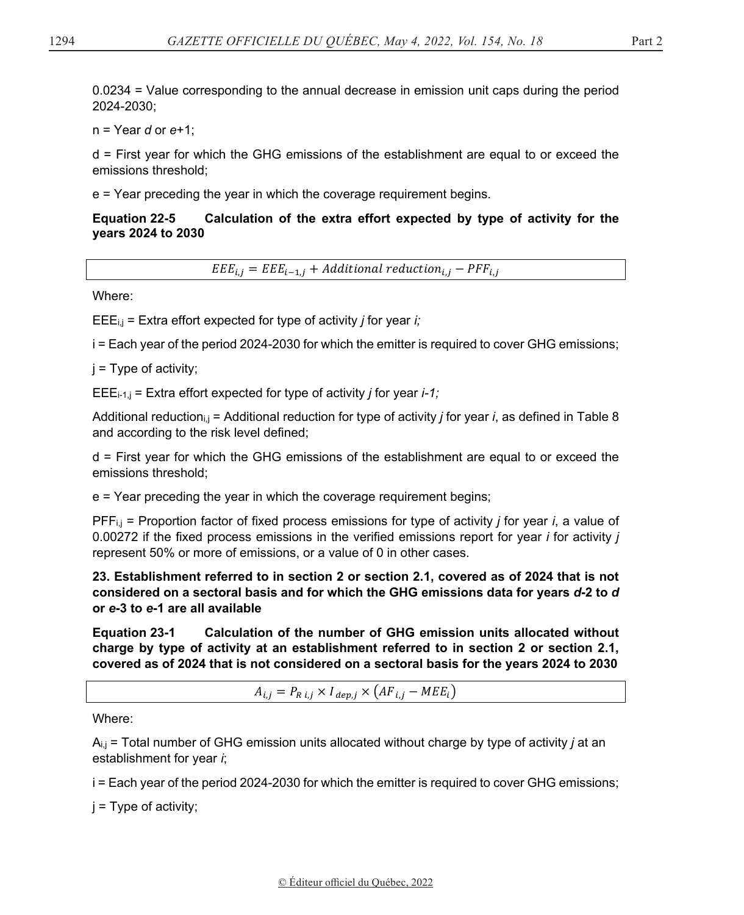0.0234 = Value corresponding to the annual decrease in emission unit caps during the period 2024-2030;

n = Year *d* or *e*+1;

d = First year for which the GHG emissions of the establishment are equal to or exceed the emissions threshold;

e = Year preceding the year in which the coverage requirement begins.

## **Equation 22-5 Calculation of the extra effort expected by type of activity for the years 2024 to 2030**

 $EEE_{i,j} = EEE_{i-1,j} + Additional \, reduction_{i,j} - PFF_{i,j}$ 

Where:

EEEi,j = Extra effort expected for type of activity *j* for year *i;*

i = Each year of the period 2024-2030 for which the emitter is required to cover GHG emissions;

j = Type of activity;

EEEi-1,j = Extra effort expected for type of activity *j* for year *i-1;*

Additional reductioni,j = Additional reduction for type of activity *j* for year *i*, as defined in Table 8 and according to the risk level defined;

d = First year for which the GHG emissions of the establishment are equal to or exceed the emissions threshold;

e = Year preceding the year in which the coverage requirement begins;

PFFi,j = Proportion factor of fixed process emissions for type of activity *j* for year *i*, a value of 0.00272 if the fixed process emissions in the verified emissions report for year *i* for activity *j* represent 50% or more of emissions, or a value of 0 in other cases.

**23. Establishment referred to in section 2 or section 2.1, covered as of 2024 that is not considered on a sectoral basis and for which the GHG emissions data for years** *d***-2 to** *d*  **or** *e***-3 to** *e***-1 are all available** 

**Equation 23-1 Calculation of the number of GHG emission units allocated without charge by type of activity at an establishment referred to in section 2 or section 2.1, covered as of 2024 that is not considered on a sectoral basis for the years 2024 to 2030** 

 $A_{i,j} = P_{R i,j} \times I_{dep,j} \times (AF_{i,j} - MEE_i)$ 

Where:

Ai,j = Total number of GHG emission units allocated without charge by type of activity *j* at an establishment for year *i*;

i = Each year of the period 2024-2030 for which the emitter is required to cover GHG emissions;

 $j = Type$  of activity;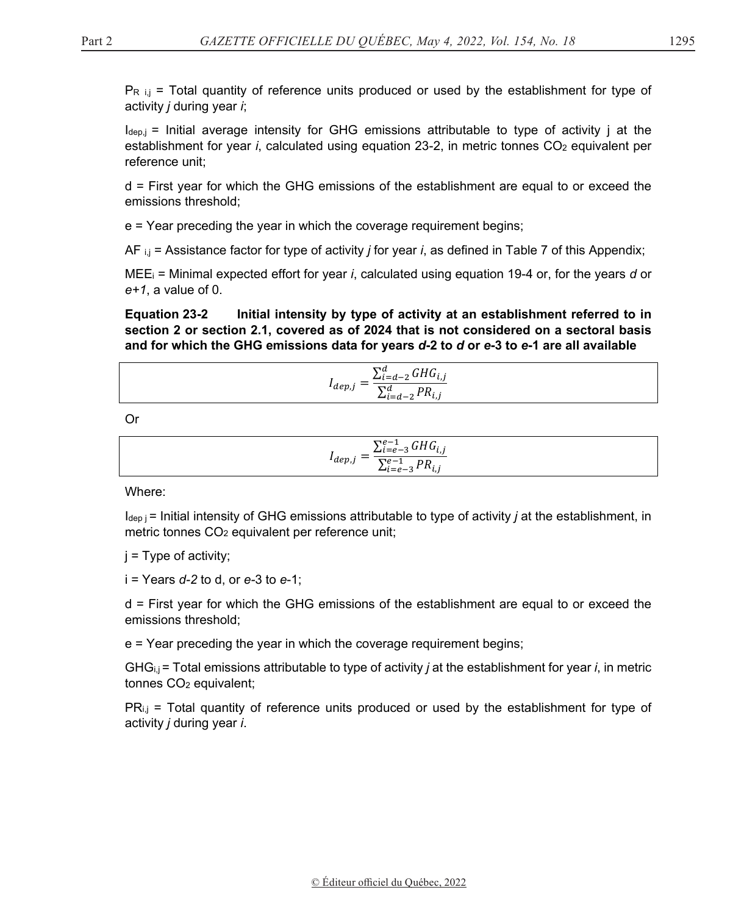$P_{R i,j}$  = Total quantity of reference units produced or used by the establishment for type of activity *j* during year *i*;

 $I_{\text{dep},j}$  = Initial average intensity for GHG emissions attributable to type of activity j at the establishment for year *i*, calculated using equation 23-2, in metric tonnes CO<sub>2</sub> equivalent per reference unit;

d = First year for which the GHG emissions of the establishment are equal to or exceed the emissions threshold;

e = Year preceding the year in which the coverage requirement begins;

AF i,j = Assistance factor for type of activity *j* for year *i*, as defined in Table 7 of this Appendix;

MEEi = Minimal expected effort for year *i*, calculated using equation 19-4 or, for the years *d* or *e+1*, a value of 0.

**Equation 23-2 Initial intensity by type of activity at an establishment referred to in section 2 or section 2.1, covered as of 2024 that is not considered on a sectoral basis and for which the GHG emissions data for years** *d***-2 to** *d* **or** *e***-3 to** *e***-1 are all available**

$$
I_{dep,j} = \frac{\sum_{i=d-2}^{d} GHG_{i,j}}{\sum_{i=d-2}^{d} PR_{i,j}}
$$

Or

| $\sum_{i=e-3}^{e-1} G H G_{i,j}$ |  |
|----------------------------------|--|
| $Y^{\epsilon-1}$ , PR.           |  |

Where:

 $I_{\text{dep}}$  = Initial intensity of GHG emissions attributable to type of activity *j* at the establishment, in metric tonnes CO<sub>2</sub> equivalent per reference unit;

 $j = Type$  of activity;

i = Years *d-2* to d, or *e-*3 to *e*-1;

d = First year for which the GHG emissions of the establishment are equal to or exceed the emissions threshold;

e = Year preceding the year in which the coverage requirement begins;

GHGi,j = Total emissions attributable to type of activity *j* at the establishment for year *i*, in metric tonnes CO2 equivalent;

 $PR_{i,j}$  = Total quantity of reference units produced or used by the establishment for type of activity *j* during year *i*.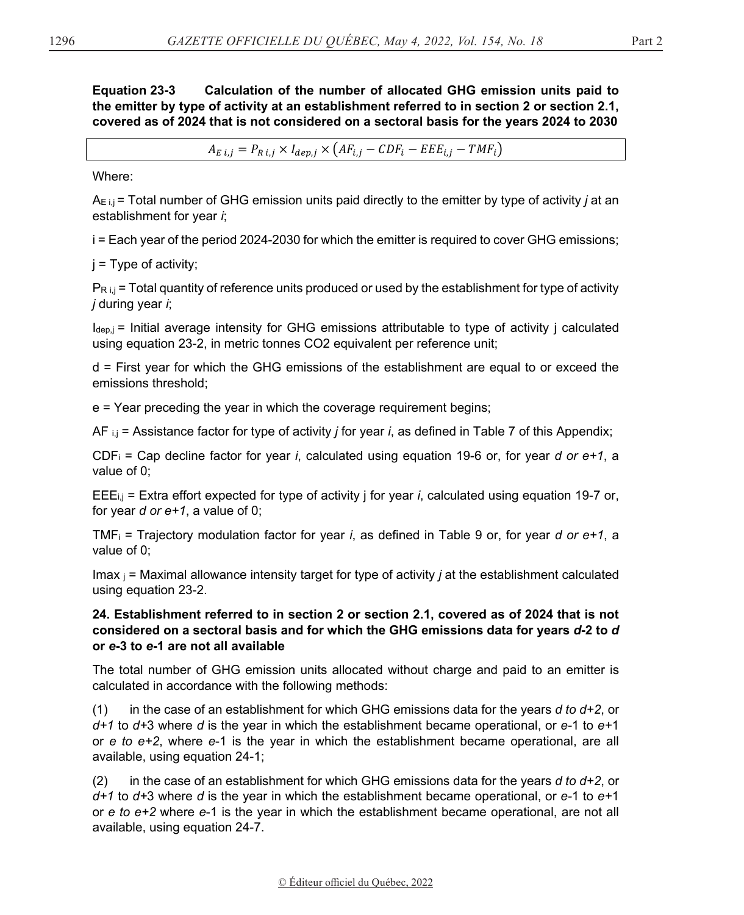**Equation 23-3 Calculation of the number of allocated GHG emission units paid to the emitter by type of activity at an establishment referred to in section 2 or section 2.1, covered as of 2024 that is not considered on a sectoral basis for the years 2024 to 2030**

 $A_{E,i,j} = P_{R,i,j} \times I_{den,i} \times (AF_{i,j} - CDF_i - EEE_{i,j} - TMF_i)$ 

Where:

AE i,j = Total number of GHG emission units paid directly to the emitter by type of activity *j* at an establishment for year *i*;

i = Each year of the period 2024-2030 for which the emitter is required to cover GHG emissions;

 $j =$  Type of activity;

 $P_{R i,j}$  = Total quantity of reference units produced or used by the establishment for type of activity *j* during year *i*;

 $I_{\text{dep},j}$  = Initial average intensity for GHG emissions attributable to type of activity j calculated using equation 23-2, in metric tonnes CO2 equivalent per reference unit;

d = First year for which the GHG emissions of the establishment are equal to or exceed the emissions threshold;

e = Year preceding the year in which the coverage requirement begins;

AF i,j = Assistance factor for type of activity *j* for year *i*, as defined in Table 7 of this Appendix;

CDFi = Cap decline factor for year *i*, calculated using equation 19-6 or, for year *d or e+1*, a value of 0;

EEEi,j = Extra effort expected for type of activity j for year *i*, calculated using equation 19-7 or, for year *d or e+1*, a value of 0;

TMFi = Trajectory modulation factor for year *i*, as defined in Table 9 or, for year *d or e+1*, a value of 0;

Imax j = Maximal allowance intensity target for type of activity *j* at the establishment calculated using equation 23-2.

## **24. Establishment referred to in section 2 or section 2.1, covered as of 2024 that is not considered on a sectoral basis and for which the GHG emissions data for years** *d***-2 to** *d*  **or** *e***-3 to** *e***-1 are not all available**

The total number of GHG emission units allocated without charge and paid to an emitter is calculated in accordance with the following methods:

(1) in the case of an establishment for which GHG emissions data for the years *d to d+2*, or *d+1* to *d+*3 where *d* is the year in which the establishment became operational, or *e-*1 to *e+*1 or *e to e+2*, where *e*-1 is the year in which the establishment became operational, are all available, using equation 24-1;

(2) in the case of an establishment for which GHG emissions data for the years  $d$  to  $d+2$ , or *d+1* to *d+*3 where *d* is the year in which the establishment became operational, or *e-*1 to *e+*1 or *e to e+2* where *e*-1 is the year in which the establishment became operational, are not all available, using equation 24-7.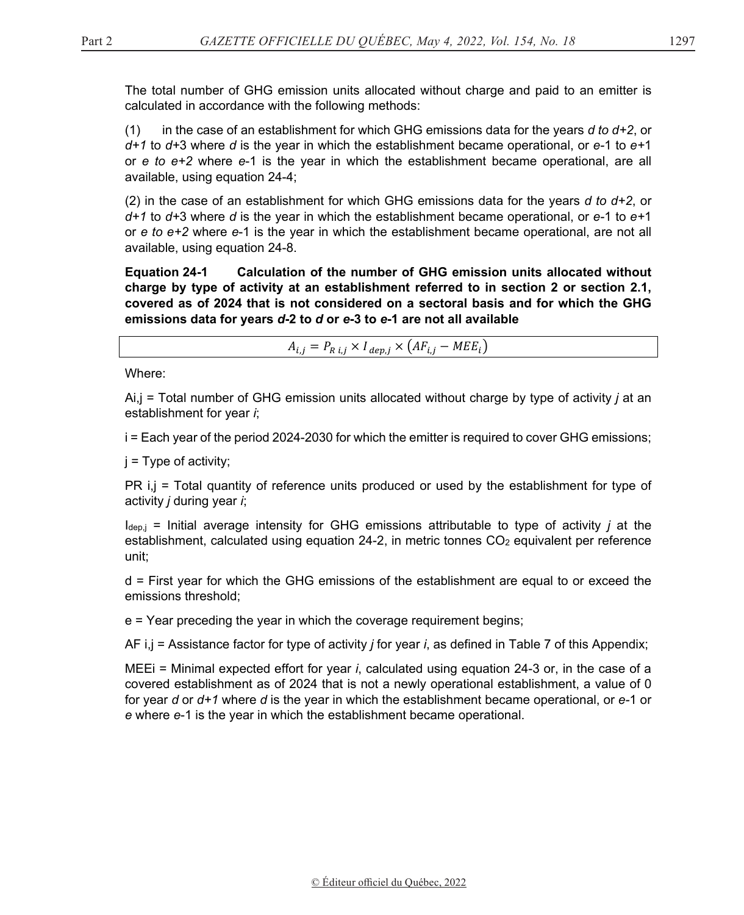The total number of GHG emission units allocated without charge and paid to an emitter is calculated in accordance with the following methods:

(1) in the case of an establishment for which GHG emissions data for the years *d to d+2*, or *d+1* to *d+*3 where *d* is the year in which the establishment became operational, or *e-*1 to *e+*1 or *e to e+2* where *e*-1 is the year in which the establishment became operational, are all available, using equation 24-4;

(2) in the case of an establishment for which GHG emissions data for the years *d to d+2*, or *d+1* to *d+*3 where *d* is the year in which the establishment became operational, or *e-*1 to *e+*1 or *e to e+2* where *e*-1 is the year in which the establishment became operational, are not all available, using equation 24-8.

**Equation 24-1 Calculation of the number of GHG emission units allocated without charge by type of activity at an establishment referred to in section 2 or section 2.1, covered as of 2024 that is not considered on a sectoral basis and for which the GHG emissions data for years** *d***-2 to** *d* **or** *e***-3 to** *e***-1 are not all available**

 $A_{i,j} = P_{R i,j} \times I_{dep,j} \times (AF_{i,j} - MEE_i)$ 

Where:

Ai,j = Total number of GHG emission units allocated without charge by type of activity *j* at an establishment for year *i*;

i = Each year of the period 2024-2030 for which the emitter is required to cover GHG emissions;

 $j = Type$  of activity;

PR i,j = Total quantity of reference units produced or used by the establishment for type of activity *j* during year *i*;

Idep,j = Initial average intensity for GHG emissions attributable to type of activity *j* at the establishment, calculated using equation 24-2, in metric tonnes CO<sub>2</sub> equivalent per reference unit;

d = First year for which the GHG emissions of the establishment are equal to or exceed the emissions threshold;

e = Year preceding the year in which the coverage requirement begins;

AF i,j = Assistance factor for type of activity *j* for year *i*, as defined in Table 7 of this Appendix;

MEEi = Minimal expected effort for year *i*, calculated using equation 24-3 or, in the case of a covered establishment as of 2024 that is not a newly operational establishment, a value of 0 for year *d* or *d+1* where *d* is the year in which the establishment became operational, or *e-*1 or *e* where *e*-1 is the year in which the establishment became operational.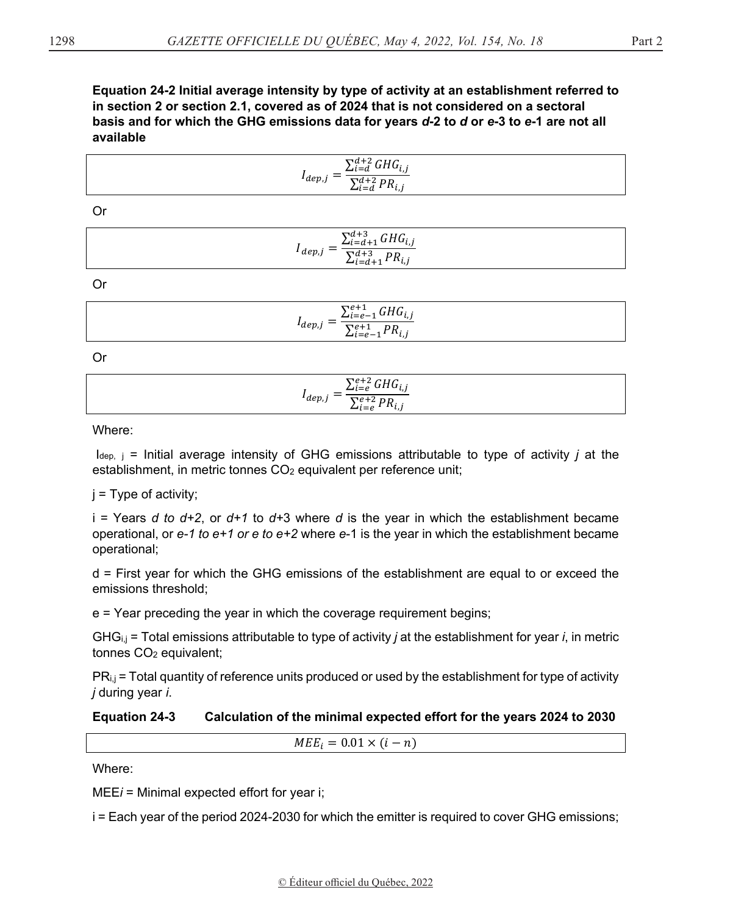Equation 24-2 Initial average intensity by type of activity at an establishment referred to in section 2 or section 2.1, covered as of 2024 that is not considered on a sectoral basis and for which the GHG emissions data for years d-2 to d or e-3 to e-1 are not all available

| $\sum_{i=d}^{d+2} GHG_{i,j}$                                             |  |
|--------------------------------------------------------------------------|--|
| $1_{dep,j}$<br>$\sum_{i=d}^{d+2} PR_{i,i}$<br>$\mathcal{L}_{i=d}$<br>ι,, |  |

 $Or$ 

| $\sum_{i=d+1}^{d+3}GHG_{i,j}$                 |  |
|-----------------------------------------------|--|
| $4\ e p,j =$<br>$\sum_{i=d+1}^{d+3} PR_{i,j}$ |  |

 $Or$ 

| $\sum_{i=e-1}^{e+1}GHG_{i,j}$                           |  |
|---------------------------------------------------------|--|
| $I_{dep,j}$ –<br>$\frac{\sum_{i=e-1}^{e+1}PR_{i,j}}{2}$ |  |

 $Or$ 

$$
I_{dep,j} = \frac{\sum_{i=e}^{e+2} GHG_{i,j}}{\sum_{i=e}^{e+2} PR_{i,j}}
$$

Where:

 $I_{dep, j}$  = Initial average intensity of GHG emissions attributable to type of activity j at the establishment, in metric tonnes CO<sub>2</sub> equivalent per reference unit;

 $i = Type of activity$ ;

i = Years d to  $d+2$ , or  $d+1$  to  $d+3$  where d is the year in which the establishment became operational, or  $e$ -1 to  $e$ +1 or  $e$  to  $e$ +2 where  $e$ -1 is the year in which the establishment became operational;

d = First year for which the GHG emissions of the establishment are equal to or exceed the emissions threshold:

e = Year preceding the year in which the coverage requirement begins;

GHG $_{i,j}$  = Total emissions attributable to type of activity *j* at the establishment for year *i*, in metric tonnes CO<sub>2</sub> equivalent;

PR<sub>i.j</sub> = Total quantity of reference units produced or used by the establishment for type of activity j during year i.

#### **Equation 24-3** Calculation of the minimal expected effort for the years 2024 to 2030

 $MEE_i = 0.01 \times (i - n)$ 

Where:

 $MEEi =$  Minimal expected effort for year i;

i = Each year of the period 2024-2030 for which the emitter is required to cover GHG emissions;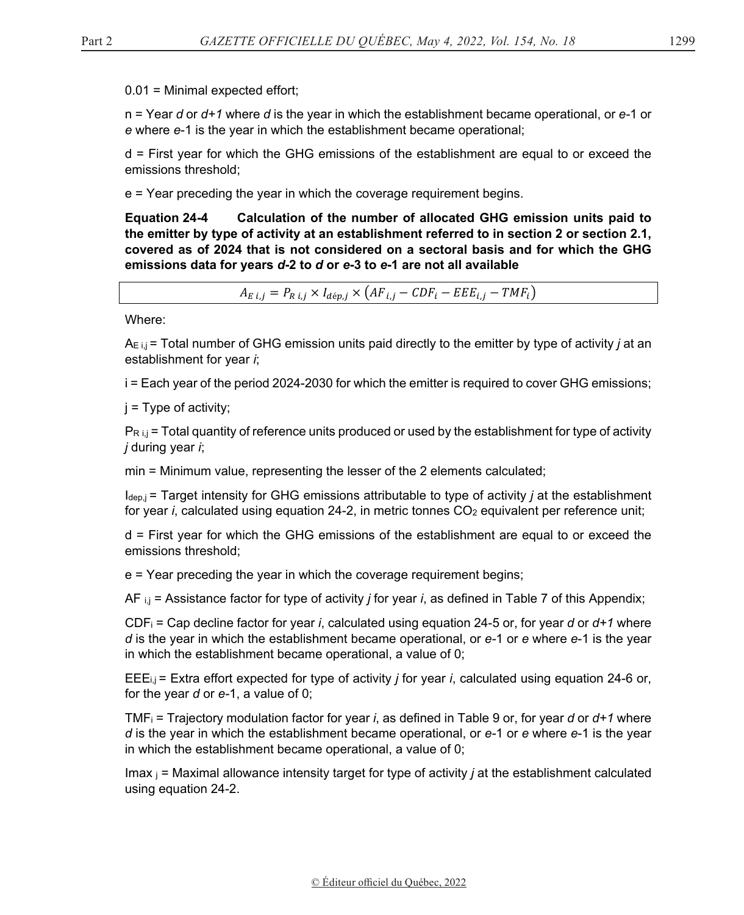0.01 = Minimal expected effort;

n = Year *d* or *d+1* where *d* is the year in which the establishment became operational, or *e-*1 or *e* where *e*-1 is the year in which the establishment became operational;

d = First year for which the GHG emissions of the establishment are equal to or exceed the emissions threshold;

e = Year preceding the year in which the coverage requirement begins.

**Equation 24-4 Calculation of the number of allocated GHG emission units paid to the emitter by type of activity at an establishment referred to in section 2 or section 2.1, covered as of 2024 that is not considered on a sectoral basis and for which the GHG emissions data for years** *d***-2 to** *d* **or** *e***-3 to** *e***-1 are not all available** 

 $A_{E i,j} = P_{R i,j} \times I_{d \neq p,j} \times (AF_{i,j} - CDF_i - EEE_{i,j} - TMF_i)$ 

Where:

AE i,j = Total number of GHG emission units paid directly to the emitter by type of activity *j* at an establishment for year *i*;

i = Each year of the period 2024-2030 for which the emitter is required to cover GHG emissions;

 $j = Type$  of activity;

 $P_{R i,j}$  = Total quantity of reference units produced or used by the establishment for type of activity *j* during year *i*;

min = Minimum value, representing the lesser of the 2 elements calculated;

Idep,j = Target intensity for GHG emissions attributable to type of activity *j* at the establishment for year *i*, calculated using equation 24-2, in metric tonnes CO<sub>2</sub> equivalent per reference unit;

d = First year for which the GHG emissions of the establishment are equal to or exceed the emissions threshold;

e = Year preceding the year in which the coverage requirement begins;

AF i,j = Assistance factor for type of activity *j* for year *i*, as defined in Table 7 of this Appendix;

CDFi = Cap decline factor for year *i*, calculated using equation 24-5 or, for year *d* or *d+1* where *d* is the year in which the establishment became operational, or *e-*1 or *e* where *e*-1 is the year in which the establishment became operational, a value of 0;

EEEi,j = Extra effort expected for type of activity *j* for year *i*, calculated using equation 24-6 or, for the year *d* or *e-*1, a value of 0;

TMFi = Trajectory modulation factor for year *i*, as defined in Table 9 or, for year *d* or *d+1* where *d* is the year in which the establishment became operational, or *e-*1 or *e* where *e*-1 is the year in which the establishment became operational, a value of 0;

Imax j = Maximal allowance intensity target for type of activity *j* at the establishment calculated using equation 24-2.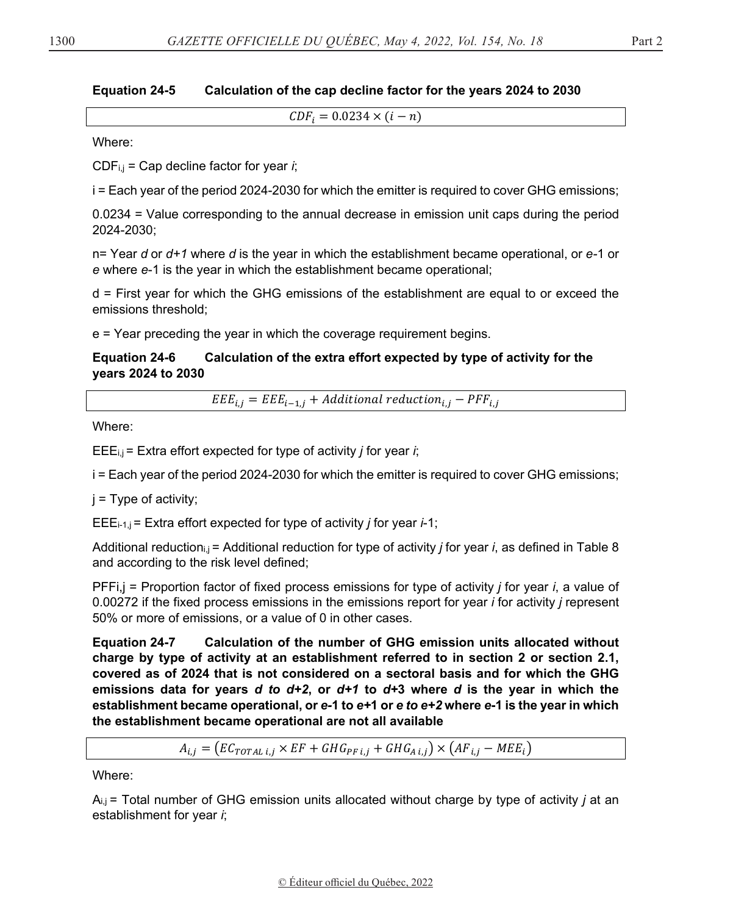#### **Equation 24-5** Calculation of the cap decline factor for the years 2024 to 2030

 $CDF_i = 0.0234 \times (i - n)$ 

Where:

 $CDF_{i,j}$  = Cap decline factor for year *i*;

i = Each year of the period 2024-2030 for which the emitter is required to cover GHG emissions;

0.0234 = Value corresponding to the annual decrease in emission unit caps during the period 2024-2030;

 $n =$  Year d or  $d+1$  where d is the year in which the establishment became operational, or e-1 or e where e-1 is the year in which the establishment became operational;

d = First year for which the GHG emissions of the establishment are equal to or exceed the emissions threshold:

 $e$  = Year preceding the year in which the coverage requirement begins.

#### **Equation 24-6** Calculation of the extra effort expected by type of activity for the years 2024 to 2030

 $EEE_{i,j} = EEE_{i-1,j} + Additional reduction_{i,j} - PFF_{i,j}$ 

Where:

 $EEE_{i,j}$  = Extra effort expected for type of activity *j* for year *i*;

i = Each year of the period 2024-2030 for which the emitter is required to cover GHG emissions;

 $i = Type of activity;$ 

EEE<sub>i-1,j</sub> = Extra effort expected for type of activity *j* for year *i*-1;

Additional reduction,  $i =$  Additional reduction for type of activity *j* for year *i*, as defined in Table 8 and according to the risk level defined;

 $PFFi,j$  = Proportion factor of fixed process emissions for type of activity *j* for year *i*, a value of 0.00272 if the fixed process emissions in the emissions report for year *i* for activity *j* represent 50% or more of emissions, or a value of 0 in other cases.

**Equation 24-7** Calculation of the number of GHG emission units allocated without charge by type of activity at an establishment referred to in section 2 or section 2.1, covered as of 2024 that is not considered on a sectoral basis and for which the GHG emissions data for years d to  $d+2$ , or  $d+1$  to  $d+3$  where d is the year in which the establishment became operational, or e-1 to e+1 or e to e+2 where e-1 is the year in which the establishment became operational are not all available

 $A_{i,j} = (EC_{TOTAL\ i,j} \times EF + GHG_{PF\ i,j} + GHG_{A\ i,j}) \times (AF_{i,j} - MEE_i)$ 

Where:

 $A_{i,j}$  = Total number of GHG emission units allocated without charge by type of activity *j* at an establishment for year i;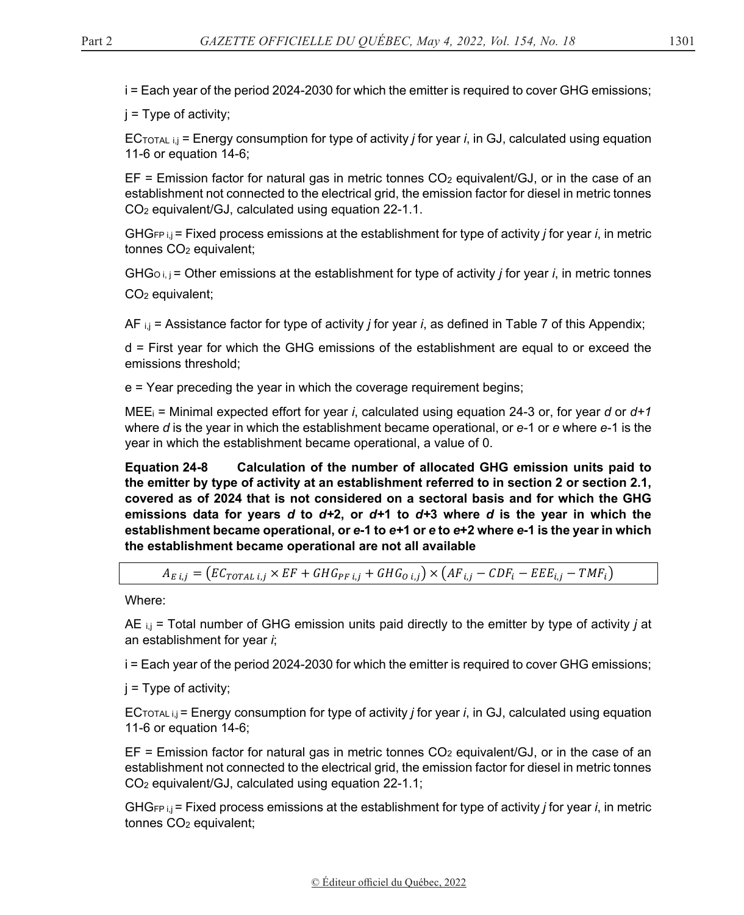i = Each year of the period 2024-2030 for which the emitter is required to cover GHG emissions;

 $j = Type of activity;$ 

ECTOTAL i,j = Energy consumption for type of activity *j* for year *i*, in GJ, calculated using equation 11-6 or equation 14-6;

 $EF =$  Emission factor for natural gas in metric tonnes  $CO<sub>2</sub>$  equivalent/GJ, or in the case of an establishment not connected to the electrical grid, the emission factor for diesel in metric tonnes CO2 equivalent/GJ, calculated using equation 22-1.1.

GHGFP i,j = Fixed process emissions at the establishment for type of activity *j* for year *i*, in metric tonnes CO<sub>2</sub> equivalent;

GHGO i, j = Other emissions at the establishment for type of activity *j* for year *i*, in metric tonnes CO2 equivalent;

AF i,j = Assistance factor for type of activity *j* for year *i*, as defined in Table 7 of this Appendix;

d = First year for which the GHG emissions of the establishment are equal to or exceed the emissions threshold;

e = Year preceding the year in which the coverage requirement begins;

MEEi = Minimal expected effort for year *i*, calculated using equation 24-3 or, for year *d* or *d+1* where *d* is the year in which the establishment became operational, or *e-*1 or *e* where *e*-1 is the year in which the establishment became operational, a value of 0.

**Equation 24-8 Calculation of the number of allocated GHG emission units paid to the emitter by type of activity at an establishment referred to in section 2 or section 2.1, covered as of 2024 that is not considered on a sectoral basis and for which the GHG emissions data for years** *d* **to** *d+***2, or** *d+***1 to** *d+***3 where** *d* **is the year in which the establishment became operational, or** *e***-1 to** *e+***1 or** *e* **to** *e***+2 where** *e***-1 is the year in which the establishment became operational are not all available** 

$$
A_{E i,j} = \left( EC_{TOTAL\ i,j} \times EF + GHG_{PF\ i,j} + GHG_{O\ i,j} \right) \times \left( AF_{i,j} - CDF_i - EEE_{i,j} - TMF_i \right)
$$

Where:

AE i,j = Total number of GHG emission units paid directly to the emitter by type of activity *j* at an establishment for year *i*;

i = Each year of the period 2024-2030 for which the emitter is required to cover GHG emissions;

 $j = Type$  of activity;

ECTOTAL i,j = Energy consumption for type of activity *j* for year *i*, in GJ, calculated using equation 11-6 or equation 14-6;

 $EF =$  Emission factor for natural gas in metric tonnes  $CO<sub>2</sub>$  equivalent/GJ, or in the case of an establishment not connected to the electrical grid, the emission factor for diesel in metric tonnes CO2 equivalent/GJ, calculated using equation 22-1.1;

GHGFP i,j = Fixed process emissions at the establishment for type of activity *j* for year *i*, in metric tonnes CO2 equivalent;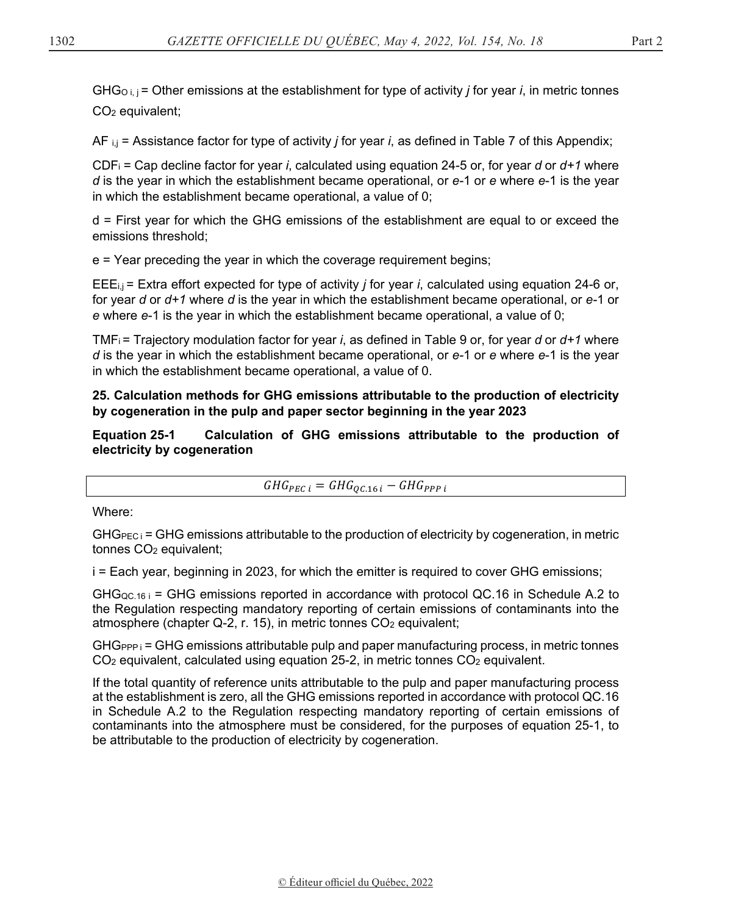GHGO i, j = Other emissions at the establishment for type of activity *j* for year *i*, in metric tonnes CO2 equivalent;

AF i,j = Assistance factor for type of activity *j* for year *i*, as defined in Table 7 of this Appendix;

CDFi = Cap decline factor for year *i*, calculated using equation 24-5 or, for year *d* or *d+1* where *d* is the year in which the establishment became operational, or *e-*1 or *e* where *e*-1 is the year in which the establishment became operational, a value of 0;

d = First year for which the GHG emissions of the establishment are equal to or exceed the emissions threshold;

e = Year preceding the year in which the coverage requirement begins;

EEEi,j = Extra effort expected for type of activity *j* for year *i*, calculated using equation 24-6 or, for year *d* or *d+1* where *d* is the year in which the establishment became operational, or *e-*1 or *e* where *e*-1 is the year in which the establishment became operational, a value of 0;

TMFi = Trajectory modulation factor for year *i*, as defined in Table 9 or, for year *d* or *d+1* where *d* is the year in which the establishment became operational, or *e-*1 or *e* where *e*-1 is the year in which the establishment became operational, a value of 0.

**25. Calculation methods for GHG emissions attributable to the production of electricity by cogeneration in the pulp and paper sector beginning in the year 2023** 

**Equation 25-1 Calculation of GHG emissions attributable to the production of electricity by cogeneration** 

 $GHG_{PEC\, i}=GHG_{QC.16\, i}-GHG_{PPP\, i}$ 

Where:

 $GHG_{PEC}$  = GHG emissions attributable to the production of electricity by cogeneration, in metric tonnes CO<sub>2</sub> equivalent;

i = Each year, beginning in 2023, for which the emitter is required to cover GHG emissions;

 $GHG_{QC.16}$  = GHG emissions reported in accordance with protocol QC.16 in Schedule A.2 to the Regulation respecting mandatory reporting of certain emissions of contaminants into the atmosphere (chapter Q-2, r. 15), in metric tonnes CO<sub>2</sub> equivalent;

 $GHG_{PPP}$  i = GHG emissions attributable pulp and paper manufacturing process, in metric tonnes  $CO<sub>2</sub>$  equivalent, calculated using equation 25-2, in metric tonnes  $CO<sub>2</sub>$  equivalent.

If the total quantity of reference units attributable to the pulp and paper manufacturing process at the establishment is zero, all the GHG emissions reported in accordance with protocol QC.16 in Schedule A.2 to the Regulation respecting mandatory reporting of certain emissions of contaminants into the atmosphere must be considered, for the purposes of equation 25-1, to be attributable to the production of electricity by cogeneration.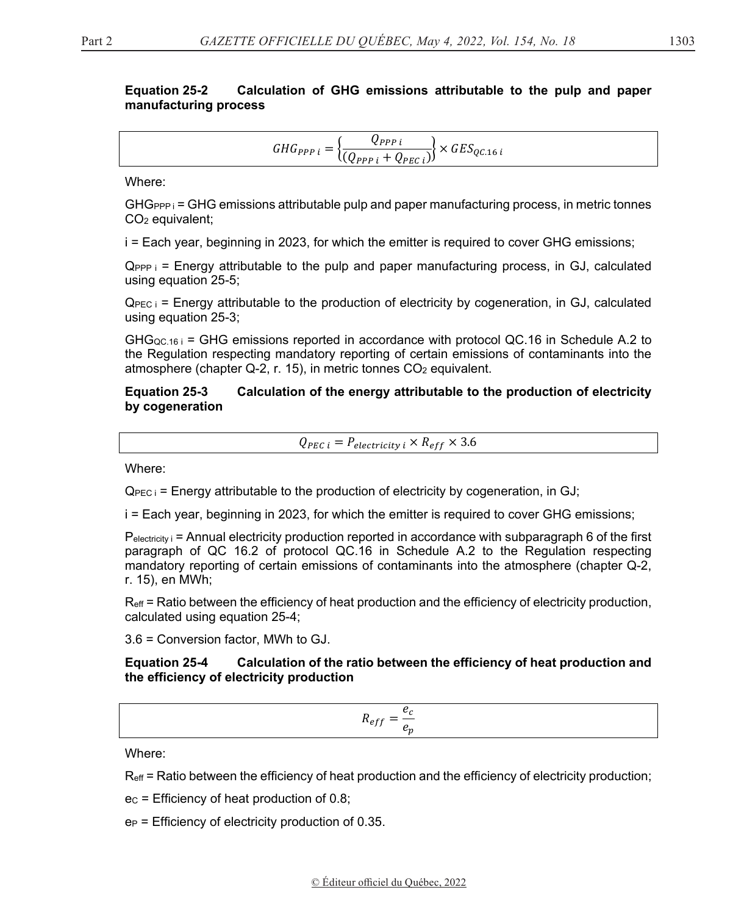#### **Equation 25-2** Calculation of GHG emissions attributable to the pulp and paper manufacturing process

$$
GHG_{PPP\,i} = \left\{ \frac{Q_{PPP\,i}}{(Q_{PPP\,i} + Q_{PEC\,i})} \right\} \times GES_{QC.16\,i}
$$

Where:

 $GHG_{PP}$  = GHG emissions attributable pulp and paper manufacturing process, in metric tonnes  $CO<sub>2</sub>$  equivalent;

i = Each year, beginning in 2023, for which the emitter is required to cover GHG emissions;

 $Q_{PPP,i}$  = Energy attributable to the pulp and paper manufacturing process, in GJ, calculated using equation 25-5;

 $Q_{\text{PEC}}$  = Energy attributable to the production of electricity by cogeneration, in GJ, calculated using equation 25-3;

 $GHG_{QC.16 i}$  = GHG emissions reported in accordance with protocol QC.16 in Schedule A.2 to the Regulation respecting mandatory reporting of certain emissions of contaminants into the atmosphere (chapter Q-2, r. 15), in metric tonnes CO<sub>2</sub> equivalent.

#### **Equation 25-3** Calculation of the energy attributable to the production of electricity by cogeneration

$$
Q_{PEC\,i} = P_{electricity\,i} \times R_{eff} \times 3.6
$$

Where:

 $Q_{\text{PEC i}}$  = Energy attributable to the production of electricity by cogeneration, in GJ;

i = Each year, beginning in 2023, for which the emitter is required to cover GHG emissions;

 $P_{\text{electricity}}$  = Annual electricity production reported in accordance with subparagraph 6 of the first paragraph of QC 16.2 of protocol QC.16 in Schedule A.2 to the Regulation respecting mandatory reporting of certain emissions of contaminants into the atmosphere (chapter Q-2, r. 15), en MWh;

 $R<sub>eff</sub>$  = Ratio between the efficiency of heat production and the efficiency of electricity production, calculated using equation 25-4;

3.6 = Conversion factor, MWh to GJ.

#### **Equation 25-4** Calculation of the ratio between the efficiency of heat production and the efficiency of electricity production

$$
R_{eff} = \frac{e_c}{e_n}
$$

Where:

 $R_{\text{eff}}$  = Ratio between the efficiency of heat production and the efficiency of electricity production;

 $ec$  = Efficiency of heat production of 0.8;

 $e_P$  = Efficiency of electricity production of 0.35.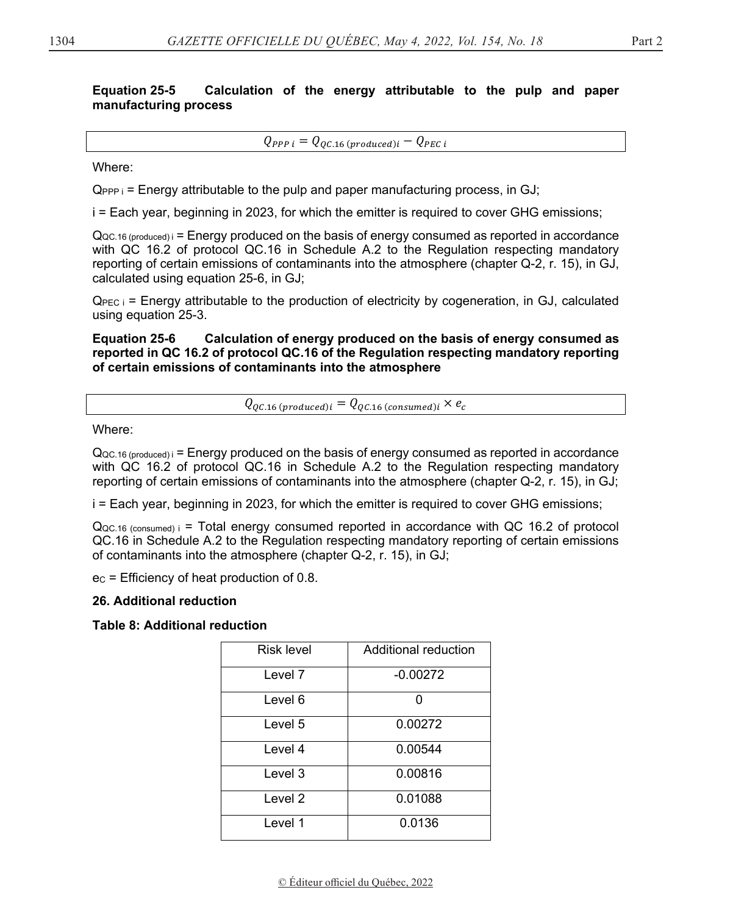#### **Equation 25-5** Calculation of the energy attributable to the pulp and paper manufacturing process

 $Q_{PPP\ i} = Q_{OC,16\ (produced)i} - Q_{PEC\ i}$ 

Where:

 $Q_{PPP,i}$  = Energy attributable to the pulp and paper manufacturing process, in GJ;

i = Each year, beginning in 2023, for which the emitter is reguired to cover GHG emissions;

 $Q_{\rm QC.16 (produced)}$  = Energy produced on the basis of energy consumed as reported in accordance with QC 16.2 of protocol QC.16 in Schedule A.2 to the Regulation respecting mandatory reporting of certain emissions of contaminants into the atmosphere (chapter Q-2, r. 15), in GJ, calculated using equation 25-6, in GJ;

 $Q_{\text{PEC}}$  = Energy attributable to the production of electricity by cogeneration, in GJ, calculated using equation 25-3.

**Equation 25-6** Calculation of energy produced on the basis of energy consumed as reported in QC 16.2 of protocol QC.16 of the Regulation respecting mandatory reporting of certain emissions of contaminants into the atmosphere

 $Q_{QC.16(produced)i} = Q_{QC.16(consumed)i} \times e_c$ 

Where:

 $Q_{\text{QC.16 (produced)}} =$  Energy produced on the basis of energy consumed as reported in accordance with QC 16.2 of protocol QC.16 in Schedule A.2 to the Regulation respecting mandatory reporting of certain emissions of contaminants into the atmosphere (chapter Q-2, r. 15), in GJ;

i = Each year, beginning in 2023, for which the emitter is required to cover GHG emissions;

 $Q_{QC,16}$  (consumed)  $i =$  Total energy consumed reported in accordance with QC 16.2 of protocol QC.16 in Schedule A.2 to the Regulation respecting mandatory reporting of certain emissions of contaminants into the atmosphere (chapter Q-2, r. 15), in GJ;

 $ec$  = Efficiency of heat production of 0.8.

### 26. Additional reduction

**Table 8: Additional reduction** 

| Risk level         | Additional reduction |
|--------------------|----------------------|
| Level <sub>7</sub> | $-0.00272$           |
| Level 6            | O                    |
| Level 5            | 0.00272              |
| Level 4            | 0.00544              |
| Level 3            | 0.00816              |
| Level 2            | 0.01088              |
| Level 1            | 0.0136               |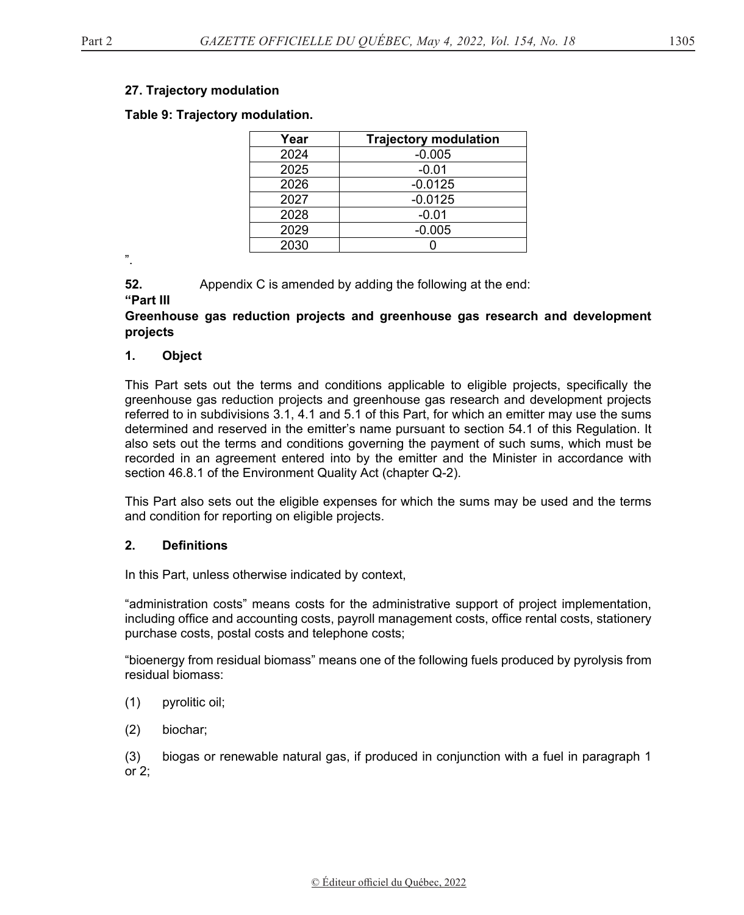### **27. Trajectory modulation**

**Table 9: Trajectory modulation.** 

| Year | <b>Trajectory modulation</b> |
|------|------------------------------|
| 2024 | $-0.005$                     |
| 2025 | $-0.01$                      |
| 2026 | $-0.0125$                    |
| 2027 | $-0.0125$                    |
| 2028 | $-0.01$                      |
| 2029 | $-0.005$                     |
| 2030 |                              |

".

**52.** Appendix C is amended by adding the following at the end:

**"Part III** 

# **Greenhouse gas reduction projects and greenhouse gas research and development projects**

### **1. Object**

This Part sets out the terms and conditions applicable to eligible projects, specifically the greenhouse gas reduction projects and greenhouse gas research and development projects referred to in subdivisions 3.1, 4.1 and 5.1 of this Part, for which an emitter may use the sums determined and reserved in the emitter's name pursuant to section 54.1 of this Regulation. It also sets out the terms and conditions governing the payment of such sums, which must be recorded in an agreement entered into by the emitter and the Minister in accordance with section 46.8.1 of the Environment Quality Act (chapter Q-2).

This Part also sets out the eligible expenses for which the sums may be used and the terms and condition for reporting on eligible projects.

# **2. Definitions**

In this Part, unless otherwise indicated by context,

"administration costs" means costs for the administrative support of project implementation, including office and accounting costs, payroll management costs, office rental costs, stationery purchase costs, postal costs and telephone costs;

"bioenergy from residual biomass" means one of the following fuels produced by pyrolysis from residual biomass:

- (1) pyrolitic oil;
- (2) biochar;

(3) biogas or renewable natural gas, if produced in conjunction with a fuel in paragraph 1 or 2;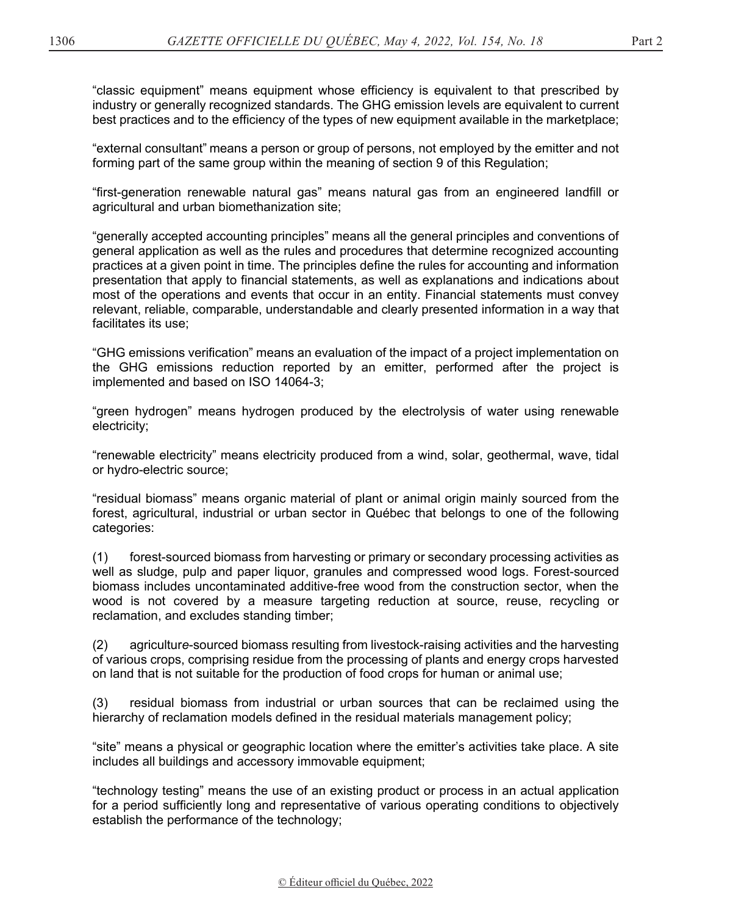"classic equipment" means equipment whose efficiency is equivalent to that prescribed by industry or generally recognized standards. The GHG emission levels are equivalent to current best practices and to the efficiency of the types of new equipment available in the marketplace;

"external consultant" means a person or group of persons, not employed by the emitter and not forming part of the same group within the meaning of section 9 of this Regulation;

"first-generation renewable natural gas" means natural gas from an engineered landfill or agricultural and urban biomethanization site;

"generally accepted accounting principles" means all the general principles and conventions of general application as well as the rules and procedures that determine recognized accounting practices at a given point in time. The principles define the rules for accounting and information presentation that apply to financial statements, as well as explanations and indications about most of the operations and events that occur in an entity. Financial statements must convey relevant, reliable, comparable, understandable and clearly presented information in a way that facilitates its use;

"GHG emissions verification" means an evaluation of the impact of a project implementation on the GHG emissions reduction reported by an emitter, performed after the project is implemented and based on ISO 14064-3;

"green hydrogen" means hydrogen produced by the electrolysis of water using renewable electricity;

"renewable electricity" means electricity produced from a wind, solar, geothermal, wave, tidal or hydro-electric source;

"residual biomass" means organic material of plant or animal origin mainly sourced from the forest, agricultural, industrial or urban sector in Québec that belongs to one of the following categories:

(1) forest-sourced biomass from harvesting or primary or secondary processing activities as well as sludge, pulp and paper liquor, granules and compressed wood logs. Forest-sourced biomass includes uncontaminated additive-free wood from the construction sector, when the wood is not covered by a measure targeting reduction at source, reuse, recycling or reclamation, and excludes standing timber;

(2) agricultur*e*-sourced biomass resulting from livestock-raising activities and the harvesting of various crops, comprising residue from the processing of plants and energy crops harvested on land that is not suitable for the production of food crops for human or animal use;

(3) residual biomass from industrial or urban sources that can be reclaimed using the hierarchy of reclamation models defined in the residual materials management policy;

"site" means a physical or geographic location where the emitter's activities take place. A site includes all buildings and accessory immovable equipment;

"technology testing" means the use of an existing product or process in an actual application for a period sufficiently long and representative of various operating conditions to objectively establish the performance of the technology;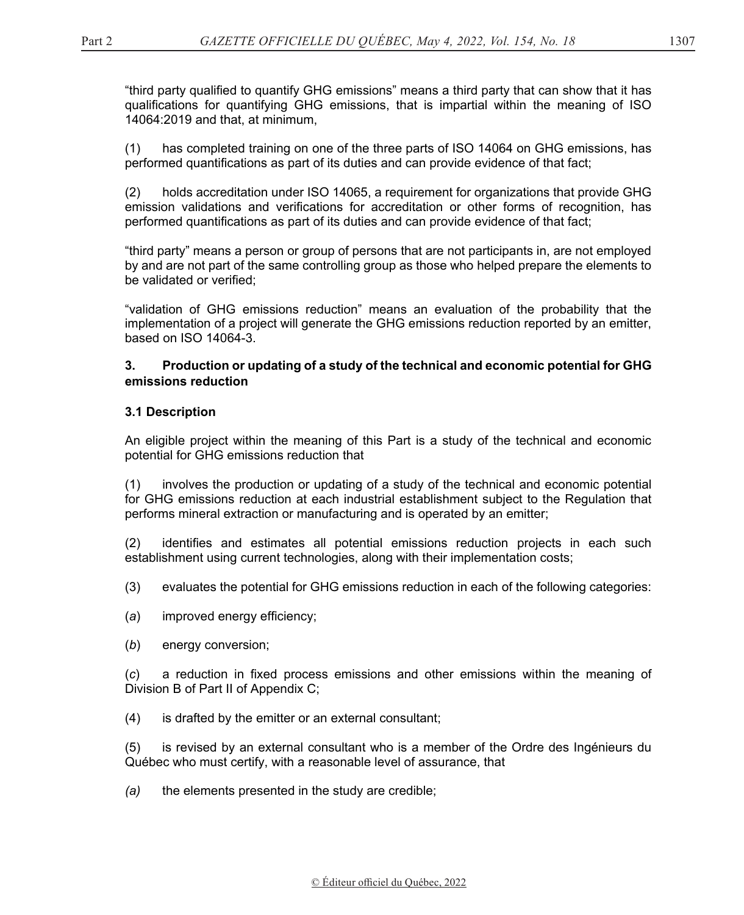"third party qualified to quantify GHG emissions" means a third party that can show that it has qualifications for quantifying GHG emissions, that is impartial within the meaning of ISO 14064:2019 and that, at minimum,

(1) has completed training on one of the three parts of ISO 14064 on GHG emissions, has performed quantifications as part of its duties and can provide evidence of that fact;

(2) holds accreditation under ISO 14065, a requirement for organizations that provide GHG emission validations and verifications for accreditation or other forms of recognition, has performed quantifications as part of its duties and can provide evidence of that fact;

"third party" means a person or group of persons that are not participants in, are not employed by and are not part of the same controlling group as those who helped prepare the elements to be validated or verified;

"validation of GHG emissions reduction" means an evaluation of the probability that the implementation of a project will generate the GHG emissions reduction reported by an emitter, based on ISO 14064-3.

### **3. Production or updating of a study of the technical and economic potential for GHG emissions reduction**

# **3.1 Description**

An eligible project within the meaning of this Part is a study of the technical and economic potential for GHG emissions reduction that

(1) involves the production or updating of a study of the technical and economic potential for GHG emissions reduction at each industrial establishment subject to the Regulation that performs mineral extraction or manufacturing and is operated by an emitter;

(2) identifies and estimates all potential emissions reduction projects in each such establishment using current technologies, along with their implementation costs;

- (3) evaluates the potential for GHG emissions reduction in each of the following categories:
- (*a*) improved energy efficiency;
- (*b*) energy conversion;

(*c*) a reduction in fixed process emissions and other emissions within the meaning of Division B of Part II of Appendix C;

(4) is drafted by the emitter or an external consultant;

(5) is revised by an external consultant who is a member of the Ordre des Ingénieurs du Québec who must certify, with a reasonable level of assurance, that

*(a)* the elements presented in the study are credible;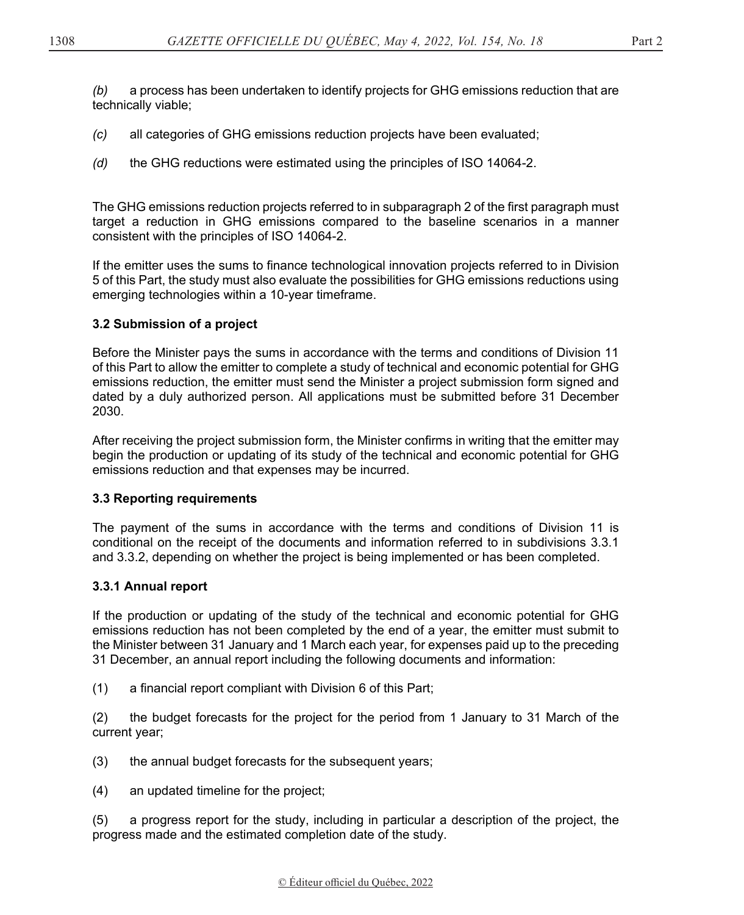*(b)* a process has been undertaken to identify projects for GHG emissions reduction that are technically viable;

- *(c)* all categories of GHG emissions reduction projects have been evaluated;
- *(d)* the GHG reductions were estimated using the principles of ISO 14064-2.

The GHG emissions reduction projects referred to in subparagraph 2 of the first paragraph must target a reduction in GHG emissions compared to the baseline scenarios in a manner consistent with the principles of ISO 14064-2.

If the emitter uses the sums to finance technological innovation projects referred to in Division 5 of this Part, the study must also evaluate the possibilities for GHG emissions reductions using emerging technologies within a 10-year timeframe.

# **3.2 Submission of a project**

Before the Minister pays the sums in accordance with the terms and conditions of Division 11 of this Part to allow the emitter to complete a study of technical and economic potential for GHG emissions reduction, the emitter must send the Minister a project submission form signed and dated by a duly authorized person. All applications must be submitted before 31 December 2030.

After receiving the project submission form, the Minister confirms in writing that the emitter may begin the production or updating of its study of the technical and economic potential for GHG emissions reduction and that expenses may be incurred.

# **3.3 Reporting requirements**

The payment of the sums in accordance with the terms and conditions of Division 11 is conditional on the receipt of the documents and information referred to in subdivisions 3.3.1 and 3.3.2, depending on whether the project is being implemented or has been completed.

# **3.3.1 Annual report**

If the production or updating of the study of the technical and economic potential for GHG emissions reduction has not been completed by the end of a year, the emitter must submit to the Minister between 31 January and 1 March each year, for expenses paid up to the preceding 31 December, an annual report including the following documents and information:

(1) a financial report compliant with Division 6 of this Part;

(2) the budget forecasts for the project for the period from 1 January to 31 March of the current year;

(3) the annual budget forecasts for the subsequent years;

(4) an updated timeline for the project;

(5) a progress report for the study, including in particular a description of the project, the progress made and the estimated completion date of the study.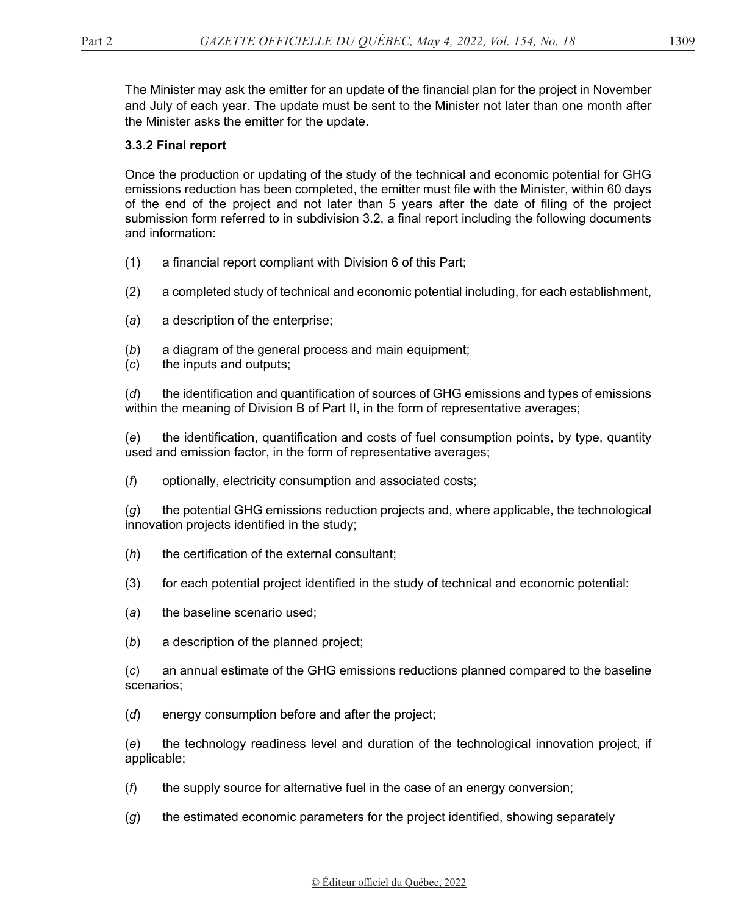The Minister may ask the emitter for an update of the financial plan for the project in November and July of each year. The update must be sent to the Minister not later than one month after the Minister asks the emitter for the update.

# **3.3.2 Final report**

Once the production or updating of the study of the technical and economic potential for GHG emissions reduction has been completed, the emitter must file with the Minister, within 60 days of the end of the project and not later than 5 years after the date of filing of the project submission form referred to in subdivision 3.2, a final report including the following documents and information:

- (1) a financial report compliant with Division 6 of this Part;
- (2) a completed study of technical and economic potential including, for each establishment,
- (*a*) a description of the enterprise;
- (*b*) a diagram of the general process and main equipment;
- (*c*) the inputs and outputs;

(*d*) the identification and quantification of sources of GHG emissions and types of emissions within the meaning of Division B of Part II, in the form of representative averages;

(*e*) the identification, quantification and costs of fuel consumption points, by type, quantity used and emission factor, in the form of representative averages;

(*f*) optionally, electricity consumption and associated costs;

(*g*) the potential GHG emissions reduction projects and, where applicable, the technological innovation projects identified in the study;

- (*h*) the certification of the external consultant;
- (3) for each potential project identified in the study of technical and economic potential:
- (*a*) the baseline scenario used;
- (*b*) a description of the planned project;

(*c*) an annual estimate of the GHG emissions reductions planned compared to the baseline scenarios;

(*d*) energy consumption before and after the project;

(*e*) the technology readiness level and duration of the technological innovation project, if applicable;

- (*f*) the supply source for alternative fuel in the case of an energy conversion;
- (*g*) the estimated economic parameters for the project identified, showing separately

# [© Éditeur officiel du Québec, 202](http://www.droitauteur.gouv.qc.ca/copyright.php)2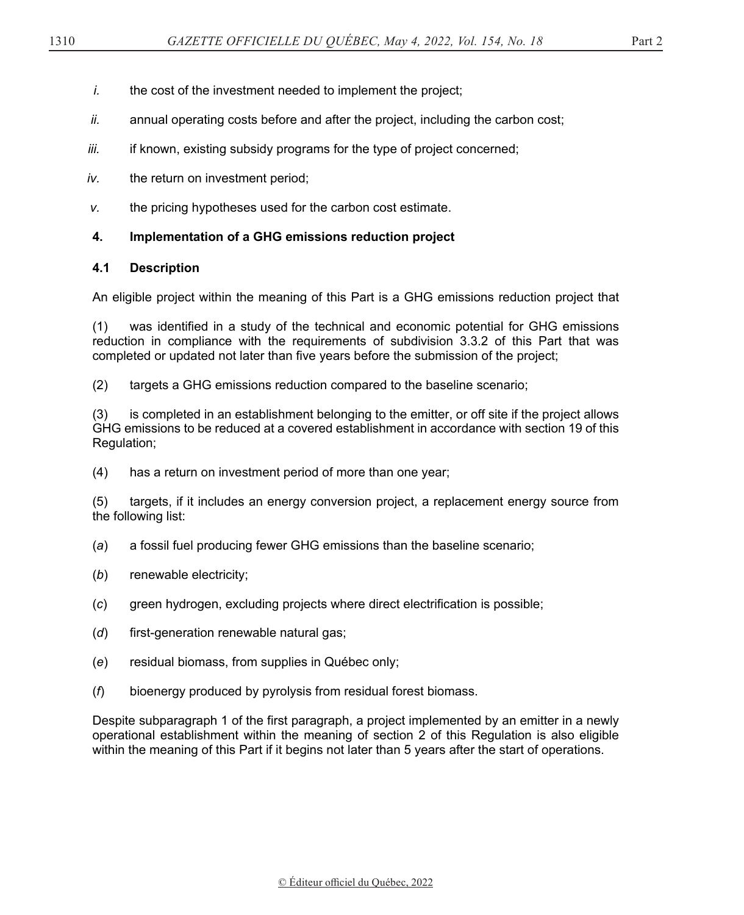- *i.* the cost of the investment needed to implement the project;
- *ii.* annual operating costs before and after the project, including the carbon cost;
- *iii.* if known, existing subsidy programs for the type of project concerned;
- *iv.* the return on investment period;
- *v.* the pricing hypotheses used for the carbon cost estimate.

# **4. Implementation of a GHG emissions reduction project**

# **4.1 Description**

An eligible project within the meaning of this Part is a GHG emissions reduction project that

(1) was identified in a study of the technical and economic potential for GHG emissions reduction in compliance with the requirements of subdivision 3.3.2 of this Part that was completed or updated not later than five years before the submission of the project;

(2) targets a GHG emissions reduction compared to the baseline scenario;

(3) is completed in an establishment belonging to the emitter, or off site if the project allows GHG emissions to be reduced at a covered establishment in accordance with section 19 of this Regulation;

(4) has a return on investment period of more than one year;

(5) targets, if it includes an energy conversion project, a replacement energy source from the following list:

- (*a*) a fossil fuel producing fewer GHG emissions than the baseline scenario;
- (*b*) renewable electricity;
- (*c*) green hydrogen, excluding projects where direct electrification is possible;
- (*d*) first-generation renewable natural gas;
- (*e*) residual biomass, from supplies in Québec only;
- (*f*) bioenergy produced by pyrolysis from residual forest biomass.

Despite subparagraph 1 of the first paragraph, a project implemented by an emitter in a newly operational establishment within the meaning of section 2 of this Regulation is also eligible within the meaning of this Part if it begins not later than 5 years after the start of operations.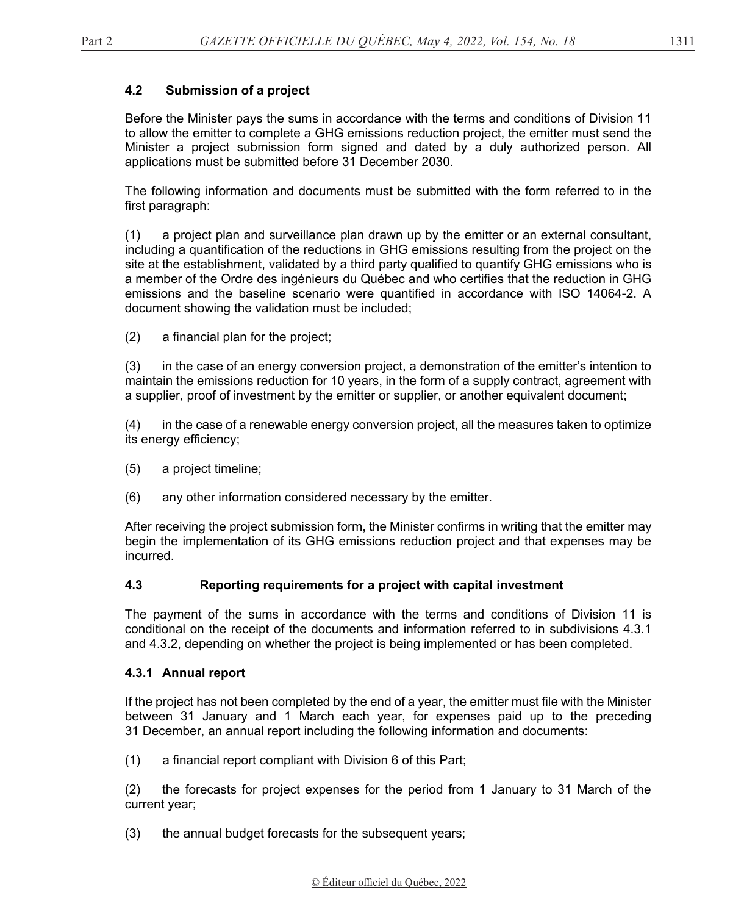# **4.2 Submission of a project**

Before the Minister pays the sums in accordance with the terms and conditions of Division 11 to allow the emitter to complete a GHG emissions reduction project, the emitter must send the Minister a project submission form signed and dated by a duly authorized person. All applications must be submitted before 31 December 2030.

The following information and documents must be submitted with the form referred to in the first paragraph:

(1) a project plan and surveillance plan drawn up by the emitter or an external consultant, including a quantification of the reductions in GHG emissions resulting from the project on the site at the establishment, validated by a third party qualified to quantify GHG emissions who is a member of the Ordre des ingénieurs du Québec and who certifies that the reduction in GHG emissions and the baseline scenario were quantified in accordance with ISO 14064-2. A document showing the validation must be included;

(2) a financial plan for the project;

(3) in the case of an energy conversion project, a demonstration of the emitter's intention to maintain the emissions reduction for 10 years, in the form of a supply contract, agreement with a supplier, proof of investment by the emitter or supplier, or another equivalent document;

(4) in the case of a renewable energy conversion project, all the measures taken to optimize its energy efficiency;

- (5) a project timeline;
- (6) any other information considered necessary by the emitter.

After receiving the project submission form, the Minister confirms in writing that the emitter may begin the implementation of its GHG emissions reduction project and that expenses may be incurred.

### **4.3 Reporting requirements for a project with capital investment**

The payment of the sums in accordance with the terms and conditions of Division 11 is conditional on the receipt of the documents and information referred to in subdivisions 4.3.1 and 4.3.2, depending on whether the project is being implemented or has been completed.

#### **4.3.1 Annual report**

If the project has not been completed by the end of a year, the emitter must file with the Minister between 31 January and 1 March each year, for expenses paid up to the preceding 31 December, an annual report including the following information and documents:

(1) a financial report compliant with Division 6 of this Part;

(2) the forecasts for project expenses for the period from 1 January to 31 March of the current year;

(3) the annual budget forecasts for the subsequent years;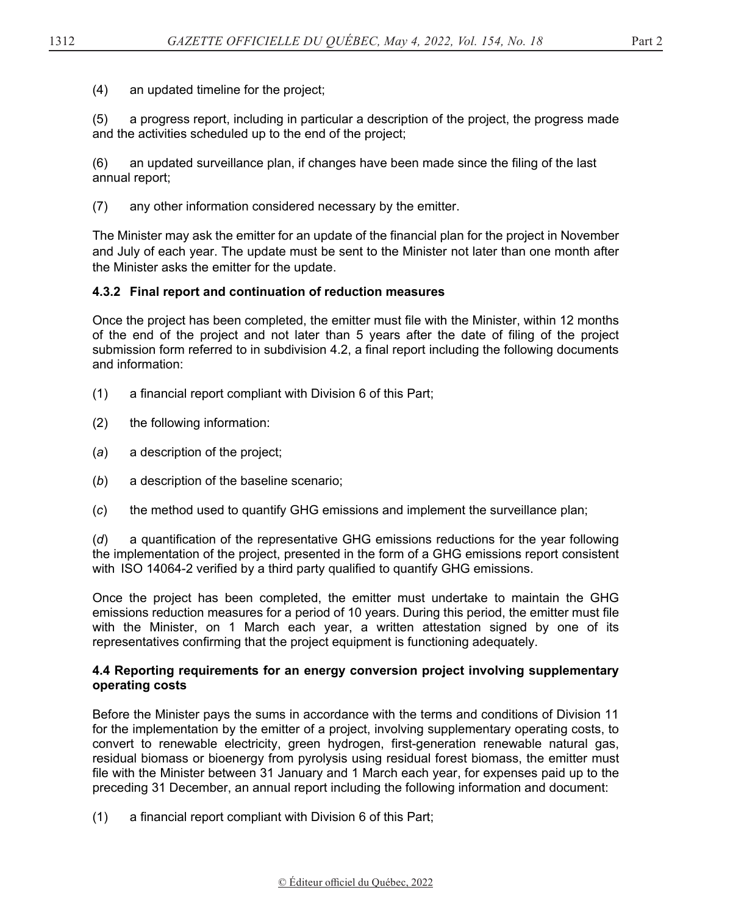(4) an updated timeline for the project;

(5) a progress report, including in particular a description of the project, the progress made and the activities scheduled up to the end of the project;

(6) an updated surveillance plan, if changes have been made since the filing of the last annual report;

(7) any other information considered necessary by the emitter.

The Minister may ask the emitter for an update of the financial plan for the project in November and July of each year. The update must be sent to the Minister not later than one month after the Minister asks the emitter for the update.

# **4.3.2 Final report and continuation of reduction measures**

Once the project has been completed, the emitter must file with the Minister, within 12 months of the end of the project and not later than 5 years after the date of filing of the project submission form referred to in subdivision 4.2, a final report including the following documents and information:

- (1) a financial report compliant with Division 6 of this Part;
- (2) the following information:
- (*a*) a description of the project;
- (*b*) a description of the baseline scenario;
- (*c*) the method used to quantify GHG emissions and implement the surveillance plan;

(*d*) a quantification of the representative GHG emissions reductions for the year following the implementation of the project, presented in the form of a GHG emissions report consistent with  $ISO$  14064-2 verified by a third party qualified to quantify GHG emissions.

Once the project has been completed, the emitter must undertake to maintain the GHG emissions reduction measures for a period of 10 years. During this period, the emitter must file with the Minister, on 1 March each year, a written attestation signed by one of its representatives confirming that the project equipment is functioning adequately.

#### **4.4 Reporting requirements for an energy conversion project involving supplementary operating costs**

Before the Minister pays the sums in accordance with the terms and conditions of Division 11 for the implementation by the emitter of a project, involving supplementary operating costs, to convert to renewable electricity, green hydrogen, first-generation renewable natural gas, residual biomass or bioenergy from pyrolysis using residual forest biomass, the emitter must file with the Minister between 31 January and 1 March each year, for expenses paid up to the preceding 31 December, an annual report including the following information and document:

(1) a financial report compliant with Division 6 of this Part;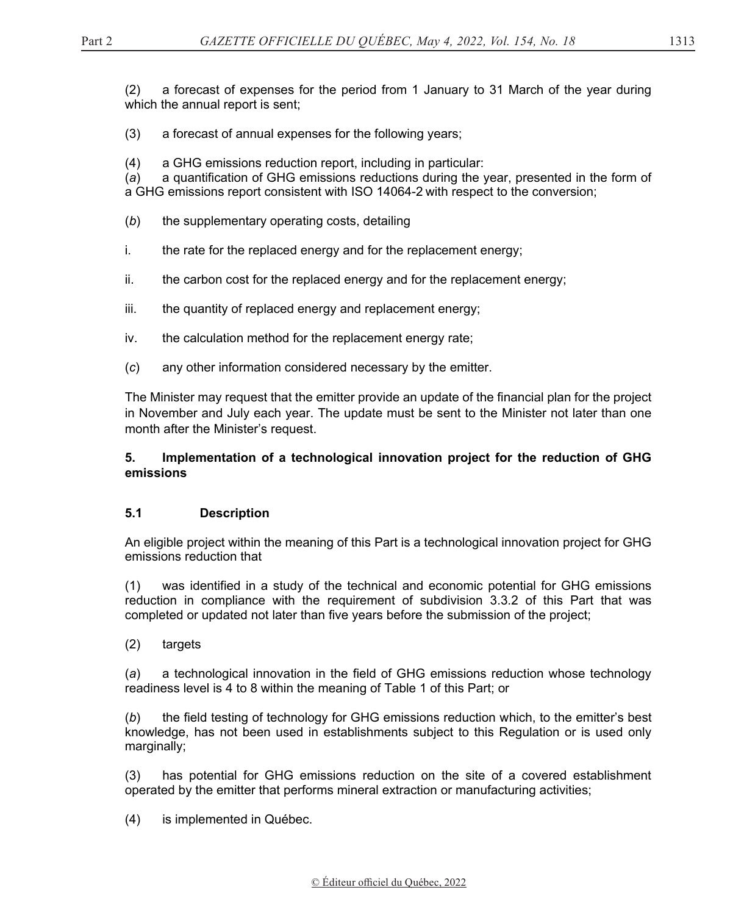(2) a forecast of expenses for the period from 1 January to 31 March of the year during which the annual report is sent;

- (3) a forecast of annual expenses for the following years;
- (4) a GHG emissions reduction report, including in particular:

(*a*) a quantification of GHG emissions reductions during the year, presented in the form of a GHG emissions report consistent with ISO 14064-2 with respect to the conversion; 

- (*b*) the supplementary operating costs, detailing
- i. the rate for the replaced energy and for the replacement energy;
- ii. the carbon cost for the replaced energy and for the replacement energy;
- iii. the quantity of replaced energy and replacement energy;
- iv. the calculation method for the replacement energy rate;
- (*c*) any other information considered necessary by the emitter.

The Minister may request that the emitter provide an update of the financial plan for the project in November and July each year. The update must be sent to the Minister not later than one month after the Minister's request.

# **5. Implementation of a technological innovation project for the reduction of GHG emissions**

### **5.1 Description**

An eligible project within the meaning of this Part is a technological innovation project for GHG emissions reduction that

(1) was identified in a study of the technical and economic potential for GHG emissions reduction in compliance with the requirement of subdivision 3.3.2 of this Part that was completed or updated not later than five years before the submission of the project;

(2) targets

(*a*) a technological innovation in the field of GHG emissions reduction whose technology readiness level is 4 to 8 within the meaning of Table 1 of this Part; or

(*b*) the field testing of technology for GHG emissions reduction which, to the emitter's best knowledge, has not been used in establishments subject to this Regulation or is used only marginally;

(3) has potential for GHG emissions reduction on the site of a covered establishment operated by the emitter that performs mineral extraction or manufacturing activities;

(4) is implemented in Québec.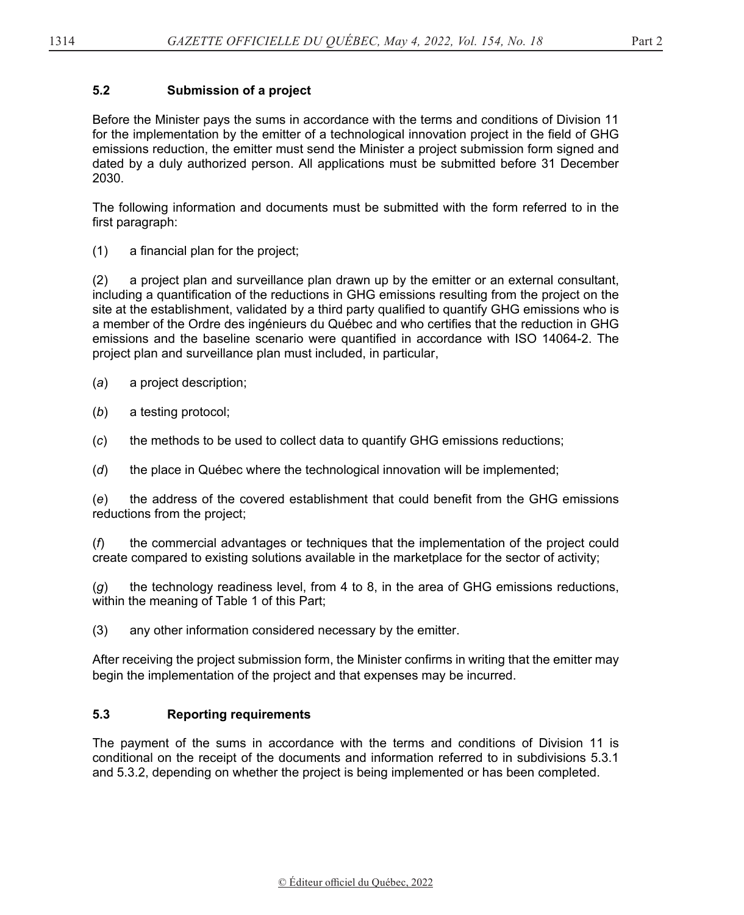# **5.2 Submission of a project**

Before the Minister pays the sums in accordance with the terms and conditions of Division 11 for the implementation by the emitter of a technological innovation project in the field of GHG emissions reduction, the emitter must send the Minister a project submission form signed and dated by a duly authorized person. All applications must be submitted before 31 December 2030.

The following information and documents must be submitted with the form referred to in the first paragraph:

(1) a financial plan for the project;

(2) a project plan and surveillance plan drawn up by the emitter or an external consultant, including a quantification of the reductions in GHG emissions resulting from the project on the site at the establishment, validated by a third party qualified to quantify GHG emissions who is a member of the Ordre des ingénieurs du Québec and who certifies that the reduction in GHG emissions and the baseline scenario were quantified in accordance with ISO 14064-2. The project plan and surveillance plan must included, in particular,

- (*a*) a project description;
- (*b*) a testing protocol;
- (*c*) the methods to be used to collect data to quantify GHG emissions reductions;
- (*d*) the place in Québec where the technological innovation will be implemented;

(*e*) the address of the covered establishment that could benefit from the GHG emissions reductions from the project;

(*f*) the commercial advantages or techniques that the implementation of the project could create compared to existing solutions available in the marketplace for the sector of activity;

(*g*) the technology readiness level, from 4 to 8, in the area of GHG emissions reductions, within the meaning of Table 1 of this Part;

(3) any other information considered necessary by the emitter.

After receiving the project submission form, the Minister confirms in writing that the emitter may begin the implementation of the project and that expenses may be incurred.

### **5.3 Reporting requirements**

The payment of the sums in accordance with the terms and conditions of Division 11 is conditional on the receipt of the documents and information referred to in subdivisions 5.3.1 and 5.3.2, depending on whether the project is being implemented or has been completed.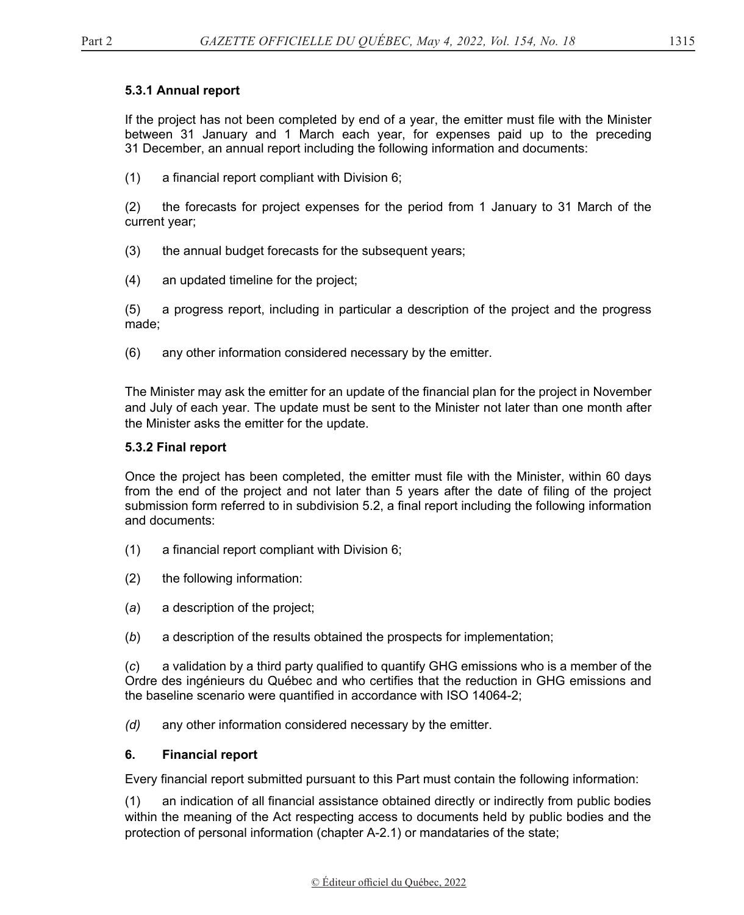# **5.3.1 Annual report**

If the project has not been completed by end of a year, the emitter must file with the Minister between 31 January and 1 March each year, for expenses paid up to the preceding 31 December, an annual report including the following information and documents:

(1) a financial report compliant with Division 6;

(2) the forecasts for project expenses for the period from 1 January to 31 March of the current year;

- (3) the annual budget forecasts for the subsequent years;
- (4) an updated timeline for the project;

(5) a progress report, including in particular a description of the project and the progress made;

(6) any other information considered necessary by the emitter.

The Minister may ask the emitter for an update of the financial plan for the project in November and July of each year. The update must be sent to the Minister not later than one month after the Minister asks the emitter for the update.

### **5.3.2 Final report**

Once the project has been completed, the emitter must file with the Minister, within 60 days from the end of the project and not later than 5 years after the date of filing of the project submission form referred to in subdivision 5.2, a final report including the following information and documents:

- (1) a financial report compliant with Division 6;
- (2) the following information:
- (*a*) a description of the project;
- (*b*) a description of the results obtained the prospects for implementation;

(*c*) a validation by a third party qualified to quantify GHG emissions who is a member of the Ordre des ingénieurs du Québec and who certifies that the reduction in GHG emissions and the baseline scenario were quantified in accordance with ISO 14064-2;

*(d)* any other information considered necessary by the emitter.

### **6. Financial report**

Every financial report submitted pursuant to this Part must contain the following information:

(1) an indication of all financial assistance obtained directly or indirectly from public bodies within the meaning of the Act respecting access to documents held by public bodies and the protection of personal information (chapter A-2.1) or mandataries of the state;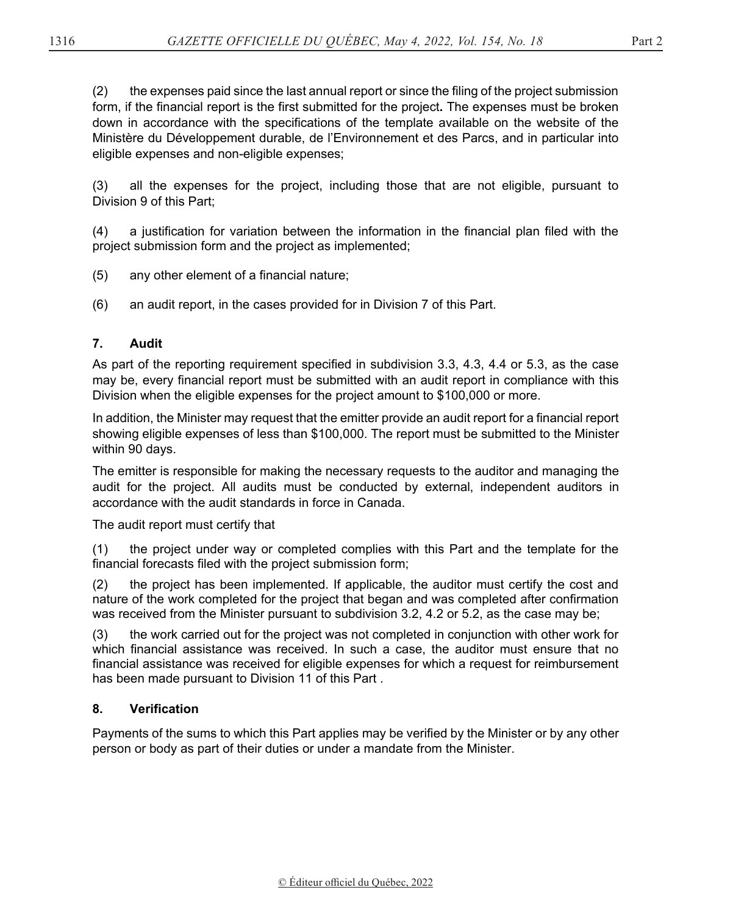(2) the expenses paid since the last annual report or since the filing of the project submission form, if the financial report is the first submitted for the project**.** The expenses must be broken down in accordance with the specifications of the template available on the website of the Ministère du Développement durable, de l'Environnement et des Parcs, and in particular into eligible expenses and non-eligible expenses;

(3) all the expenses for the project, including those that are not eligible, pursuant to Division 9 of this Part;

(4) a justification for variation between the information in the financial plan filed with the project submission form and the project as implemented;

- (5) any other element of a financial nature;
- (6) an audit report, in the cases provided for in Division 7 of this Part.

## **7. Audit**

As part of the reporting requirement specified in subdivision 3.3, 4.3, 4.4 or 5.3, as the case may be, every financial report must be submitted with an audit report in compliance with this Division when the eligible expenses for the project amount to \$100,000 or more.

In addition, the Minister may request that the emitter provide an audit report for a financial report showing eligible expenses of less than \$100,000. The report must be submitted to the Minister within 90 days.

The emitter is responsible for making the necessary requests to the auditor and managing the audit for the project. All audits must be conducted by external, independent auditors in accordance with the audit standards in force in Canada.

The audit report must certify that

(1) the project under way or completed complies with this Part and the template for the financial forecasts filed with the project submission form;

(2) the project has been implemented. If applicable, the auditor must certify the cost and nature of the work completed for the project that began and was completed after confirmation was received from the Minister pursuant to subdivision 3.2, 4.2 or 5.2, as the case may be;

(3) the work carried out for the project was not completed in conjunction with other work for which financial assistance was received. In such a case, the auditor must ensure that no financial assistance was received for eligible expenses for which a request for reimbursement has been made pursuant to Division 11 of this Part .

### **8. Verification**

Payments of the sums to which this Part applies may be verified by the Minister or by any other person or body as part of their duties or under a mandate from the Minister.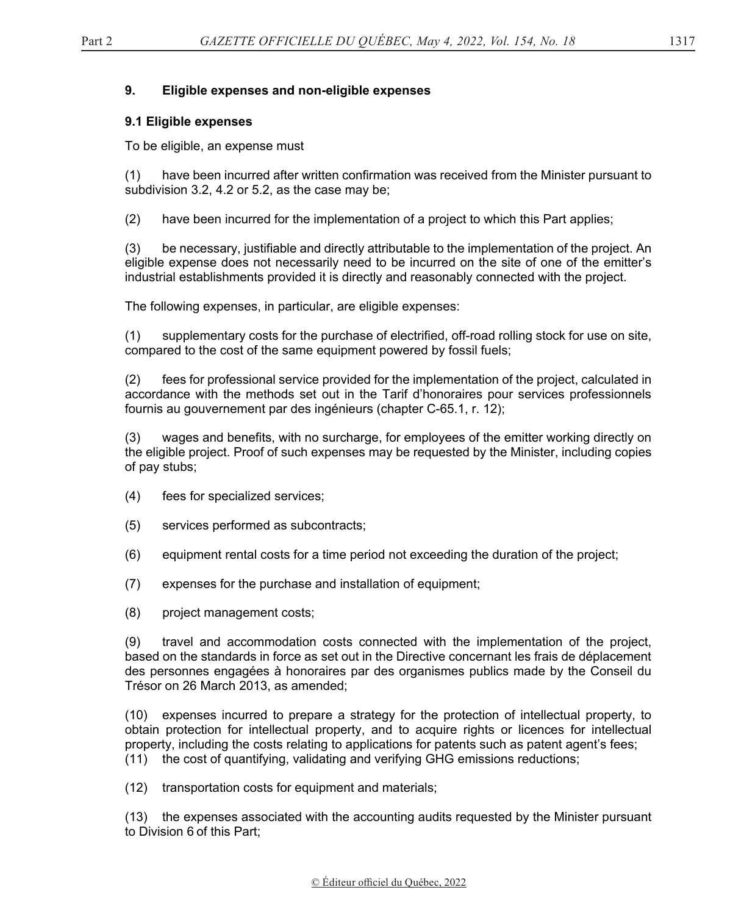### **9. Eligible expenses and non-eligible expenses**

#### **9.1 Eligible expenses**

To be eligible, an expense must

(1) have been incurred after written confirmation was received from the Minister pursuant to subdivision 3.2, 4.2 or 5.2, as the case may be;

(2) have been incurred for the implementation of a project to which this Part applies;

(3) be necessary, justifiable and directly attributable to the implementation of the project. An eligible expense does not necessarily need to be incurred on the site of one of the emitter's industrial establishments provided it is directly and reasonably connected with the project.

The following expenses, in particular, are eligible expenses:

(1) supplementary costs for the purchase of electrified, off-road rolling stock for use on site, compared to the cost of the same equipment powered by fossil fuels;

(2) fees for professional service provided for the implementation of the project, calculated in accordance with the methods set out in the Tarif d'honoraires pour services professionnels fournis au gouvernement par des ingénieurs (chapter C-65.1, r. 12);

(3) wages and benefits, with no surcharge, for employees of the emitter working directly on the eligible project. Proof of such expenses may be requested by the Minister, including copies of pay stubs;

- (4) fees for specialized services;
- (5) services performed as subcontracts;
- (6) equipment rental costs for a time period not exceeding the duration of the project;
- (7) expenses for the purchase and installation of equipment;
- (8) project management costs;

(9) travel and accommodation costs connected with the implementation of the project, based on the standards in force as set out in the Directive concernant les frais de déplacement des personnes engagées à honoraires par des organismes publics made by the Conseil du Trésor on 26 March 2013, as amended;

(10) expenses incurred to prepare a strategy for the protection of intellectual property, to obtain protection for intellectual property, and to acquire rights or licences for intellectual property, including the costs relating to applications for patents such as patent agent's fees; (11) the cost of quantifying, validating and verifying GHG emissions reductions;

(12) transportation costs for equipment and materials;

(13) the expenses associated with the accounting audits requested by the Minister pursuant to Division 6 of this Part;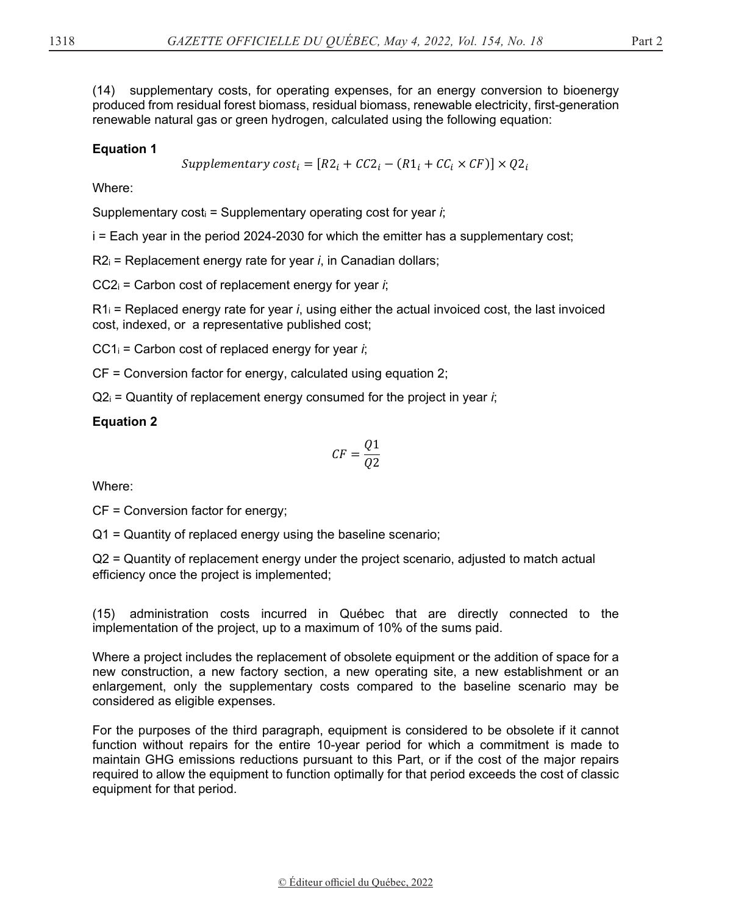(14) supplementary costs, for operating expenses, for an energy conversion to bioenergy produced from residual forest biomass, residual biomass, renewable electricity, first-generation renewable natural gas or green hydrogen, calculated using the following equation:

## **Equation 1**

Supplementary  $cost_i = [R2_i + CC2_i - (R1_i + CC_i \times CF)] \times Q2_i$ 

Where:

Supplementary costi = Supplementary operating cost for year *i*;

i = Each year in the period 2024-2030 for which the emitter has a supplementary cost;

R2i = Replacement energy rate for year *i*, in Canadian dollars;

CC2i = Carbon cost of replacement energy for year *i*;

 $R1<sub>i</sub>$  = Replaced energy rate for year *i*, using either the actual invoiced cost, the last invoiced cost, indexed, or a representative published cost;

CC1i = Carbon cost of replaced energy for year *i*;

CF = Conversion factor for energy, calculated using equation 2;

 $Q2_i$  = Quantity of replacement energy consumed for the project in year *i*;

## **Equation 2**

$$
CF = \frac{Q1}{Q2}
$$

Where:

CF = Conversion factor for energy;

Q1 = Quantity of replaced energy using the baseline scenario;

Q2 = Quantity of replacement energy under the project scenario, adjusted to match actual efficiency once the project is implemented;

(15) administration costs incurred in Québec that are directly connected to the implementation of the project, up to a maximum of 10% of the sums paid.

Where a project includes the replacement of obsolete equipment or the addition of space for a new construction, a new factory section, a new operating site, a new establishment or an enlargement, only the supplementary costs compared to the baseline scenario may be considered as eligible expenses.

For the purposes of the third paragraph, equipment is considered to be obsolete if it cannot function without repairs for the entire 10-year period for which a commitment is made to maintain GHG emissions reductions pursuant to this Part, or if the cost of the major repairs required to allow the equipment to function optimally for that period exceeds the cost of classic equipment for that period.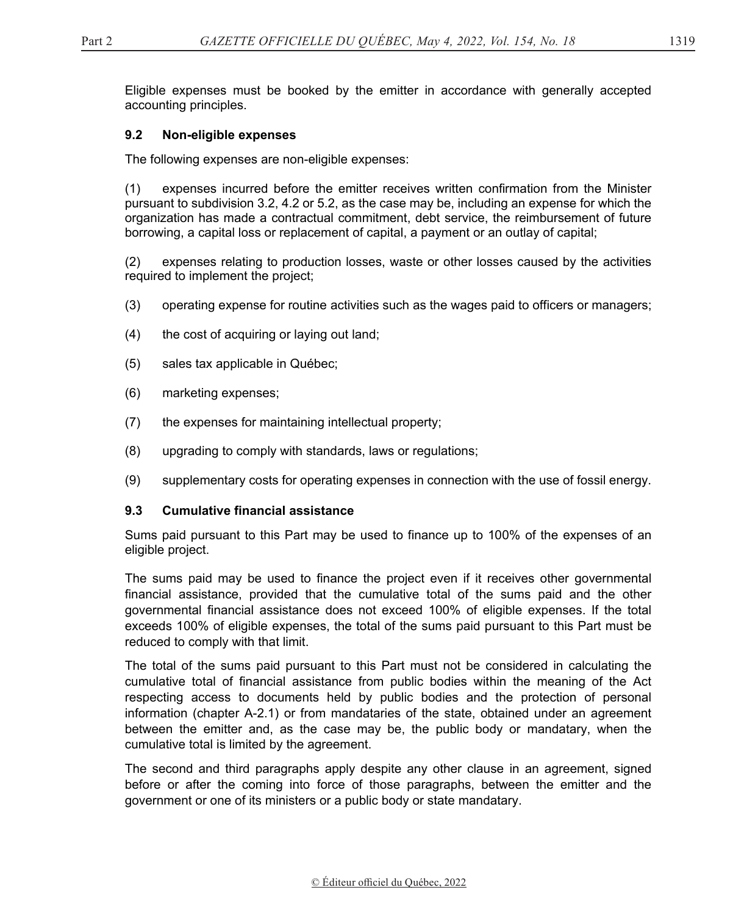Eligible expenses must be booked by the emitter in accordance with generally accepted accounting principles.

### **9.2 Non-eligible expenses**

The following expenses are non-eligible expenses:

(1) expenses incurred before the emitter receives written confirmation from the Minister pursuant to subdivision 3.2, 4.2 or 5.2, as the case may be, including an expense for which the organization has made a contractual commitment, debt service, the reimbursement of future borrowing, a capital loss or replacement of capital, a payment or an outlay of capital;

(2) expenses relating to production losses, waste or other losses caused by the activities required to implement the project;

- (3) operating expense for routine activities such as the wages paid to officers or managers;
- (4) the cost of acquiring or laying out land;
- (5) sales tax applicable in Québec;
- (6) marketing expenses;
- (7) the expenses for maintaining intellectual property;
- (8) upgrading to comply with standards, laws or regulations;
- (9) supplementary costs for operating expenses in connection with the use of fossil energy.

#### **9.3 Cumulative financial assistance**

Sums paid pursuant to this Part may be used to finance up to 100% of the expenses of an eligible project.

The sums paid may be used to finance the project even if it receives other governmental financial assistance, provided that the cumulative total of the sums paid and the other governmental financial assistance does not exceed 100% of eligible expenses. If the total exceeds 100% of eligible expenses, the total of the sums paid pursuant to this Part must be reduced to comply with that limit.

The total of the sums paid pursuant to this Part must not be considered in calculating the cumulative total of financial assistance from public bodies within the meaning of the Act respecting access to documents held by public bodies and the protection of personal information (chapter A-2.1) or from mandataries of the state, obtained under an agreement between the emitter and, as the case may be, the public body or mandatary, when the cumulative total is limited by the agreement.

The second and third paragraphs apply despite any other clause in an agreement, signed before or after the coming into force of those paragraphs, between the emitter and the government or one of its ministers or a public body or state mandatary.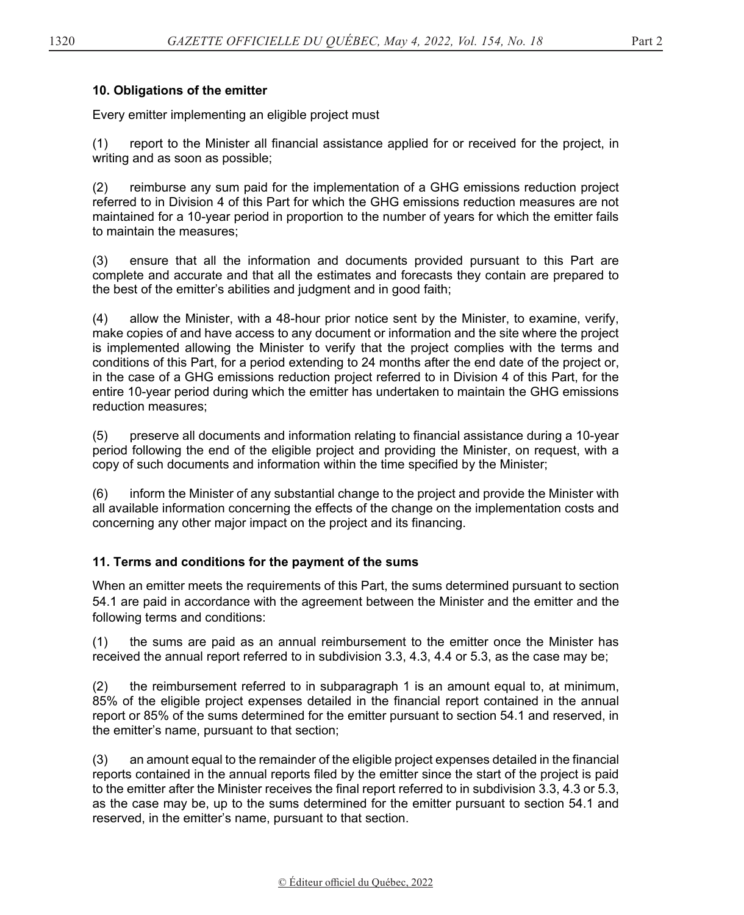## **10. Obligations of the emitter**

Every emitter implementing an eligible project must

(1) report to the Minister all financial assistance applied for or received for the project, in writing and as soon as possible;

(2) reimburse any sum paid for the implementation of a GHG emissions reduction project referred to in Division 4 of this Part for which the GHG emissions reduction measures are not maintained for a 10-year period in proportion to the number of years for which the emitter fails to maintain the measures;

(3) ensure that all the information and documents provided pursuant to this Part are complete and accurate and that all the estimates and forecasts they contain are prepared to the best of the emitter's abilities and judgment and in good faith;

(4) allow the Minister, with a 48-hour prior notice sent by the Minister, to examine, verify, make copies of and have access to any document or information and the site where the project is implemented allowing the Minister to verify that the project complies with the terms and conditions of this Part, for a period extending to 24 months after the end date of the project or, in the case of a GHG emissions reduction project referred to in Division 4 of this Part, for the entire 10-year period during which the emitter has undertaken to maintain the GHG emissions reduction measures;

(5) preserve all documents and information relating to financial assistance during a 10-year period following the end of the eligible project and providing the Minister, on request, with a copy of such documents and information within the time specified by the Minister;

(6) inform the Minister of any substantial change to the project and provide the Minister with all available information concerning the effects of the change on the implementation costs and concerning any other major impact on the project and its financing.

# **11. Terms and conditions for the payment of the sums**

When an emitter meets the requirements of this Part, the sums determined pursuant to section 54.1 are paid in accordance with the agreement between the Minister and the emitter and the following terms and conditions:

(1) the sums are paid as an annual reimbursement to the emitter once the Minister has received the annual report referred to in subdivision 3.3, 4.3, 4.4 or 5.3, as the case may be;

(2) the reimbursement referred to in subparagraph 1 is an amount equal to, at minimum, 85% of the eligible project expenses detailed in the financial report contained in the annual report or 85% of the sums determined for the emitter pursuant to section 54.1 and reserved, in the emitter's name, pursuant to that section;

(3) an amount equal to the remainder of the eligible project expenses detailed in the financial reports contained in the annual reports filed by the emitter since the start of the project is paid to the emitter after the Minister receives the final report referred to in subdivision 3.3, 4.3 or 5.3, as the case may be, up to the sums determined for the emitter pursuant to section 54.1 and reserved, in the emitter's name, pursuant to that section.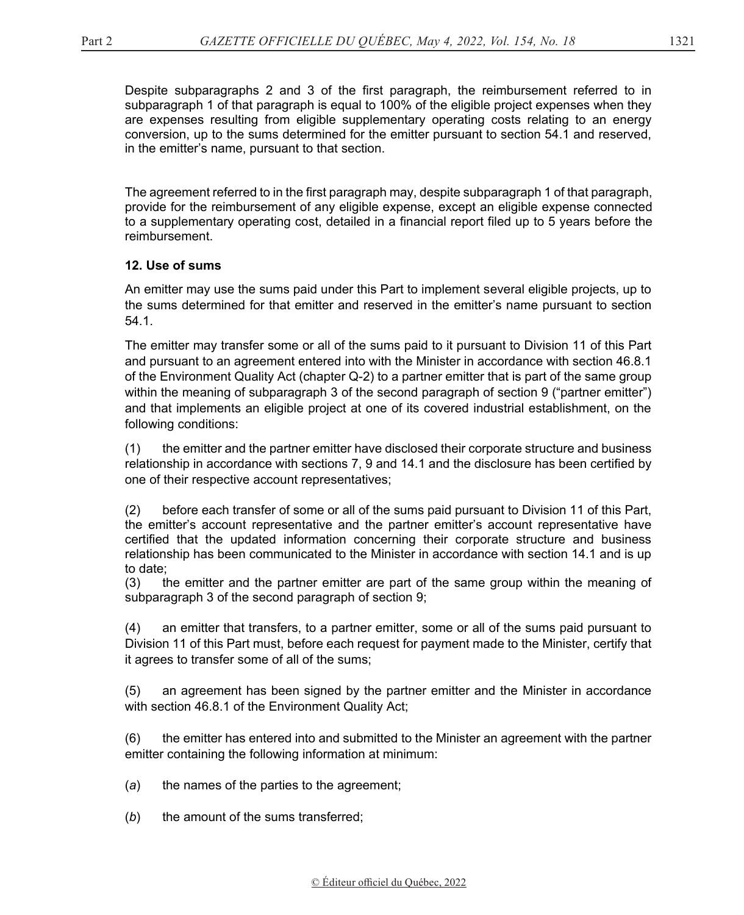Despite subparagraphs 2 and 3 of the first paragraph, the reimbursement referred to in subparagraph 1 of that paragraph is equal to 100% of the eligible project expenses when they are expenses resulting from eligible supplementary operating costs relating to an energy conversion, up to the sums determined for the emitter pursuant to section 54.1 and reserved, in the emitter's name, pursuant to that section.

The agreement referred to in the first paragraph may, despite subparagraph 1 of that paragraph, provide for the reimbursement of any eligible expense, except an eligible expense connected to a supplementary operating cost, detailed in a financial report filed up to 5 years before the reimbursement.

# **12. Use of sums**

An emitter may use the sums paid under this Part to implement several eligible projects, up to the sums determined for that emitter and reserved in the emitter's name pursuant to section 54.1.

The emitter may transfer some or all of the sums paid to it pursuant to Division 11 of this Part and pursuant to an agreement entered into with the Minister in accordance with section 46.8.1 of the Environment Quality Act (chapter Q-2) to a partner emitter that is part of the same group within the meaning of subparagraph 3 of the second paragraph of section 9 ("partner emitter") and that implements an eligible project at one of its covered industrial establishment, on the following conditions:

(1) the emitter and the partner emitter have disclosed their corporate structure and business relationship in accordance with sections 7, 9 and 14.1 and the disclosure has been certified by one of their respective account representatives;

(2) before each transfer of some or all of the sums paid pursuant to Division 11 of this Part, the emitter's account representative and the partner emitter's account representative have certified that the updated information concerning their corporate structure and business relationship has been communicated to the Minister in accordance with section 14.1 and is up to date;

(3) the emitter and the partner emitter are part of the same group within the meaning of subparagraph 3 of the second paragraph of section 9;

(4) an emitter that transfers, to a partner emitter, some or all of the sums paid pursuant to Division 11 of this Part must, before each request for payment made to the Minister, certify that it agrees to transfer some of all of the sums;

(5) an agreement has been signed by the partner emitter and the Minister in accordance with section 46.8.1 of the Environment Quality Act;

(6) the emitter has entered into and submitted to the Minister an agreement with the partner emitter containing the following information at minimum:

- (*a*) the names of the parties to the agreement;
- (*b*) the amount of the sums transferred;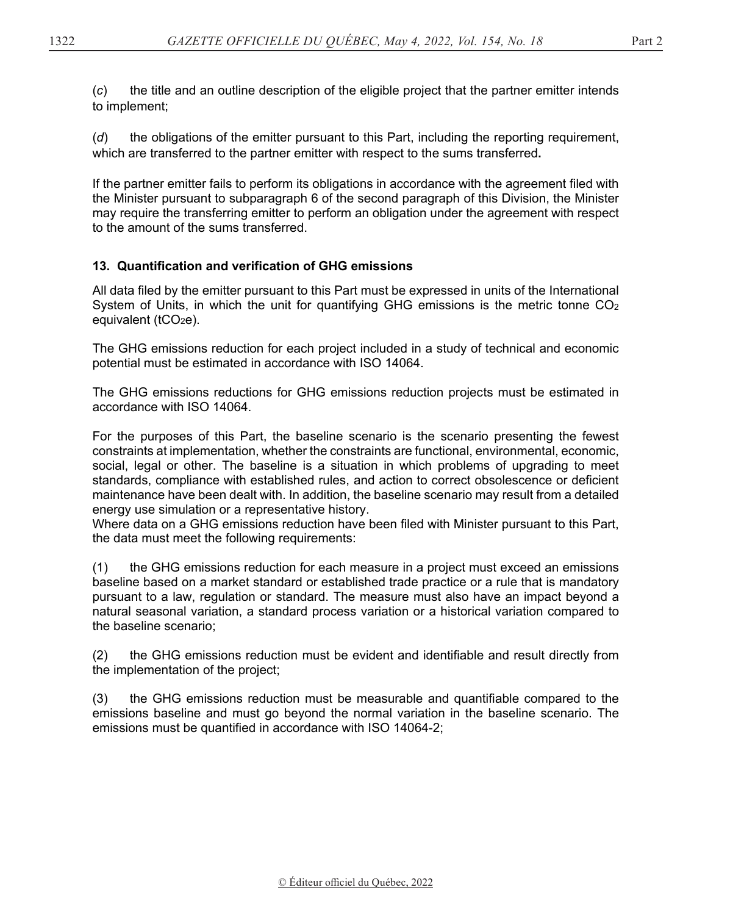(*c*) the title and an outline description of the eligible project that the partner emitter intends to implement;

(*d*) the obligations of the emitter pursuant to this Part, including the reporting requirement, which are transferred to the partner emitter with respect to the sums transferred**.**

If the partner emitter fails to perform its obligations in accordance with the agreement filed with the Minister pursuant to subparagraph 6 of the second paragraph of this Division, the Minister may require the transferring emitter to perform an obligation under the agreement with respect to the amount of the sums transferred.

# **13. Quantification and verification of GHG emissions**

All data filed by the emitter pursuant to this Part must be expressed in units of the International System of Units, in which the unit for quantifying GHG emissions is the metric tonne  $CO<sub>2</sub>$ equivalent ( $tCO<sub>2</sub>e$ ).

The GHG emissions reduction for each project included in a study of technical and economic potential must be estimated in accordance with ISO 14064.

The GHG emissions reductions for GHG emissions reduction projects must be estimated in accordance with ISO 14064.

For the purposes of this Part, the baseline scenario is the scenario presenting the fewest constraints at implementation, whether the constraints are functional, environmental, economic, social, legal or other. The baseline is a situation in which problems of upgrading to meet standards, compliance with established rules, and action to correct obsolescence or deficient maintenance have been dealt with. In addition, the baseline scenario may result from a detailed energy use simulation or a representative history.

Where data on a GHG emissions reduction have been filed with Minister pursuant to this Part, the data must meet the following requirements:

(1) the GHG emissions reduction for each measure in a project must exceed an emissions baseline based on a market standard or established trade practice or a rule that is mandatory pursuant to a law, regulation or standard. The measure must also have an impact beyond a natural seasonal variation, a standard process variation or a historical variation compared to the baseline scenario;

(2) the GHG emissions reduction must be evident and identifiable and result directly from the implementation of the project;

(3) the GHG emissions reduction must be measurable and quantifiable compared to the emissions baseline and must go beyond the normal variation in the baseline scenario. The emissions must be quantified in accordance with ISO 14064-2;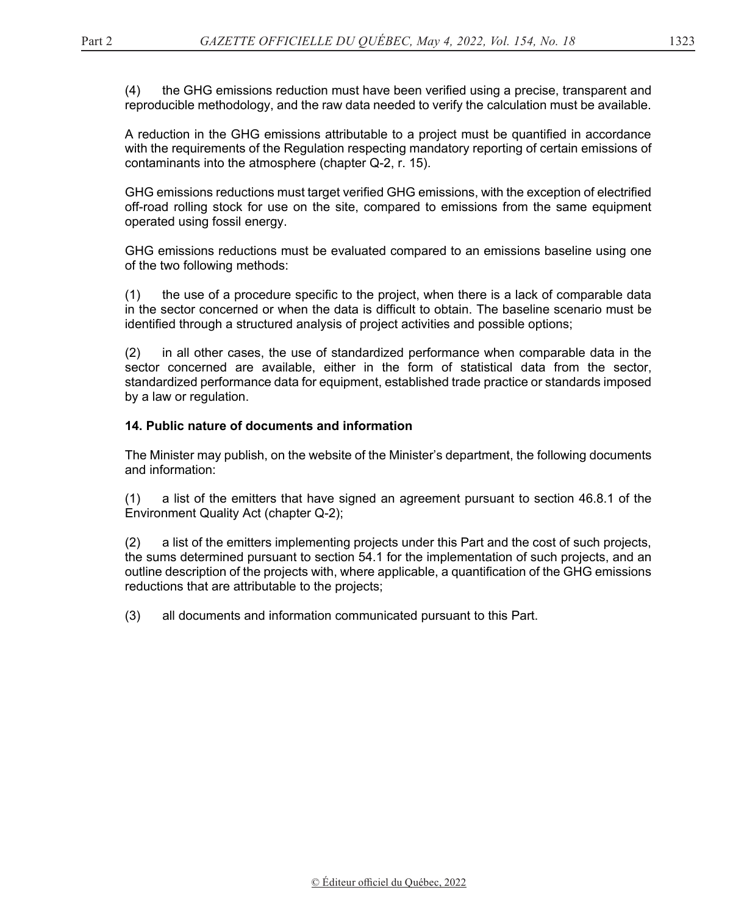(4) the GHG emissions reduction must have been verified using a precise, transparent and reproducible methodology, and the raw data needed to verify the calculation must be available.

A reduction in the GHG emissions attributable to a project must be quantified in accordance with the requirements of the Regulation respecting mandatory reporting of certain emissions of contaminants into the atmosphere (chapter Q-2, r. 15).

GHG emissions reductions must target verified GHG emissions, with the exception of electrified off-road rolling stock for use on the site, compared to emissions from the same equipment operated using fossil energy.

GHG emissions reductions must be evaluated compared to an emissions baseline using one of the two following methods:

(1) the use of a procedure specific to the project, when there is a lack of comparable data in the sector concerned or when the data is difficult to obtain. The baseline scenario must be identified through a structured analysis of project activities and possible options;

(2) in all other cases, the use of standardized performance when comparable data in the sector concerned are available, either in the form of statistical data from the sector, standardized performance data for equipment, established trade practice or standards imposed by a law or regulation.

### **14. Public nature of documents and information**

The Minister may publish, on the website of the Minister's department, the following documents and information:

(1) a list of the emitters that have signed an agreement pursuant to section 46.8.1 of the Environment Quality Act (chapter Q-2);

(2) a list of the emitters implementing projects under this Part and the cost of such projects, the sums determined pursuant to section 54.1 for the implementation of such projects, and an outline description of the projects with, where applicable, a quantification of the GHG emissions reductions that are attributable to the projects;

(3) all documents and information communicated pursuant to this Part.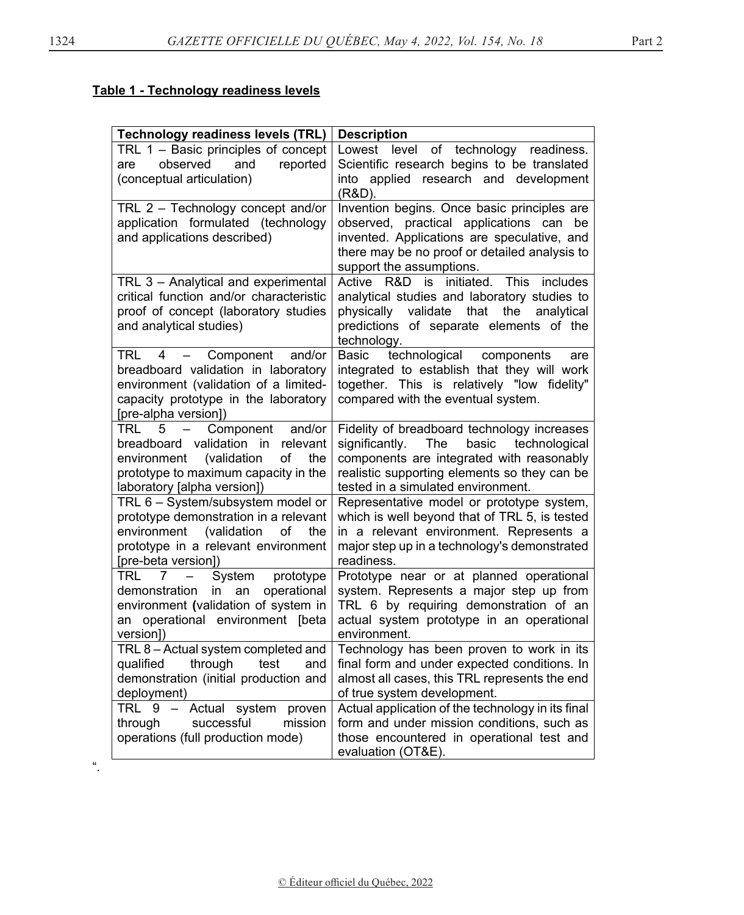# **Table 1 - Technology readiness levels**

| <b>Technology readiness levels (TRL)</b>                                                                                                                                                                              | <b>Description</b>                                                                                                                                                                                                                |
|-----------------------------------------------------------------------------------------------------------------------------------------------------------------------------------------------------------------------|-----------------------------------------------------------------------------------------------------------------------------------------------------------------------------------------------------------------------------------|
| TRL 1 - Basic principles of concept<br>observed<br>and<br>reported<br>are<br>(conceptual articulation)                                                                                                                | Lowest level<br>of technology<br>readiness.<br>Scientific research begins to be translated<br>into applied research and development<br>(R&D).                                                                                     |
| TRL 2 - Technology concept and/or<br>application formulated (technology<br>and applications described)                                                                                                                | Invention begins. Once basic principles are<br>observed, practical applications can be<br>invented. Applications are speculative, and<br>there may be no proof or detailed analysis to<br>support the assumptions.                |
| TRL 3 - Analytical and experimental<br>critical function and/or characteristic<br>proof of concept (laboratory studies<br>and analytical studies)                                                                     | Active R&D is<br>initiated.<br><b>This</b><br>includes<br>analytical studies and laboratory studies to<br>validate<br>that<br>the<br>physically<br>analytical<br>predictions of separate elements of the<br>technology.           |
| TRL 4<br>- Component<br>and/or<br>breadboard validation in laboratory<br>environment (validation of a limited-<br>capacity prototype in the laboratory<br>[pre-alpha version])                                        | Basic<br>technological<br>components<br>are<br>integrated to establish that they will work<br>together. This is relatively "low fidelity"<br>compared with the eventual system.                                                   |
| 5<br>Component<br>TRL<br>and/or<br>$\overline{\phantom{m}}$<br>breadboard validation<br>in relevant<br>(validation<br>of<br>the<br>environment<br>prototype to maximum capacity in the<br>laboratory [alpha version]) | Fidelity of breadboard technology increases<br>significantly.<br>The<br>basic<br>technological<br>components are integrated with reasonably<br>realistic supporting elements so they can be<br>tested in a simulated environment. |
| TRL 6 - System/subsystem model or<br>prototype demonstration in a relevant<br>environment<br>(validation<br>of<br>the<br>prototype in a relevant environment<br>[pre-beta version])                                   | Representative model or prototype system,<br>which is well beyond that of TRL 5, is tested<br>in a relevant environment. Represents a<br>major step up in a technology's demonstrated<br>readiness.                               |
| System<br>TRL.<br>7<br>prototype<br>in an<br>operational<br>demonstration<br>environment (validation of system in<br>an operational environment [beta<br>version])                                                    | Prototype near or at planned operational<br>system. Represents a major step up from<br>TRL 6 by requiring demonstration of an<br>actual system prototype in an operational<br>environment.                                        |
| TRL 8 - Actual system completed and<br>through<br>test<br>qualified<br>and<br>demonstration (initial production and<br>deployment)                                                                                    | Technology has been proven to work in its<br>final form and under expected conditions. In<br>almost all cases, this TRL represents the end<br>of true system development.                                                         |
| TRL 9 - Actual system proven<br>mission<br>successful<br>through<br>operations (full production mode)                                                                                                                 | Actual application of the technology in its final<br>form and under mission conditions, such as<br>those encountered in operational test and<br>evaluation (OT&E).                                                                |

".